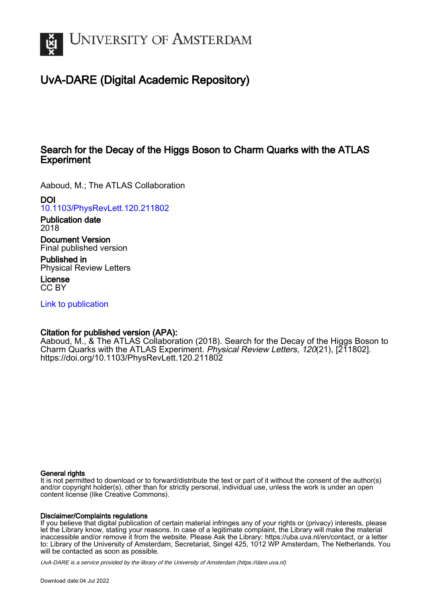

# UvA-DARE (Digital Academic Repository)

## Search for the Decay of the Higgs Boson to Charm Quarks with the ATLAS **Experiment**

Aaboud, M.; The ATLAS Collaboration

DOI

[10.1103/PhysRevLett.120.211802](https://doi.org/10.1103/PhysRevLett.120.211802)

Publication date 2018

Document Version Final published version

Published in Physical Review Letters

License CC BY

[Link to publication](https://dare.uva.nl/personal/pure/en/publications/search-for-the-decay-of-the-higgs-boson-to-charm-quarks-with-the-atlas-experiment(0b17f4f4-660c-492f-8a96-d078bfe48559).html)

### Citation for published version (APA):

Aaboud, M., & The ATLAS Collaboration (2018). Search for the Decay of the Higgs Boson to Charm Quarks with the ATLAS Experiment. Physical Review Letters, 120(21), [211802]. <https://doi.org/10.1103/PhysRevLett.120.211802>

#### General rights

It is not permitted to download or to forward/distribute the text or part of it without the consent of the author(s) and/or copyright holder(s), other than for strictly personal, individual use, unless the work is under an open content license (like Creative Commons).

#### Disclaimer/Complaints regulations

If you believe that digital publication of certain material infringes any of your rights or (privacy) interests, please let the Library know, stating your reasons. In case of a legitimate complaint, the Library will make the material inaccessible and/or remove it from the website. Please Ask the Library: https://uba.uva.nl/en/contact, or a letter to: Library of the University of Amsterdam, Secretariat, Singel 425, 1012 WP Amsterdam, The Netherlands. You will be contacted as soon as possible.

UvA-DARE is a service provided by the library of the University of Amsterdam (http*s*://dare.uva.nl)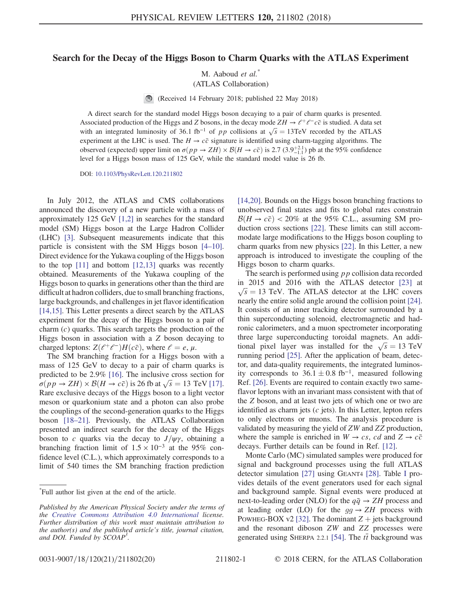#### Search for the Decay of the Higgs Boson to Charm Quarks with the ATLAS Experiment

M. Aaboud et al.<sup>\*</sup>

(ATLAS Collaboration)

 $\bigcirc$ (Received 14 February 2018; published 22 May 2018)

A direct search for the standard model Higgs boson decaying to a pair of charm quarks is presented. Associated production of the Higgs and Z bosons, in the decay mode  $ZH \to \ell^+\ell^-\bar{c}\bar{c}$  is studied. A data set with an integrated luminosity of 36.1 fb<sup>-1</sup> of pp collisions at  $\sqrt{s} = 13 \text{TeV}$  recorded by the ATLAS experiment at the LHC is used. The  $H \rightarrow c\bar{c}$  signature is identified using charm-tagging algorithms. The observed (expected) upper limit on  $\sigma(p \to ZH) \times \mathcal{B}(H \to c\bar{c})$  is 2.7 (3.9<sup>+2.1</sup>) pb at the 95% confidence level for a Higgs boson mass of 125 GeV, while the standard model value is 26 fb.

DOI: [10.1103/PhysRevLett.120.211802](https://doi.org/10.1103/PhysRevLett.120.211802)

In July 2012, the ATLAS and CMS collaborations announced the discovery of a new particle with a mass of approximately 125 GeV [\[1,2\]](#page-5-0) in searches for the standard model (SM) Higgs boson at the Large Hadron Collider (LHC) [\[3\]](#page-5-1). Subsequent measurements indicate that this particle is consistent with the SM Higgs boson [4–[10\]](#page-5-2). Direct evidence for the Yukawa coupling of the Higgs boson to the top  $[11]$  and bottom  $[12,13]$  quarks was recently obtained. Measurements of the Yukawa coupling of the Higgs boson to quarks in generations other than the third are difficult at hadron colliders, due to small branching fractions, large backgrounds, and challenges in jet flavor identification [\[14,15\]](#page-5-5). This Letter presents a direct search by the ATLAS experiment for the decay of the Higgs boson to a pair of charm  $(c)$  quarks. This search targets the production of the Higgs boson in association with a Z boson decaying to charged leptons:  $Z(e^+e^-)H(c\bar{c})$ , where  $e = e, \mu$ .

The SM branching fraction for a Higgs boson with a mass of 125 GeV to decay to a pair of charm quarks is predicted to be 2.9% [\[16\]](#page-5-6). The inclusive cross section for  $\sigma(pp \to ZH) \times \mathcal{B}(H \to c\bar{c})$  is 26 fb at  $\sqrt{s} = 13$  TeV [\[17\]](#page-5-7). Rare exclusive decays of the Higgs boson to a light vector meson or quarkonium state and a photon can also probe the couplings of the second-generation quarks to the Higgs boson [\[18](#page-5-8)–21]. Previously, the ATLAS Collaboration presented an indirect search for the decay of the Higgs boson to c quarks via the decay to  $J/\psi\gamma$ , obtaining a branching fraction limit of  $1.5 \times 10^{-3}$  at the 95% confidence level (C.L.), which approximately corresponds to a limit of 540 times the SM branching fraction prediction [\[14,20\]](#page-5-5). Bounds on the Higgs boson branching fractions to unobserved final states and fits to global rates constrain  $\mathcal{B}(H \to c\bar{c})$  < 20% at the 95% C.L., assuming SM production cross sections [\[22\].](#page-5-9) These limits can still accommodate large modifications to the Higgs boson coupling to charm quarks from new physics [\[22\].](#page-5-9) In this Letter, a new approach is introduced to investigate the coupling of the Higgs boson to charm quarks.

The search is performed using pp collision data recorded in 2015 and 2016 with the ATLAS detector [\[23\]](#page-5-10) at  $\sqrt{s}$  = 13 TeV. The ATLAS detector at the LHC covers nearly the entire solid angle around the collision point [\[24\]](#page-5-11). It consists of an inner tracking detector surrounded by a thin superconducting solenoid, electromagnetic and hadronic calorimeters, and a muon spectrometer incorporating three large superconducting toroidal magnets. An additional pixel layer was installed for the  $\sqrt{s} = 13 \text{ TeV}$ running period [\[25\].](#page-6-0) After the application of beam, detector, and data-quality requirements, the integrated luminosity corresponds to  $36.1 \pm 0.8$  fb<sup>-1</sup>, measured following Ref. [\[26\]](#page-6-1). Events are required to contain exactly two sameflavor leptons with an invariant mass consistent with that of the Z boson, and at least two jets of which one or two are identified as charm jets  $(c$  jets). In this Letter, lepton refers to only electrons or muons. The analysis procedure is validated by measuring the yield of ZW and ZZ production, where the sample is enriched in  $W \to cs$ , cd and  $Z \to c\bar{c}$ decays. Further details can be found in Ref. [\[12\]](#page-5-4).

Monte Carlo (MC) simulated samples were produced for signal and background processes using the full ATLAS detector simulation [\[27\]](#page-6-2) using GEANT4 [\[28\]](#page-6-3). Table [I](#page-2-0) provides details of the event generators used for each signal and background sample. Signal events were produced at next-to-leading order (NLO) for the  $q\bar{q} \rightarrow ZH$  process and at leading order (LO) for the  $gg \to ZH$  process with POWHEG-BOX v2 [\[32\]](#page-6-4). The dominant  $Z +$  jets background and the resonant diboson ZW and ZZ processes were generated using SHERPA 2.2.1 [\[54\]](#page-6-5). The  $t\bar{t}$  background was

<sup>\*</sup> Full author list given at the end of the article.

Published by the American Physical Society under the terms of the [Creative Commons Attribution 4.0 International](https://creativecommons.org/licenses/by/4.0/) license. Further distribution of this work must maintain attribution to the author(s) and the published article's title, journal citation, and DOI. Funded by SCOAP<sup>3</sup>.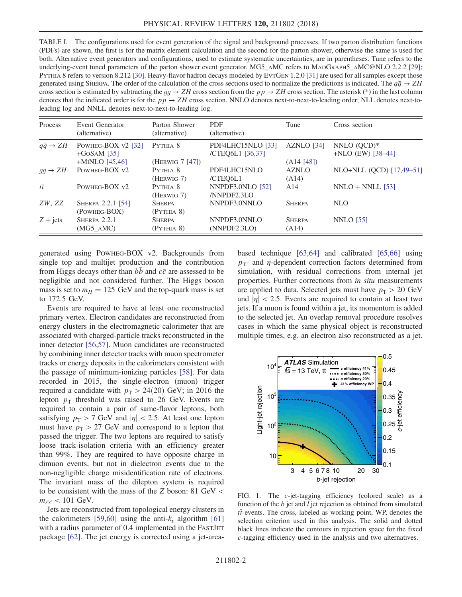<span id="page-2-0"></span>TABLE I. The configurations used for event generation of the signal and background processes. If two parton distribution functions (PDFs) are shown, the first is for the matrix element calculation and the second for the parton shower, otherwise the same is used for both. Alternative event generators and configurations, used to estimate systematic uncertainties, are in parentheses. Tune refers to the underlying-event tuned parameters of the parton shower event generator. MG5\_AMC refers to MADGRAPH5\_AMC@NLO 2.2.2 [\[29\]](#page-6-9); PYTHIA 8 refers to version 8.212 [\[30\]](#page-6-10). Heavy-flavor hadron decays modeled by EVTGEN 1.2.0 [\[31\]](#page-6-11) are used for all samples except those generated using SHERPA. The order of the calculation of the cross sections used to normalize the predictions is indicated. The  $q\bar{q} \rightarrow ZH$ cross section is estimated by subtracting the  $gg \to ZH$  cross section from the  $pp \to ZH$  cross section. The asterisk (\*) in the last column denotes that the indicated order is for the  $pp \rightarrow ZH$  cross section. NNLO denotes next-to-next-to-leading order; NLL denotes next-toleading log and NNLL denotes next-to-next-to-leading log.

| Process                   | Event Generator<br>(alternative)    | Parton Shower<br>(alternative)            | <b>PDF</b><br>(alternative)           | Tune                                | Cross section                        |
|---------------------------|-------------------------------------|-------------------------------------------|---------------------------------------|-------------------------------------|--------------------------------------|
| $q\bar{q} \rightarrow ZH$ | POWHEG-BOX v2 [32]<br>$+GoSAM$ [35] | PYTHIA 8                                  | PDF4LHC15NLO [33]<br>/CTEQ6L1 [36,37] | AZNLO [34]                          | NNLO $(QCD)*$<br>$+NLO$ (EW) [38-44] |
| $qq \rightarrow ZH$       | $+$ MINLO [45,46]<br>POWHEG-BOX v2  | (HERWIG 7 [47])<br>PYTHIA 8<br>(HERWIG 7) | PDF4LHC15NLO<br>/CTEO6L1              | (A14 [48])<br><b>AZNLO</b><br>(A14) | NLO+NLL (QCD) [17,49-51]             |
| $t\overline{t}$           | POWHEG-BOX v2                       | PYTHIA 8<br>(HERWIG 7)                    | NNPDF3.0NLO [52]<br>/NNPDF2.3LO       | A14                                 | $NNLO + NNLL$ [53]                   |
| ZW, ZZ                    | SHERPA 2.2.1 [54]<br>(POWHEG-BOX)   | <b>SHERPA</b><br>(PYTHIA 8)               | NNPDF3.0NNLO                          | <b>SHERPA</b>                       | NLO                                  |
| $Z + jets$                | SHERPA 2.2.1<br>(MG5 AMC)           | <b>SHERPA</b><br>(PYTHIA 8)               | NNPDF3.0NNLO<br>(NNPDF2.3LO)          | <b>SHERPA</b><br>(A14)              | <b>NNLO</b> [55]                     |

generated using POWHEG-BOX v2. Backgrounds from single top and multijet production and the contribution from Higgs decays other than  $b\bar{b}$  and  $c\bar{c}$  are assessed to be negligible and not considered further. The Higgs boson mass is set to  $m_H = 125$  GeV and the top-quark mass is set to 172.5 GeV.

Events are required to have at least one reconstructed primary vertex. Electron candidates are reconstructed from energy clusters in the electromagnetic calorimeter that are associated with charged-particle tracks reconstructed in the inner detector [\[56,57\].](#page-6-6) Muon candidates are reconstructed by combining inner detector tracks with muon spectrometer tracks or energy deposits in the calorimeters consistent with the passage of minimum-ionizing particles [\[58\]](#page-6-7). For data recorded in 2015, the single-electron (muon) trigger required a candidate with  $p_T > 24(20)$  GeV; in 2016 the lepton  $p_T$  threshold was raised to 26 GeV. Events are required to contain a pair of same-flavor leptons, both satisfying  $p_T > 7$  GeV and  $|\eta| < 2.5$ . At least one lepton must have  $p_T > 27$  GeV and correspond to a lepton that passed the trigger. The two leptons are required to satisfy loose track-isolation criteria with an efficiency greater than 99%. They are required to have opposite charge in dimuon events, but not in dielectron events due to the non-negligible charge misidentification rate of electrons. The invariant mass of the dilepton system is required to be consistent with the mass of the Z boson: 81 GeV <  $m_{\ell\ell}$  < 101 GeV.

Jets are reconstructed from topological energy clusters in the calorimeters [\[59,60\]](#page-6-8) using the anti- $k_t$  algorithm [\[61\]](#page-7-0) with a radius parameter of 0.4 implemented in the FASTJET package [\[62\].](#page-7-1) The jet energy is corrected using a jet-areabased technique [\[63,64\]](#page-7-2) and calibrated [\[65,66\]](#page-7-3) using  $p_T$ - and *η*-dependent correction factors determined from simulation, with residual corrections from internal jet properties. Further corrections from in situ measurements are applied to data. Selected jets must have  $p_T > 20 \text{ GeV}$ and  $|\eta|$  < 2.5. Events are required to contain at least two jets. If a muon is found within a jet, its momentum is added to the selected jet. An overlap removal procedure resolves cases in which the same physical object is reconstructed multiple times, e.g. an electron also reconstructed as a jet.

<span id="page-2-1"></span>

FIG. 1. The c-jet-tagging efficiency (colored scale) as a function of the  $b$  jet and  $l$  jet rejection as obtained from simulated  $t\bar{t}$  events. The cross, labeled as working point, WP, denotes the selection criterion used in this analysis. The solid and dotted black lines indicate the contours in rejection space for the fixed c-tagging efficiency used in the analysis and two alternatives.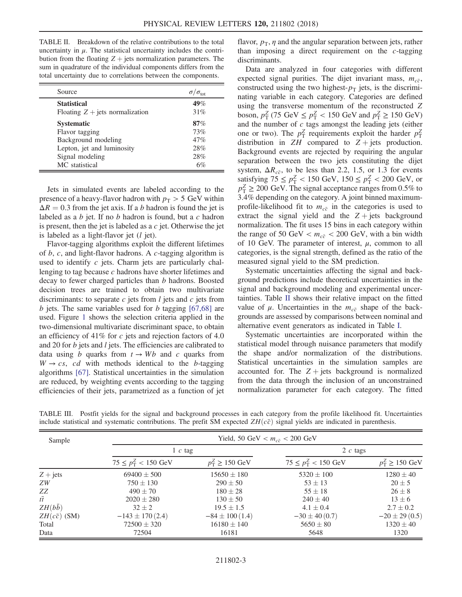<span id="page-3-0"></span>TABLE II. Breakdown of the relative contributions to the total uncertainty in  $\mu$ . The statistical uncertainty includes the contribution from the floating  $Z +$  jets normalization parameters. The sum in quadrature of the individual components differs from the total uncertainty due to correlations between the components.

| Source                            | $\sigma/\sigma_{\rm tot}$ |
|-----------------------------------|---------------------------|
| <b>Statistical</b>                | 49%                       |
| Floating $Z + jets$ normalization | 31%                       |
| <b>Systematic</b>                 | 87%                       |
| Flavor tagging                    | 73%                       |
| Background modeling               | 47%                       |
| Lepton, jet and luminosity        | 28%                       |
| Signal modeling                   | 28%                       |
| MC statistical                    | 6%                        |

Jets in simulated events are labeled according to the presence of a heavy-flavor hadron with  $p_T > 5$  GeV within  $\Delta R = 0.3$  from the jet axis. If a b hadron is found the jet is labeled as a b jet. If no b hadron is found, but a c hadron is present, then the jet is labeled as a  $c$  jet. Otherwise the jet is labeled as a light-flavor jet  $(l$  jet).

Flavor-tagging algorithms exploit the different lifetimes of  $b$ ,  $c$ , and light-flavor hadrons. A  $c$ -tagging algorithm is used to identify  $c$  jets. Charm jets are particularly challenging to tag because c hadrons have shorter lifetimes and decay to fewer charged particles than b hadrons. Boosted decision trees are trained to obtain two multivariate discriminants: to separate  $c$  jets from  $l$  jets and  $c$  jets from b jets. The same variables used for b tagging  $[67,68]$  are used. Figure [1](#page-2-1) shows the selection criteria applied in the two-dimensional multivariate discriminant space, to obtain an efficiency of 41% for  $c$  jets and rejection factors of 4.0 and 20 for  $b$  jets and  $l$  jets. The efficiencies are calibrated to data using b quarks from  $t \rightarrow Wb$  and c quarks from  $W \rightarrow cs$ , cd with methods identical to the b-tagging algorithms [\[67\]](#page-7-4). Statistical uncertainties in the simulation are reduced, by weighting events according to the tagging efficiencies of their jets, parametrized as a function of jet flavor,  $p_T$ ,  $\eta$  and the angular separation between jets, rather than imposing a direct requirement on the c-tagging discriminants.

Data are analyzed in four categories with different expected signal purities. The dijet invariant mass,  $m_{c\bar{c}}$ , constructed using the two highest- $p<sub>T</sub>$  jets, is the discriminating variable in each category. Categories are defined using the transverse momentum of the reconstructed Z boson,  $p_{\rm T}^Z$  (75 GeV  $\le p_{\rm T}^Z < 150$  GeV and  $p_{\rm T}^Z \ge 150$  GeV) and the number of  $c$  tags amongst the leading jets (either one or two). The  $p_{\rm T}^Z$  requirements exploit the harder  $p_{\rm T}^Z$ distribution in  $ZH$  compared to  $Z + jets$  production. Background events are rejected by requiring the angular separation between the two jets constituting the dijet system,  $\Delta R_{c\bar{c}}$ , to be less than 2.2, 1.5, or 1.3 for events satisfying  $75 \le p_{\rm T}^Z < 150 \text{ GeV}, 150 \le p_{\rm T}^Z < 200 \text{ GeV}, \text{ or }$  $p_T^Z \ge 200$  GeV. The signal acceptance ranges from 0.5% to 3.4% depending on the category. A joint binned maximumprofile-likelihood fit to  $m_{c\bar{c}}$  in the categories is used to extract the signal yield and the  $Z + jets$  background normalization. The fit uses 15 bins in each category within the range of 50 GeV  $< m_{c\bar{c}} < 200$  GeV, with a bin width of 10 GeV. The parameter of interest,  $\mu$ , common to all categories, is the signal strength, defined as the ratio of the measured signal yield to the SM prediction.

Systematic uncertainties affecting the signal and background predictions include theoretical uncertainties in the signal and background modeling and experimental uncertainties. Table [II](#page-3-0) shows their relative impact on the fitted value of  $\mu$ . Uncertainties in the  $m_{c\bar{c}}$  shape of the backgrounds are assessed by comparisons between nominal and alternative event generators as indicated in Table [I](#page-2-0).

Systematic uncertainties are incorporated within the statistical model through nuisance parameters that modify the shape and/or normalization of the distributions. Statistical uncertainties in the simulation samples are accounted for. The  $Z +$  jets background is normalized from the data through the inclusion of an unconstrained normalization parameter for each category. The fitted

| Sample              | Yield, 50 GeV $< m_{c\bar{c}} < 200$ GeV |                     |                                |                           |  |  |  |
|---------------------|------------------------------------------|---------------------|--------------------------------|---------------------------|--|--|--|
|                     | $1 c \text{ tag}$                        |                     | 2 $c$ tags                     |                           |  |  |  |
|                     | $75 \le p_T^Z < 150 \text{ GeV}$         | $p_T^Z \ge 150$ GeV | $75 \le p_{\rm T}^2 < 150$ GeV | $p_{\rm T}^Z \ge 150$ GeV |  |  |  |
| $Z + jets$          | $69400 \pm 500$                          | $15650 \pm 180$     | $5320 \pm 100$                 | $1280 \pm 40$             |  |  |  |
| ZW                  | $750 \pm 130$                            | $290 \pm 50$        | $53 \pm 13$                    | $20 \pm 5$                |  |  |  |
| ZZ                  | $490 \pm 70$                             | $180 \pm 28$        | $55 \pm 18$                    | $26 \pm 8$                |  |  |  |
| $t\overline{t}$     | $2020 \pm 280$                           | $130 \pm 50$        | $240 \pm 40$                   | $13 \pm 6$                |  |  |  |
| $ZH(b\bar{b})$      | $32 + 2$                                 | $19.5 \pm 1.5$      | $4.1 \pm 0.4$                  | $2.7 \pm 0.2$             |  |  |  |
| $ZH(c\bar{c})$ (SM) | $-143 \pm 170(2.4)$                      | $-84 \pm 100$ (1.4) | $-30 \pm 40(0.7)$              | $-20 \pm 29(0.5)$         |  |  |  |
| Total               | $72500 \pm 320$                          | $16180 \pm 140$     | $5650 \pm 80$                  | $1320 \pm 40$             |  |  |  |
| Data                | 72504                                    | 16181               | 5648                           | 1320                      |  |  |  |

<span id="page-3-1"></span>TABLE III. Postfit yields for the signal and background processes in each category from the profile likelihood fit. Uncertainties include statistical and systematic contributions. The prefit SM expected  $ZH(c\bar{c})$  signal yields are indicated in parenthesis.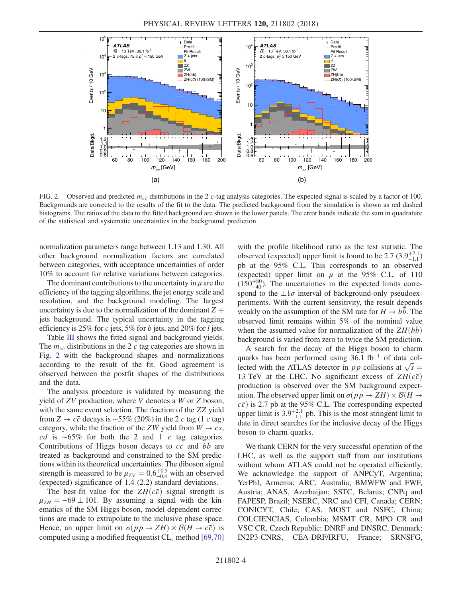<span id="page-4-0"></span>

FIG. 2. Observed and predicted  $m_{c\bar{c}}$  distributions in the 2 c-tag analysis categories. The expected signal is scaled by a factor of 100. Backgrounds are corrected to the results of the fit to the data. The predicted background from the simulation is shown as red dashed histograms. The ratios of the data to the fitted background are shown in the lower panels. The error bands indicate the sum in quadrature of the statistical and systematic uncertainties in the background prediction.

normalization parameters range between 1.13 and 1.30. All other background normalization factors are correlated between categories, with acceptance uncertainties of order 10% to account for relative variations between categories.

The dominant contributions to the uncertainty in  $\mu$  are the efficiency of the tagging algorithms, the jet energy scale and resolution, and the background modeling. The largest uncertainty is due to the normalization of the dominant  $Z +$ jets background. The typical uncertainty in the tagging efficiency is 25% for c jets, 5% for b jets, and 20% for l jets.

Table [III](#page-3-1) shows the fitted signal and background yields. The  $m_{c\bar{c}}$  distributions in the 2 c tag categories are shown in Fig. [2](#page-4-0) with the background shapes and normalizations according to the result of the fit. Good agreement is observed between the postfit shapes of the distributions and the data.

The analysis procedure is validated by measuring the yield of ZV production, where V denotes a W or Z boson, with the same event selection. The fraction of the ZZ yield from Z →  $c\bar{c}$  decays is ~55% (20%) in the 2 c tag (1 c tag) category, while the fraction of the ZW yield from  $W \to cs$ , cd is  $~\sim 65\%$  for both the 2 and 1 c tag categories. Contributions of Higgs boson decays to  $c\bar{c}$  and bb are treated as background and constrained to the SM predictions within its theoretical uncertainties. The diboson signal strength is measured to be  $\mu_{ZV} = 0.6^{+0.5}_{-0.4}$  with an observed (expected) significance of 1.4 (2.2) standard deviations.

The best-fit value for the  $ZH(c\bar{c})$  signal strength is  $\mu_{ZH} = -69 \pm 101$ . By assuming a signal with the kinematics of the SM Higgs boson, model-dependent corrections are made to extrapolate to the inclusive phase space. Hence, an upper limit on  $\sigma(p p \to ZH) \times \mathcal{B}(H \to c\bar{c})$  is computed using a modified frequentist  $CL<sub>s</sub>$  method [\[69,70\]](#page-7-5)

with the profile likelihood ratio as the test statistic. The observed (expected) upper limit is found to be 2.7  $(3.9^{+2.1}_{-1.1})$ pb at the 95% C.L. This corresponds to an observed (expected) upper limit on  $\mu$  at the 95% C.L. of 110  $(150^{+80}_{-40})$ . The uncertainties in the expected limits correspond to the  $\pm 1\sigma$  interval of background-only pseudoexperiments. With the current sensitivity, the result depends weakly on the assumption of the SM rate for  $H \rightarrow bb$ . The observed limit remains within 5% of the nominal value when the assumed value for normalization of the  $ZH(bb)$ background is varied from zero to twice the SM prediction.

A search for the decay of the Higgs boson to charm quarks has been performed using 36.1 fb<sup>−</sup><sup>1</sup> of data collected with the ATLAS detector in pp collisions at  $\sqrt{s}$  = 13 TeV at the LHC. No significant excess of  $ZH(c\bar{c})$ production is observed over the SM background expectation. The observed upper limit on  $\sigma(p p \to ZH) \times \mathcal{B}(H \to$  $c\bar{c}$ ) is 2.7 pb at the 95% C.L. The corresponding expected upper limit is  $3.9^{+2.1}_{-1.1}$  pb. This is the most stringent limit to date in direct searches for the inclusive decay of the Higgs boson to charm quarks.

We thank CERN for the very successful operation of the LHC, as well as the support staff from our institutions without whom ATLAS could not be operated efficiently. We acknowledge the support of ANPCyT, Argentina; YerPhI, Armenia; ARC, Australia; BMWFW and FWF, Austria; ANAS, Azerbaijan; SSTC, Belarus; CNPq and FAPESP, Brazil; NSERC, NRC and CFI, Canada; CERN; CONICYT, Chile; CAS, MOST and NSFC, China; COLCIENCIAS, Colombia; MSMT CR, MPO CR and VSC CR, Czech Republic; DNRF and DNSRC, Denmark; IN2P3-CNRS, CEA-DRF/IRFU, France; SRNSFG,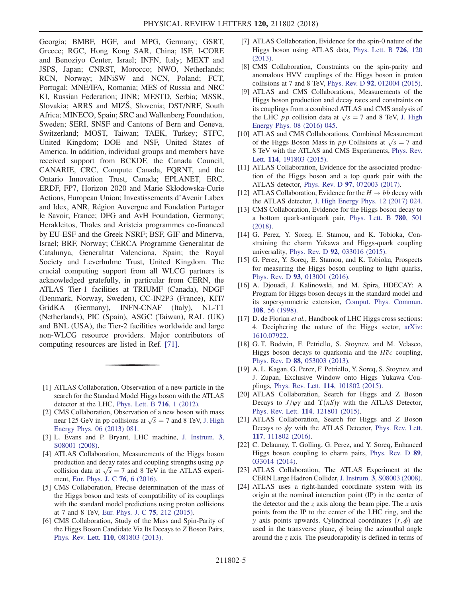Georgia; BMBF, HGF, and MPG, Germany; GSRT, Greece; RGC, Hong Kong SAR, China; ISF, I-CORE and Benoziyo Center, Israel; INFN, Italy; MEXT and JSPS, Japan; CNRST, Morocco; NWO, Netherlands; RCN, Norway; MNiSW and NCN, Poland; FCT, Portugal; MNE/IFA, Romania; MES of Russia and NRC KI, Russian Federation; JINR; MESTD, Serbia; MSSR, Slovakia; ARRS and MIZŠ, Slovenia; DST/NRF, South Africa; MINECO, Spain; SRC and Wallenberg Foundation, Sweden; SERI, SNSF and Cantons of Bern and Geneva, Switzerland; MOST, Taiwan; TAEK, Turkey; STFC, United Kingdom; DOE and NSF, United States of America. In addition, individual groups and members have received support from BCKDF, the Canada Council, CANARIE, CRC, Compute Canada, FQRNT, and the Ontario Innovation Trust, Canada; EPLANET, ERC, ERDF, FP7, Horizon 2020 and Marie Skłodowska-Curie Actions, European Union; Investissements d'Avenir Labex and Idex, ANR, Région Auvergne and Fondation Partager le Savoir, France; DFG and AvH Foundation, Germany; Herakleitos, Thales and Aristeia programmes co-financed by EU-ESF and the Greek NSRF; BSF, GIF and Minerva, Israel; BRF, Norway; CERCA Programme Generalitat de Catalunya, Generalitat Valenciana, Spain; the Royal Society and Leverhulme Trust, United Kingdom. The crucial computing support from all WLCG partners is acknowledged gratefully, in particular from CERN, the ATLAS Tier-1 facilities at TRIUMF (Canada), NDGF (Denmark, Norway, Sweden), CC-IN2P3 (France), KIT/ GridKA (Germany), INFN-CNAF (Italy), NL-T1 (Netherlands), PIC (Spain), ASGC (Taiwan), RAL (UK) and BNL (USA), the Tier-2 facilities worldwide and large non-WLCG resource providers. Major contributors of computing resources are listed in Ref. [\[71\].](#page-7-6)

- <span id="page-5-0"></span>[1] ATLAS Collaboration, Observation of a new particle in the search for the Standard Model Higgs boson with the ATLAS detector at the LHC, [Phys. Lett. B](https://doi.org/10.1016/j.physletb.2012.08.020) 716, 1 (2012).
- <span id="page-5-1"></span>[2] CMS Collaboration, Observation of a new boson with mass near 125 GeV in pp collisions at  $\sqrt{s} = 7$  and 8 TeV, [J. High](https://doi.org/10.1007/JHEP06(2013)081) [Energy Phys. 06 \(2013\) 081.](https://doi.org/10.1007/JHEP06(2013)081)
- <span id="page-5-2"></span>[3] L. Evans and P. Bryant, LHC machine, [J. Instrum.](https://doi.org/10.1088/1748-0221/3/08/S08001) 3, [S08001 \(2008\)](https://doi.org/10.1088/1748-0221/3/08/S08001).
- [4] ATLAS Collaboration, Measurements of the Higgs boson production and decay rates and coupling strengths using  $pp$ collision data at  $\sqrt{s} = 7$  and 8 TeV in the ATLAS experiment, [Eur. Phys. J. C](https://doi.org/10.1140/epjc/s10052-015-3769-y) 76, 6 (2016).
- [5] CMS Collaboration, Precise determination of the mass of the Higgs boson and tests of compatibility of its couplings with the standard model predictions using proton collisions at 7 and 8 TeV, [Eur. Phys. J. C](https://doi.org/10.1140/epjc/s10052-015-3351-7) 75, 212 (2015).
- [6] CMS Collaboration, Study of the Mass and Spin-Parity of the Higgs Boson Candidate Via Its Decays to Z Boson Pairs, Phys. Rev. Lett. 110[, 081803 \(2013\).](https://doi.org/10.1103/PhysRevLett.110.081803)
- [7] ATLAS Collaboration, Evidence for the spin-0 nature of the Higgs boson using ATLAS data, [Phys. Lett. B](https://doi.org/10.1016/j.physletb.2013.08.026) 726, 120 [\(2013\).](https://doi.org/10.1016/j.physletb.2013.08.026)
- [8] CMS Collaboration, Constraints on the spin-parity and anomalous HVV couplings of the Higgs boson in proton collisions at 7 and 8 TeV, Phys. Rev. D 92[, 012004 \(2015\).](https://doi.org/10.1103/PhysRevD.92.012004)
- [9] ATLAS and CMS Collaborations, Measurements of the Higgs boson production and decay rates and constraints on its couplings from a combined ATLAS and CMS analysis of the LHC *pp* collision data at  $\sqrt{s} = 7$  and 8 TeV, [J. High](https://doi.org/10.1007/JHEP08(2016)045) [Energy Phys. 08 \(2016\) 045.](https://doi.org/10.1007/JHEP08(2016)045)
- [10] ATLAS and CMS Collaborations, Combined Measurement of the Higgs Boson Mass in *pp* Collisions at  $\sqrt{s} = 7$  and 8 TeV with the ATLAS and CMS Experiments, [Phys. Rev.](https://doi.org/10.1103/PhysRevLett.114.191803) Lett. **114**[, 191803 \(2015\)](https://doi.org/10.1103/PhysRevLett.114.191803).
- <span id="page-5-3"></span>[11] ATLAS Collaboration, Evidence for the associated production of the Higgs boson and a top quark pair with the ATLAS detector, Phys. Rev. D 97[, 072003 \(2017\).](https://doi.org/10.1103/PhysRevD.97.072003)
- <span id="page-5-4"></span>[12] ATLAS Collaboration, Evidence for the  $H \to b\bar{b}$  decay with the ATLAS detector, [J. High Energy Phys. 12 \(2017\) 024.](https://doi.org/10.1007/JHEP12(2017)024)
- [13] CMS Collaboration, Evidence for the Higgs boson decay to a bottom quark-antiquark pair, [Phys. Lett. B](https://doi.org/10.1016/j.physletb.2018.02.050) 780, 501 [\(2018\).](https://doi.org/10.1016/j.physletb.2018.02.050)
- <span id="page-5-5"></span>[14] G. Perez, Y. Soreq, E. Stamou, and K. Tobioka, Constraining the charm Yukawa and Higgs-quark coupling universality, Phys. Rev. D 92[, 033016 \(2015\).](https://doi.org/10.1103/PhysRevD.92.033016)
- [15] G. Perez, Y. Soreq, E. Stamou, and K. Tobioka, Prospects for measuring the Higgs boson coupling to light quarks, Phys. Rev. D 93[, 013001 \(2016\)](https://doi.org/10.1103/PhysRevD.93.013001).
- <span id="page-5-6"></span>[16] A. Djouadi, J. Kalinowski, and M. Spira, HDECAY: A Program for Higgs boson decays in the standard model and its supersymmetric extension, [Comput. Phys. Commun.](https://doi.org/10.1016/S0010-4655(97)00123-9) 108[, 56 \(1998\).](https://doi.org/10.1016/S0010-4655(97)00123-9)
- <span id="page-5-7"></span>[17] D. de Florian et al., Handbook of LHC Higgs cross sections: 4. Deciphering the nature of the Higgs sector, [arXiv:](http://arXiv.org/abs/1610.07922) [1610.07922.](http://arXiv.org/abs/1610.07922)
- <span id="page-5-8"></span>[18] G. T. Bodwin, F. Petriello, S. Stoynev, and M. Velasco, Higgs boson decays to quarkonia and the  $H\bar{c}c$  coupling, Phys. Rev. D 88[, 053003 \(2013\)](https://doi.org/10.1103/PhysRevD.88.053003).
- [19] A. L. Kagan, G. Perez, F. Petriello, Y. Soreq, S. Stoynev, and J. Zupan, Exclusive Window onto Higgs Yukawa Couplings, Phys. Rev. Lett. 114[, 101802 \(2015\).](https://doi.org/10.1103/PhysRevLett.114.101802)
- [20] ATLAS Collaboration, Search for Higgs and Z Boson Decays to  $J/\psi\gamma$  and  $\Upsilon(nS)\gamma$  with the ATLAS Detector, Phys. Rev. Lett. 114[, 121801 \(2015\).](https://doi.org/10.1103/PhysRevLett.114.121801)
- [21] ATLAS Collaboration, Search for Higgs and Z Boson Decays to  $\phi\gamma$  with the ATLAS Detector, [Phys. Rev. Lett.](https://doi.org/10.1103/PhysRevLett.117.111802) 117[, 111802 \(2016\).](https://doi.org/10.1103/PhysRevLett.117.111802)
- <span id="page-5-9"></span>[22] C. Delaunay, T. Golling, G. Perez, and Y. Soreq, Enhanced Higgs boson coupling to charm pairs, [Phys. Rev. D](https://doi.org/10.1103/PhysRevD.89.033014) 89, [033014 \(2014\).](https://doi.org/10.1103/PhysRevD.89.033014)
- <span id="page-5-11"></span><span id="page-5-10"></span>[23] ATLAS Collaboration, The ATLAS Experiment at the CERN Large Hadron Collider, J. Instrum. 3[, S08003 \(2008\).](https://doi.org/10.1088/1748-0221/3/08/S08003)
- [24] ATLAS uses a right-handed coordinate system with its origin at the nominal interaction point (IP) in the center of the detector and the z axis along the beam pipe. The x axis points from the IP to the center of the LHC ring, and the y axis points upwards. Cylindrical coordinates  $(r, \phi)$  are used in the transverse plane,  $\phi$  being the azimuthal angle around the z axis. The pseudorapidity is defined in terms of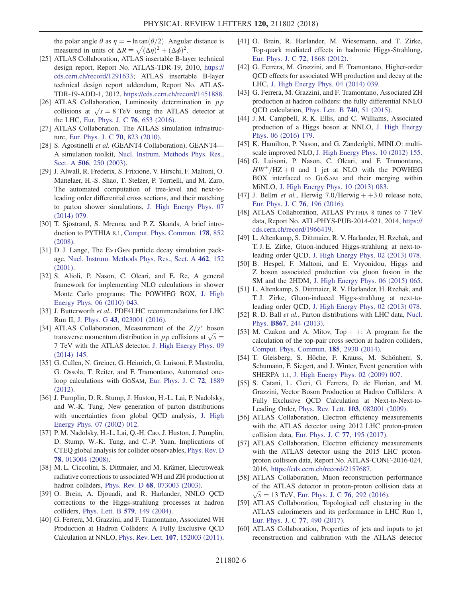the polar angle  $\theta$  as  $\eta = -\ln \tan(\theta/2)$ . Angular distance is measured in units of  $\Delta R = \sqrt{(\Delta \eta)^2 + (\Delta \phi)^2}$ .

- <span id="page-6-0"></span>[25] ATLAS Collaboration, ATLAS insertable B-layer technical design report, Report No. ATLAS-TDR-19, 2010, [https://](https://cds.cern.ch/record/1291633) [cds.cern.ch/record/1291633;](https://cds.cern.ch/record/1291633) ATLAS insertable B-layer technical design report addendum, Report No. ATLAS-TDR-19-ADD-1, 2012, [https://cds.cern.ch/record/1451888.](https://cds.cern.ch/record/1451888)
- <span id="page-6-1"></span>[26] ATLAS Collaboration, Luminosity determination in  $pp$ collisions at  $\sqrt{s} = 8$  TeV using the ATLAS detector at the LHC, [Eur. Phys. J. C](https://doi.org/10.1140/epjc/s10052-016-4466-1) 76, 653 (2016).
- <span id="page-6-2"></span>[27] ATLAS Collaboration, The ATLAS simulation infrastructure, [Eur. Phys. J. C](https://doi.org/10.1140/epjc/s10052-010-1429-9) 70, 823 (2010).
- <span id="page-6-3"></span>[28] S. Agostinelli et al. (GEANT4 Collaboration), GEANT4— A simulation toolkit, [Nucl. Instrum. Methods Phys. Res.,](https://doi.org/10.1016/S0168-9002(03)01368-8) Sect. A **506**[, 250 \(2003\)](https://doi.org/10.1016/S0168-9002(03)01368-8).
- <span id="page-6-9"></span>[29] J. Alwall, R. Frederix, S. Frixione, V. Hirschi, F. Maltoni, O. Mattelaer, H.-S. Shao, T. Stelzer, P. Torrielli, and M. Zaro, The automated computation of tree-level and next-toleading order differential cross sections, and their matching to parton shower simulations, [J. High Energy Phys. 07](https://doi.org/10.1007/JHEP07(2014)079) [\(2014\) 079.](https://doi.org/10.1007/JHEP07(2014)079)
- <span id="page-6-11"></span><span id="page-6-10"></span>[30] T. Sjöstrand, S. Mrenna, and P.Z. Skands, A brief introduction to PYTHIA 8.1, [Comput. Phys. Commun.](https://doi.org/10.1016/j.cpc.2008.01.036) 178, 852 [\(2008\).](https://doi.org/10.1016/j.cpc.2008.01.036)
- <span id="page-6-4"></span>[31] D. J. Lange, The EVTGEN particle decay simulation package, [Nucl. Instrum. Methods Phys. Res., Sect. A](https://doi.org/10.1016/S0168-9002(01)00089-4) 462, 152 [\(2001\).](https://doi.org/10.1016/S0168-9002(01)00089-4)
- [32] S. Alioli, P. Nason, C. Oleari, and E. Re, A general framework for implementing NLO calculations in shower Monte Carlo programs: The POWHEG BOX, [J. High](https://doi.org/10.1007/JHEP06(2010)043) [Energy Phys. 06 \(2010\) 043.](https://doi.org/10.1007/JHEP06(2010)043)
- <span id="page-6-13"></span><span id="page-6-12"></span>[33] J. Butterworth et al., PDF4LHC recommendations for LHC Run II, J. Phys. G 43[, 023001 \(2016\).](https://doi.org/10.1088/0954-3899/43/2/023001)
- <span id="page-6-14"></span>[34] ATLAS Collaboration, Measurement of the  $Z/\gamma^*$  boson transverse momentum distribution in *pp* collisions at  $\sqrt{s}$  = 7 TeV with the ATLAS detector, [J. High Energy Phys. 09](https://doi.org/10.1007/JHEP09(2014)145) [\(2014\) 145.](https://doi.org/10.1007/JHEP09(2014)145)
- <span id="page-6-15"></span>[35] G. Cullen, N. Greiner, G. Heinrich, G. Luisoni, P. Mastrolia, G. Ossola, T. Reiter, and F. Tramontano, Automated oneloop calculations with GOSAM, [Eur. Phys. J. C](https://doi.org/10.1140/epjc/s10052-012-1889-1) 72, 1889 [\(2012\).](https://doi.org/10.1140/epjc/s10052-012-1889-1)
- [36] J. Pumplin, D. R. Stump, J. Huston, H.-L. Lai, P. Nadolsky, and W.-K. Tung, New generation of parton distributions with uncertainties from global QCD analysis, [J. High](https://doi.org/10.1088/1126-6708/2002/07/012) [Energy Phys. 07 \(2002\) 012.](https://doi.org/10.1088/1126-6708/2002/07/012)
- <span id="page-6-16"></span>[37] P. M. Nadolsky, H.-L. Lai, Q.-H. Cao, J. Huston, J. Pumplin, D. Stump, W.-K. Tung, and C.-P. Yuan, Implications of CTEQ global analysis for collider observables, [Phys. Rev. D](https://doi.org/10.1103/PhysRevD.78.013004) 78[, 013004 \(2008\).](https://doi.org/10.1103/PhysRevD.78.013004)
- [38] M. L. Ciccolini, S. Dittmaier, and M. Krämer, Electroweak radiative corrections to associated WH and ZH production at hadron colliders, Phys. Rev. D 68[, 073003 \(2003\)](https://doi.org/10.1103/PhysRevD.68.073003).
- [39] O. Brein, A. Djouadi, and R. Harlander, NNLO QCD corrections to the Higgs-strahlung processes at hadron colliders, [Phys. Lett. B](https://doi.org/10.1016/j.physletb.2003.10.112) 579, 149 (2004).
- [40] G. Ferrera, M. Grazzini, and F. Tramontano, Associated WH Production at Hadron Colliders: A Fully Exclusive QCD Calculation at NNLO, Phys. Rev. Lett. 107[, 152003 \(2011\).](https://doi.org/10.1103/PhysRevLett.107.152003)
- [41] O. Brein, R. Harlander, M. Wiesemann, and T. Zirke, Top-quark mediated effects in hadronic Higgs-Strahlung, [Eur. Phys. J. C](https://doi.org/10.1140/epjc/s10052-012-1868-6) 72, 1868 (2012).
- [42] G. Ferrera, M. Grazzini, and F. Tramontano, Higher-order QCD effects for associated WH production and decay at the LHC, [J. High Energy Phys. 04 \(2014\) 039.](https://doi.org/10.1007/JHEP04(2014)039)
- [43] G. Ferrera, M. Grazzini, and F. Tramontano, Associated ZH production at hadron colliders: the fully differential NNLO QCD calculation, [Phys. Lett. B](https://doi.org/10.1016/j.physletb.2014.11.040) 740, 51 (2015).
- [44] J.M. Campbell, R.K. Ellis, and C. Williams, Associated production of a Higgs boson at NNLO, [J. High Energy](https://doi.org/10.1007/JHEP06(2016)179) [Phys. 06 \(2016\) 179.](https://doi.org/10.1007/JHEP06(2016)179)
- <span id="page-6-17"></span>[45] K. Hamilton, P. Nason, and G. Zanderighi, MINLO: multiscale improved NLO, [J. High Energy Phys. 10 \(2012\) 155.](https://doi.org/10.1007/JHEP10(2012)155)
- [46] G. Luisoni, P. Nason, C. Oleari, and F. Tramontano,  $HW^{\pm}/\text{HZ} + 0$  and 1 jet at NLO with the POWHEG BOX interfaced to GOSAM and their merging within MiNLO, [J. High Energy Phys. 10 \(2013\) 083.](https://doi.org/10.1007/JHEP10(2013)083)
- <span id="page-6-18"></span>[47] J. Bellm et al., Herwig  $7.0$ /Herwig  $++3.0$  release note, [Eur. Phys. J. C](https://doi.org/10.1140/epjc/s10052-016-4018-8) 76, 196 (2016).
- <span id="page-6-19"></span>[48] ATLAS Collaboration, ATLAS PYTHIA 8 tunes to 7 TeV data, Report No. ATL-PHYS-PUB-2014-021, 2014, [https://](https://cds.cern.ch/record/1966419) [cds.cern.ch/record/1966419.](https://cds.cern.ch/record/1966419)
- [49] L. Altenkamp, S. Dittmaier, R. V. Harlander, H. Rzehak, and T. J. E. Zirke, Gluon-induced Higgs-strahlung at next-toleading order QCD, [J. High Energy Phys. 02 \(2013\) 078.](https://doi.org/10.1007/JHEP02(2013)078)
- [50] B. Hespel, F. Maltoni, and E. Vryonidou, Higgs and Z boson associated production via gluon fusion in the SM and the 2HDM, [J. High Energy Phys. 06 \(2015\) 065.](https://doi.org/10.1007/JHEP06(2015)065)
- [51] L. Altenkamp, S. Dittmaier, R. V. Harlander, H. Rzehak, and T. J. Zirke, Gluon-induced Higgs-strahlung at next-toleading order QCD, [J. High Energy Phys. 02 \(2013\) 078.](https://doi.org/10.1007/JHEP02(2013)078)
- <span id="page-6-21"></span><span id="page-6-20"></span>[52] R. D. Ball et al., Parton distributions with LHC data, [Nucl.](https://doi.org/10.1016/j.nuclphysb.2012.10.003) Phys. B867[, 244 \(2013\).](https://doi.org/10.1016/j.nuclphysb.2012.10.003)
- [53] M. Czakon and A. Mitov,  $Top + \pm$ : A program for the calculation of the top-pair cross section at hadron colliders, [Comput. Phys. Commun.](https://doi.org/10.1016/j.cpc.2014.06.021) 185, 2930 (2014).
- <span id="page-6-22"></span><span id="page-6-5"></span>[54] T. Gleisberg, S. Höche, F. Krauss, M. Schönherr, S. Schumann, F. Siegert, and J. Winter, Event generation with SHERPA 1.1, [J. High Energy Phys. 02 \(2009\) 007.](https://doi.org/10.1088/1126-6708/2009/02/007)
- [55] S. Catani, L. Cieri, G. Ferrera, D. de Florian, and M. Grazzini, Vector Boson Production at Hadron Colliders: A Fully Exclusive QCD Calculation at Next-to-Next-to-Leading Order, Phys. Rev. Lett. 103[, 082001 \(2009\)](https://doi.org/10.1103/PhysRevLett.103.082001).
- <span id="page-6-6"></span>[56] ATLAS Collaboration, Electron efficiency measurements with the ATLAS detector using 2012 LHC proton-proton collision data, [Eur. Phys. J. C](https://doi.org/10.1140/epjc/s10052-017-4756-2) 77, 195 (2017).
- [57] ATLAS Collaboration, Electron efficiency measurements with the ATLAS detector using the 2015 LHC protonproton collision data, Report No. ATLAS-CONF-2016-024, 2016, <https://cds.cern.ch/record/2157687>.
- <span id="page-6-8"></span><span id="page-6-7"></span>[58] ATLAS Collaboration, Muon reconstruction performance of the ATLAS detector in proton-proton collision data at  $\sqrt{s}$  = 13 TeV, [Eur. Phys. J. C](https://doi.org/10.1140/epjc/s10052-016-4120-y) 76, 292 (2016).<br>ATLAS Collaboration Topological cell cluste
- [59] ATLAS Collaboration, Topological cell clustering in the ATLAS calorimeters and its performance in LHC Run 1, [Eur. Phys. J. C](https://doi.org/10.1140/epjc/s10052-017-5004-5) 77, 490 (2017).
- [60] ATLAS Collaboration, Properties of jets and inputs to jet reconstruction and calibration with the ATLAS detector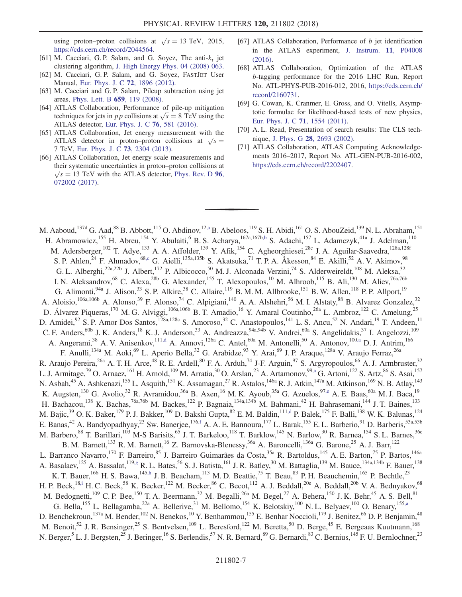using proton–proton collisions at  $\sqrt{s} = 13$  TeV, 2015, [https://cds.cern.ch/record/2044564.](https://cds.cern.ch/record/2044564)

- <span id="page-7-0"></span>[61] M. Cacciari, G. P. Salam, and G. Soyez, The anti- $k_t$  jet clustering algorithm, [J. High Energy Phys. 04 \(2008\) 063.](https://doi.org/10.1088/1126-6708/2008/04/063)
- <span id="page-7-1"></span>[62] M. Cacciari, G. P. Salam, and G. Soyez, FASTJET User Manual, [Eur. Phys. J. C](https://doi.org/10.1140/epjc/s10052-012-1896-2) 72, 1896 (2012).
- <span id="page-7-2"></span>[63] M. Cacciari and G. P. Salam, Pileup subtraction using jet areas, [Phys. Lett. B](https://doi.org/10.1016/j.physletb.2007.09.077) 659, 119 (2008).
- [64] ATLAS Collaboration, Performance of pile-up mitigation techniques for jets in *pp* collisions at  $\sqrt{s} = 8$  TeV using the ATLAS detector, [Eur. Phys. J. C](https://doi.org/10.1140/epjc/s10052-016-4395-z) 76, 581 (2016).
- <span id="page-7-3"></span>[65] ATLAS Collaboration, Jet energy measurement with the ATLAS detector in proton–proton collisions at  $\sqrt{s}$  = <sup>7</sup> TeV, [Eur. Phys. J. C](https://doi.org/10.1140/epjc/s10052-013-2304-2) 73, 2304 (2013).
- [66] ATLAS Collaboration, Jet energy scale measurements and their systematic uncertainties in proton–proton collisions at  $\sqrt{s}$  = 13 TeV with the ATLAS detector, [Phys. Rev. D](https://doi.org/10.1103/PhysRevD.96.072002) 96, 072002 (2017) [072002 \(2017\).](https://doi.org/10.1103/PhysRevD.96.072002)
- <span id="page-7-4"></span>[67] ATLAS Collaboration, Performance of  $b$  jet identification in the ATLAS experiment, [J. Instrum.](https://doi.org/10.1088/1748-0221/11/04/P04008) 11, P04008 [\(2016\).](https://doi.org/10.1088/1748-0221/11/04/P04008)
- [68] ATLAS Collaboration, Optimization of the ATLAS b-tagging performance for the 2016 LHC Run, Report No. ATL-PHYS-PUB-2016-012, 2016, [https://cds.cern.ch/](https://cds.cern.ch/record/2160731) [record/2160731.](https://cds.cern.ch/record/2160731)
- <span id="page-7-5"></span>[69] G. Cowan, K. Cranmer, E. Gross, and O. Vitells, Asymptotic formulae for likelihood-based tests of new physics, [Eur. Phys. J. C](https://doi.org/10.1140/epjc/s10052-011-1554-0) 71, 1554 (2011).
- <span id="page-7-6"></span>[70] A. L. Read, Presentation of search results: The CLS technique, J. Phys. G 28[, 2693 \(2002\).](https://doi.org/10.1088/0954-3899/28/10/313)
- [71] ATLAS Collaboration, ATLAS Computing Acknowledgements 2016–2017, Report No. ATL-GEN-PUB-2016-002, [https://cds.cern.ch/record/2202407.](https://cds.cern.ch/record/2202407)

<span id="page-7-15"></span><span id="page-7-14"></span><span id="page-7-13"></span><span id="page-7-12"></span><span id="page-7-11"></span><span id="page-7-10"></span><span id="page-7-9"></span><span id="page-7-8"></span><span id="page-7-7"></span>M. Aaboud,<sup>137d</sup> G. Aad,<sup>88</sup> B. Abbott,<sup>115</sup> O. Abdinov,<sup>12[,a](#page-19-0)</sup> B. Abeloos,<sup>119</sup> S. H. Abidi,<sup>161</sup> O. S. AbouZeid,<sup>139</sup> N. L. Abraham,<sup>151</sup> H. Abramowicz,<sup>155</sup> H. Abreu,<sup>154</sup> Y. Abulaiti,<sup>6</sup> B. S. Acharya,<sup>167a,167[b,b](#page-19-1)</sup> S. Adachi,<sup>157</sup> L. Adamczyk,<sup>41a</sup> J. Adelman,<sup>110</sup> M. Adersberger,<sup>102</sup> T. Adye,<sup>133</sup> A. A. Affolder,<sup>139</sup> Y. Afik,<sup>154</sup> C. Agheorghiesei,<sup>28c</sup> J. A. Aguilar-Saavedra,<sup>128a,128f</sup> S. P. Ahlen,<sup>24</sup> F. Ahmadov,<sup>6[8,c](#page-19-2)</sup> G. Aielli,<sup>135a,135b</sup> S. Akatsuka,<sup>71</sup> T. P. A. Åkesson,<sup>84</sup> E. Akilli,<sup>52</sup> A. V. Akimov,<sup>98</sup> G. L. Alberghi,<sup>22a,22b</sup> J. Albert,<sup>172</sup> P. Albicocco,<sup>50</sup> M. J. Alconada Verzini,<sup>74</sup> S. Alderweireldt,<sup>108</sup> M. Aleksa,<sup>3</sup> I. N. Aleksandrov,<sup>68</sup> C. Alexa,<sup>28b</sup> G. Alexander,<sup>155</sup> T. Alexopoulos,<sup>10</sup> M. Alhroob,<sup>115</sup> B. Ali,<sup>130</sup> M. Aliev,<sup>76a,76b</sup> G. Alimonti,  $94a$  J. Alison,  $33$  S. P. Alkire,  $38$  C. Allaire,  $119$  B. M. M. Allbrooke,  $151$  B. W. Allen,  $118$  P. P. Allport,  $19$ A. Aloisio,<sup>106a,106b</sup> A. Alonso,<sup>39</sup> F. Alonso,<sup>74</sup> C. Alpigiani,<sup>140</sup> A. A. Alshehri,<sup>56</sup> M. I. Alstaty,<sup>88</sup> B. Alvarez Gonzalez,<sup>32</sup> D. Álvarez Piqueras,<sup>170</sup> M. G. Alviggi,<sup>106a,106b</sup> B. T. Amadio,<sup>16</sup> Y. Amaral Coutinho,<sup>26a</sup> L. Ambroz,<sup>122</sup> C. Amelung,<sup>25</sup> D. Amidei,<sup>92</sup> S. P. Amor Dos Santos,<sup>128a,128c</sup> S. Amoroso,<sup>32</sup> C. Anastopoulos,<sup>141</sup> L. S. Ancu,<sup>52</sup> N. Andari,<sup>19</sup> T. Andeen,<sup>11</sup> C. F. Anders,<sup>60b</sup> J. K. Anders,<sup>18</sup> K. J. Anderson,<sup>33</sup> A. Andreazza,<sup>94a,94b</sup> V. Andrei,<sup>60a</sup> S. Angelidakis,<sup>37</sup> I. Angelozzi,<sup>109</sup> A. Angerami,<sup>38</sup> A. V. Anisenkov,<sup>11[1,d](#page-19-3)</sup> A. Annovi,<sup>126a</sup> C. Antel,<sup>60a</sup> M. Antonelli,<sup>50</sup> A. Antonov,<sup>10[0,a](#page-19-0)</sup> D. J. Antrim,<sup>166</sup> F. Anulli,<sup>134a</sup> M. Aoki,<sup>69</sup> L. Aperio Bella,<sup>32</sup> G. Arabidze,<sup>93</sup> Y. Arai,<sup>69</sup> J. P. Araque,<sup>128a</sup> V. Araujo Ferraz,<sup>26a</sup> R. Araujo Pereira,<sup>26a</sup> A. T. H. Arce,<sup>48</sup> R. E. Ardell,<sup>80</sup> F. A. Arduh,<sup>74</sup> J-F. Arguin,<sup>97</sup> S. Argyropoulos,<sup>66</sup> A. J. Armbruster,<sup>32</sup> L. J. Armitage,<sup>79</sup> O. Arnaez,<sup>161</sup> H. Arnold,<sup>109</sup> M. Arratia,<sup>30</sup> O. Arslan,<sup>23</sup> A. Artamonov,<sup>9[9,a](#page-19-0)</sup> G. Artoni,<sup>122</sup> S. Artz,<sup>86</sup> S. Asai,<sup>157</sup> N. Asbah,<sup>45</sup> A. Ashkenazi,<sup>155</sup> L. Asquith,<sup>151</sup> K. Assamagan,<sup>27</sup> R. Astalos,<sup>146a</sup> R. J. Atkin,<sup>147a</sup> M. Atkinson,<sup>169</sup> N. B. Atlay,<sup>143</sup> K. Augsten,<sup>130</sup> G. Avolio,<sup>32</sup> R. Avramidou,<sup>36a</sup> B. Axen,<sup>16</sup> M. K. Ayoub,<sup>35a</sup> G. Azuelos,<sup>9[7,e](#page-19-4)</sup> A. E. Baas,<sup>60a</sup> M. J. Baca,<sup>19</sup> H. Bachacou,<sup>138</sup> K. Bachas,<sup>76a,76b</sup> M. Backes,<sup>122</sup> P. Bagnaia,<sup>134a,134b</sup> M. Bahmani,<sup>42</sup> H. Bahrasemani,<sup>144</sup> J. T. Baines,<sup>133</sup> M. Bajic,<sup>39</sup> O. K. Baker,<sup>179</sup> P. J. Bakker,<sup>109</sup> D. Bakshi Gupta,<sup>82</sup> E. M. Baldin,<sup>11[1,d](#page-19-3)</sup> P. Balek,<sup>175</sup> F. Balli,<sup>138</sup> W. K. Balunas,<sup>124</sup> E. Banas,<sup>42</sup> A. Bandyopadhyay,<sup>23</sup> Sw. Banerjee,<sup>176[,f](#page-19-5)</sup> A. A. E. Bannoura,<sup>177</sup> L. Barak,<sup>155</sup> E. L. Barberio,<sup>91</sup> D. Barberis,<sup>53a,53b</sup> M. Barbero, <sup>88</sup> T. Barillari, <sup>103</sup> M-S Barisits, <sup>65</sup> J. T. Barkeloo, <sup>118</sup> T. Barklow, <sup>145</sup> N. Barlow, <sup>30</sup> R. Barnea, <sup>154</sup> S. L. Barnes, <sup>36c</sup> B. M. Barnett,<sup>133</sup> R. M. Barnett,<sup>16</sup> Z. Barnovska-Blenessy,<sup>36a</sup> A. Baroncelli,<sup>136a</sup> G. Barone,<sup>25</sup> A. J. Barr,<sup>122</sup> L. Barranco Navarro,<sup>170</sup> F. Barreiro,<sup>85</sup> J. Barreiro Guimarães da Costa,<sup>35a</sup> R. Bartoldus,<sup>145</sup> A. E. Barton,<sup>75</sup> P. Bartos,<sup>146a</sup> A. Basalaev, <sup>125</sup> A. Bassalat, <sup>119[,g](#page-19-6)</sup> R. L. Bates, <sup>56</sup> S. J. Batista, <sup>161</sup> J. R. Batley, <sup>30</sup> M. Battaglia, <sup>139</sup> M. Bauce, <sup>134a,134b</sup> F. Bauer, <sup>138</sup> K. T. Bauer,<sup>166</sup> H. S. Bawa,<sup>14[5,h](#page-19-7)</sup> J. B. Beacham,<sup>113</sup> M. D. Beattie,<sup>75</sup> T. Beau,<sup>83</sup> P. H. Beauchemin,<sup>165</sup> P. Bechtle,<sup>23</sup> H. P. Beck,<sup>1[8,i](#page-19-8)</sup> H. C. Beck,<sup>58</sup> K. Becker,<sup>122</sup> M. Becker,<sup>86</sup> C. Becot,<sup>112</sup> A. J. Beddall,<sup>20e</sup> A. Beddall,<sup>20b</sup> V. A. Bednyakov,<sup>68</sup> M. Bedognetti,<sup>109</sup> C. P. Bee,<sup>150</sup> T. A. Beermann,<sup>32</sup> M. Begalli,<sup>26a</sup> M. Begel,<sup>27</sup> A. Behera,<sup>150</sup> J. K. Behr,<sup>45</sup> A. S. Bell,<sup>81</sup> G. Bella,<sup>155</sup> L. Bellagamba,<sup>22a</sup> A. Bellerive,<sup>31</sup> M. Bellomo,<sup>154</sup> K. Belotskiy,<sup>100</sup> N. L. Belyaev,<sup>100</sup> O. Benary,<sup>15[5,a](#page-19-0)</sup> D. Benchekroun, <sup>137a</sup> M. Bender, <sup>102</sup> N. Benekos, <sup>10</sup> Y. Benhammou, <sup>155</sup> E. Benhar Noccioli, <sup>179</sup> J. Benitez, <sup>66</sup> D. P. Benjamin, <sup>48</sup> M. Benoit,<sup>52</sup> J. R. Bensinger,<sup>25</sup> S. Bentvelsen,<sup>109</sup> L. Beresford,<sup>122</sup> M. Beretta,<sup>50</sup> D. Berge,<sup>45</sup> E. Bergeaas Kuutmann,<sup>168</sup> N. Berger,<sup>5</sup> L. J. Bergsten,<sup>25</sup> J. Beringer,<sup>16</sup> S. Berlendis,<sup>57</sup> N. R. Bernard,<sup>89</sup> G. Bernardi,<sup>83</sup> C. Bernius,<sup>145</sup> F. U. Bernlochner,<sup>23</sup>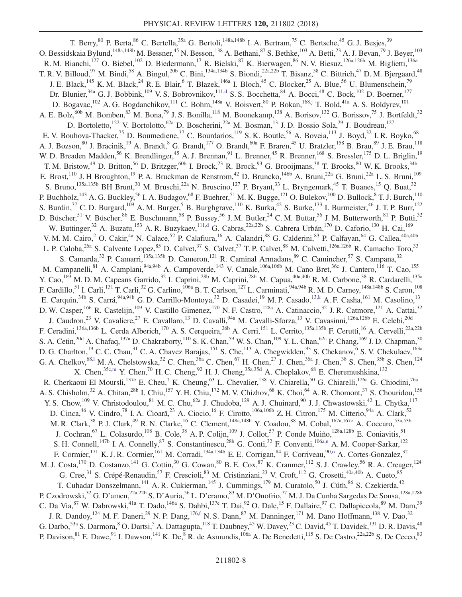<span id="page-8-5"></span><span id="page-8-4"></span><span id="page-8-3"></span><span id="page-8-2"></span><span id="page-8-1"></span><span id="page-8-0"></span>T. Berry,  $80$  P. Berta,  $86$  C. Bertella,  $35a$  G. Bertoli,  $148a,148b$  I. A. Bertram,  $75$  C. Bertsche,  $45$  G. J. Besjes,  $39$ O. Bessidskaia Bylund,<sup>148a,148b</sup> M. Bessner,<sup>45</sup> N. Besson,<sup>138</sup> A. Bethani,<sup>87</sup> S. Bethke,<sup>103</sup> A. Betti,<sup>23</sup> A. J. Bevan,<sup>79</sup> J. Beyer,<sup>103</sup> R. M. Bianchi,<sup>127</sup> O. Biebel,<sup>102</sup> D. Biedermann,<sup>17</sup> R. Bielski,<sup>87</sup> K. Bierwagen,<sup>86</sup> N. V. Biesuz,<sup>126a,126b</sup> M. Biglietti,<sup>136a</sup> T. R. V. Billoud,  $97$  M. Bindi,  $58$  A. Bingul,  $20$ b C. Bini,  $134a,134b$  S. Biondi,  $22a,22b$  T. Bisanz,  $58$  C. Bittrich,  $47$  D. M. Bjergaard,  $48$ J. E. Black,<sup>145</sup> K. M. Black,<sup>24</sup> R. E. Blair,<sup>6</sup> T. Blazek,<sup>146a</sup> I. Bloch,<sup>45</sup> C. Blocker,<sup>25</sup> A. Blue,<sup>56</sup> U. Blumenschein,<sup>79</sup> Dr. Blunier, <sup>34a</sup> G. J. Bobbink, <sup>109</sup> V. S. Bobrovnikov, <sup>111[,d](#page-19-3)</sup> S. S. Bocchetta, <sup>84</sup> A. Bocci, <sup>48</sup> C. Bock, <sup>102</sup> D. Boerner, <sup>177</sup> D. Bogavac,  $^{102}$  A. G. Bogdanchikov,  $^{111}$  C. Bohm,  $^{148a}$  V. Boisvert,  $^{80}$  P. Bokan,  $^{168,j}$  $^{168,j}$  $^{168,j}$  T. Bold,  $^{41a}$  A. S. Boldyrev,  $^{101}$ A. E. Bolz,<sup>60b</sup> M. Bomben,<sup>83</sup> M. Bona,<sup>79</sup> J. S. Bonilla,<sup>118</sup> M. Boonekamp,<sup>138</sup> A. Borisov,<sup>132</sup> G. Borissov,<sup>75</sup> J. Bortfeldt,<sup>32</sup> D. Bortoletto,<sup>122</sup> V. Bortolotto,<sup>62a</sup> D. Boscherini,<sup>22a</sup> M. Bosman,<sup>13</sup> J. D. Bossio Sola,<sup>29</sup> J. Boudreau,<sup>127</sup> E. V. Bouhova-Thacker,<sup>75</sup> D. Boumediene,<sup>37</sup> C. Bourdarios,<sup>119</sup> S. K. Boutle,<sup>56</sup> A. Boveia,<sup>113</sup> J. Boyd,<sup>32</sup> I. R. Boyko,<sup>68</sup> A. J. Bozson,<sup>80</sup> J. Bracinik,<sup>19</sup> A. Brandt,<sup>8</sup> G. Brandt,<sup>177</sup> O. Brandt,<sup>60a</sup> F. Braren,<sup>45</sup> U. Bratzler,<sup>158</sup> B. Brau,<sup>89</sup> J. E. Brau,<sup>118</sup> W. D. Breaden Madden,<sup>56</sup> K. Brendlinger,<sup>45</sup> A. J. Brennan,<sup>91</sup> L. Brenner,<sup>45</sup> R. Brenner,<sup>168</sup> S. Bressler,<sup>175</sup> D. L. Briglin,<sup>19</sup> T. M. Bristow,<sup>49</sup> D. Britton,<sup>56</sup> D. Britzger,<sup>60b</sup> I. Brock,<sup>23</sup> R. Brock,<sup>93</sup> G. Brooijmans,<sup>38</sup> T. Brooks,<sup>80</sup> W. K. Brooks,<sup>34b</sup> E. Brost,<sup>110</sup> J. H Broughton,<sup>19</sup> P. A. Bruckman de Renstrom,<sup>42</sup> D. Bruncko,<sup>146b</sup> A. Bruni,<sup>22a</sup> G. Bruni,<sup>22a</sup> L. S. Bruni,<sup>109</sup> S. Bruno, <sup>135a,135b</sup> BH Brunt,<sup>30</sup> M. Bruschi,<sup>22a</sup> N. Bruscino,<sup>127</sup> P. Bryant,<sup>33</sup> L. Bryngemark,<sup>45</sup> T. Buanes,<sup>15</sup> Q. Buat,<sup>32</sup> P. Buchholz,  $^{143}$  A. G. Buckley,  $^{56}$  I. A. Budagov,  $^{68}$  F. Buehrer,  $^{51}$  M. K. Bugge,  $^{121}$  O. Bulekov,  $^{100}$  D. Bullock,  $^8$  T. J. Burch,  $^{110}$ S. Burdin,  $^{77}$  C. D. Burgard,  $^{109}$  A. M. Burger,  $^5$  B. Burghgrave,  $^{110}$  K. Burka,  $^{42}$  S. Burke,  $^{133}$  I. Burmeister,  $^{46}$  J. T. P. Burr,  $^{122}$ D. Büscher,<sup>51</sup> V. Büscher,<sup>86</sup> E. Buschmann,<sup>58</sup> P. Bussey,<sup>56</sup> J. M. Butler,<sup>24</sup> C. M. Buttar,<sup>56</sup> J. M. Butterworth,<sup>81</sup> P. Butti,<sup>32</sup> W. Buttinger,<sup>32</sup> A. Buzatu,<sup>153</sup> A. R. Buzykaev,<sup>111[,d](#page-19-3)</sup> G. Cabras,<sup>22a,22b</sup> S. Cabrera Urbán,<sup>170</sup> D. Caforio,<sup>130</sup> H. Cai,<sup>169</sup> V. M. M. Cairo,<sup>2</sup> O. Cakir,<sup>4a</sup> N. Calace,<sup>52</sup> P. Calafiura,<sup>16</sup> A. Calandri,<sup>88</sup> G. Calderini,<sup>83</sup> P. Calfayan,<sup>64</sup> G. Callea,<sup>40a,40b</sup> L. P. Caloba,<sup>26a</sup> S. Calvente Lopez,<sup>85</sup> D. Calvet,<sup>37</sup> S. Calvet,<sup>37</sup> T. P. Calvet,<sup>88</sup> M. Calvetti,<sup>126a,126b</sup> R. Camacho Toro,<sup>33</sup> S. Camarda,<sup>32</sup> P. Camarri,<sup>135a,135b</sup> D. Cameron,<sup>121</sup> R. Caminal Armadans,<sup>89</sup> C. Camincher,<sup>57</sup> S. Campana,<sup>32</sup> M. Campanelli, <sup>81</sup> A. Camplani, <sup>94a, 94b</sup> A. Campoverde, <sup>143</sup> V. Canale, <sup>106a, 106b</sup> M. Cano Bret, <sup>36c</sup> J. Cantero, <sup>116</sup> T. Cao, <sup>155</sup> Y. Cao,<sup>169</sup> M. D. M. Capeans Garrido,<sup>32</sup> I. Caprini,<sup>28b</sup> M. Caprini,<sup>28b</sup> M. Capua,<sup>40a,40b</sup> R. M. Carbone,<sup>38</sup> R. Cardarelli,<sup>135a</sup> F. Cardillo,<sup>51</sup> I. Carli,<sup>131</sup> T. Carli,<sup>32</sup> G. Carlino,<sup>106a</sup> B. T. Carlson,<sup>127</sup> L. Carminati,<sup>94a,94b</sup> R. M. D. Carney,<sup>148a,148b</sup> S. Caron,<sup>108</sup> E. Carquin,<sup>34b</sup> S. Carrá,<sup>94a,94b</sup> G. D. Carrillo-Montoya,<sup>32</sup> D. Casadei,<sup>19</sup> M. P. Casado,<sup>13[,k](#page-19-10)</sup> A. F. Casha,<sup>161</sup> M. Casolino,<sup>13</sup> D. W. Casper, <sup>166</sup> R. Castelijn, <sup>109</sup> V. Castillo Gimenez, <sup>170</sup> N. F. Castro, <sup>128a</sup> A. Catinaccio, <sup>32</sup> J. R. Catmore, <sup>121</sup> A. Cattai, <sup>32</sup> J. Caudron,<sup>23</sup> V. Cavaliere,<sup>27</sup> E. Cavallaro,<sup>13</sup> D. Cavalli,<sup>94a</sup> M. Cavalli-Sforza,<sup>13</sup> V. Cavasinni,<sup>126a,126b</sup> E. Celebi,<sup>20d</sup> F. Ceradini,<sup>136a,136b</sup> L. Cerda Alberich,<sup>170</sup> A. S. Cerqueira,<sup>26b</sup> A. Cerri,<sup>151</sup> L. Cerrito,<sup>135a,135b</sup> F. Cerutti,<sup>16</sup> A. Cervelli,<sup>22a,22b</sup> S. A. Cetin,<sup>20d</sup> A. Chafaq,<sup>137a</sup> D. Chakraborty,<sup>110</sup> S. K. Chan,<sup>59</sup> W. S. Chan,<sup>109</sup> Y. L. Chan,<sup>62a</sup> P. Chang,<sup>169</sup> J. D. Chapman,<sup>30</sup> D. G. Charlton,<sup>19</sup> C. C. Chau,<sup>31</sup> C. A. Chavez Barajas,<sup>151</sup> S. Che,<sup>113</sup> A. Chegwidden,<sup>93</sup> S. Chekanov,<sup>6</sup> S. V. Chekulaev,<sup>163a</sup> G. A. Chelkov,<sup>68,1</sup> M. A. Chelstowska,<sup>32</sup> C. Chen,<sup>36a</sup> C. Chen,<sup>67</sup> H. Chen,<sup>27</sup> J. Chen,<sup>36a</sup> J. Chen,<sup>38</sup> S. Chen,<sup>35b</sup> S. Chen,<sup>124</sup> X. Chen,<sup>35[c,m](#page-19-12)</sup> Y. Chen,<sup>70</sup> H. C. Cheng,<sup>92</sup> H. J. Cheng,<sup>35a,35d</sup> A. Cheplakov,<sup>68</sup> E. Cheremushkina,<sup>132</sup> R. Cherkaoui El Moursli,<sup>137e</sup> E. Cheu,<sup>7</sup> K. Cheung,<sup>63</sup> L. Chevalier,<sup>138</sup> V. Chiarella,<sup>50</sup> G. Chiarelli,<sup>126a</sup> G. Chiodini,<sup>76a</sup> A. S. Chisholm,<sup>32</sup> A. Chitan,<sup>28b</sup> I. Chiu,<sup>157</sup> Y. H. Chiu,<sup>172</sup> M. V. Chizhov,<sup>68</sup> K. Choi,<sup>64</sup> A. R. Chomont,<sup>37</sup> S. Chouridou,<sup>156</sup> Y. S. Chow,  $^{109}$  V. Christodoulou,  $^{81}$  M. C. Chu,  $^{62a}$  J. Chudoba,  $^{129}$  A. J. Chuinard,  $^{90}$  J. J. Chwastowski,  $^{42}$  L. Chytka,  $^{117}$ D. Cinca,<sup>46</sup> V. Cindro,<sup>78</sup> I. A. Cioară,<sup>23</sup> A. Ciocio,<sup>16</sup> F. Cirotto,<sup>106a,106b</sup> Z. H. Citron,<sup>175</sup> M. Citterio,<sup>94a</sup> A. Clark,<sup>52</sup> M. R. Clark,<sup>38</sup> P. J. Clark,<sup>49</sup> R. N. Clarke,<sup>16</sup> C. Clement,<sup>148a,148b</sup> Y. Coadou,<sup>88</sup> M. Cobal,<sup>167a,167c</sup> A. Coccaro,<sup>53a,53b</sup> J. Cochran, <sup>67</sup> L. Colasurdo,<sup>108</sup> B. Cole,<sup>38</sup> A. P. Colijn,<sup>109</sup> J. Collot,<sup>57</sup> P. Conde Muiño,<sup>128a,128b</sup> E. Coniavitis,<sup>51</sup> S. H. Connell,<sup>147b</sup> I. A. Connelly, <sup>87</sup> S. Constantinescu,  $^{28b}$  G. Conti,  $^{32}$  F. Conventi,  $^{106a,n}$  $^{106a,n}$  $^{106a,n}$  A. M. Cooper-Sarkar,  $^{122}$ F. Cormier,<sup>171</sup> K. J. R. Cormier,<sup>161</sup> M. Corradi,<sup>134a,134b</sup> E. E. Corrigan,<sup>84</sup> F. Corriveau,<sup>90,0</sup> A. Cortes-Gonzalez,<sup>32</sup> M. J. Costa,<sup>170</sup> D. Costanzo,<sup>141</sup> G. Cottin,<sup>30</sup> G. Cowan,<sup>80</sup> B. E. Cox,<sup>87</sup> K. Cranmer,<sup>112</sup> S. J. Crawley,<sup>56</sup> R. A. Creager,<sup>124</sup> G. Cree,<sup>31</sup> S. Crépé-Renaudin,<sup>57</sup> F. Crescioli,<sup>83</sup> M. Cristinziani,<sup>23</sup> V. Croft,<sup>112</sup> G. Crosetti,<sup>40a,40b</sup> A. Cueto,<sup>85</sup> T. Cuhadar Donszelmann,<sup>141</sup> A. R. Cukierman,<sup>145</sup> J. Cummings,<sup>179</sup> M. Curatolo,<sup>50</sup> J. Cúth,<sup>86</sup> S. Czekierda,<sup>42</sup> P. Czodrowski,<sup>32</sup> G. D'amen,<sup>22a,22b</sup> S. D'Auria,<sup>56</sup> L. D'eramo,<sup>83</sup> M. D'Onofrio,<sup>77</sup> M. J. Da Cunha Sargedas De Sousa,<sup>128a,128b</sup> C. Da Via, <sup>87</sup> W. Dabrowski,<sup>41a</sup> T. Dado,<sup>146a</sup> S. Dahbi,<sup>137e</sup> T. Dai,<sup>92</sup> O. Dale,<sup>15</sup> F. Dallaire,<sup>97</sup> C. Dallapiccola, <sup>89</sup> M. Dam,<sup>39</sup> J. R. Dandoy,<sup>124</sup> M. F. Daneri,<sup>29</sup> N. P. Dang,<sup>17[6,f](#page-19-5)</sup> N. S. Dann,<sup>87</sup> M. Danninger,<sup>171</sup> M. Dano Hoffmann,<sup>138</sup> V. Dao,<sup>32</sup> G. Darbo,<sup>53a</sup> S. Darmora,<sup>8</sup> O. Dartsi,<sup>5</sup> A. Dattagupta,<sup>118</sup> T. Daubney,<sup>45</sup> W. Davey,<sup>23</sup> C. David,<sup>45</sup> T. Davidek,<sup>131</sup> D. R. Davis,<sup>48</sup> P. Davison,  $81$  E. Dawe,  $91$  I. Dawson,  $141$  K. De,  $8$  R. de Asmundis,  $106a$  A. De Benedetti,  $115$  S. De Castro,  $22a,22b$  S. De Cecco,  $83$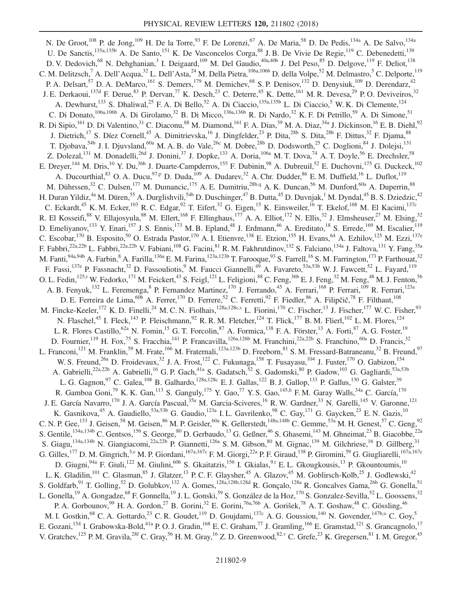<span id="page-9-6"></span><span id="page-9-5"></span><span id="page-9-4"></span><span id="page-9-3"></span><span id="page-9-2"></span><span id="page-9-1"></span><span id="page-9-0"></span>N. De Groot,<sup>108</sup> P. de Jong,<sup>109</sup> H. De la Torre,<sup>93</sup> F. De Lorenzi,<sup>67</sup> A. De Maria,<sup>58</sup> D. De Pedis,<sup>134a</sup> A. De Salvo,<sup>134a</sup> U. De Sanctis,<sup>135a,135b</sup> A. De Santo,<sup>151</sup> K. De Vasconcelos Corga,<sup>88</sup> J. B. De Vivie De Regie,<sup>119</sup> C. Debenedetti,<sup>139</sup> D. V. Dedovich,<sup>68</sup> N. Dehghanian,<sup>3</sup> I. Deigaard,<sup>109</sup> M. Del Gaudio,<sup>40a,40b</sup> J. Del Peso,<sup>85</sup> D. Delgove,<sup>119</sup> F. Deliot,<sup>138</sup> C. M. Delitzsch,<sup>7</sup> A. Dell'Acqua,<sup>32</sup> L. Dell'Asta,<sup>24</sup> M. Della Pietra,<sup>106a,106b</sup> D. della Volpe,<sup>52</sup> M. Delmastro,<sup>5</sup> C. Delporte,<sup>119</sup> P. A. Delsart,<sup>57</sup> D. A. DeMarco,<sup>161</sup> S. Demers,<sup>179</sup> M. Demichev,<sup>68</sup> S. P. Denisov,<sup>132</sup> D. Denysiuk,<sup>109</sup> D. Derendarz,<sup>42</sup> J. E. Derkaoui,<sup>137d</sup> F. Derue,<sup>83</sup> P. Dervan,<sup>77</sup> K. Desch,<sup>23</sup> C. Deterre,<sup>45</sup> K. Dette,<sup>161</sup> M. R. Devesa,<sup>29</sup> P. O. Deviveiros,<sup>32</sup> A. Dewhurst,<sup>133</sup> S. Dhaliwal,<sup>25</sup> F. A. Di Bello,<sup>52</sup> A. Di Ciaccio,<sup>135a,135b</sup> L. Di Ciaccio,<sup>5</sup> W. K. Di Clemente,<sup>124</sup> C. Di Donato,<sup>106a,106b</sup> A. Di Girolamo,<sup>32</sup> B. Di Micco,<sup>136a,136b</sup> R. Di Nardo,<sup>32</sup> K. F. Di Petrillo,<sup>59</sup> A. Di Simone,<sup>51</sup> R. Di Sipio,<sup>161</sup> D. Di Valentino,<sup>31</sup> C. Diaconu,<sup>88</sup> M. Diamond,<sup>161</sup> F. A. Dias,<sup>39</sup> M. A. Diaz,<sup>34a</sup> J. Dickinson,<sup>16</sup> E. B. Diehl,<sup>92</sup> J. Dietrich,<sup>17</sup> S. Díez Cornell,<sup>45</sup> A. Dimitrievska,<sup>16</sup> J. Dingfelder,<sup>23</sup> P. Dita,<sup>28b</sup> S. Dita,<sup>28b</sup> F. Dittus,<sup>32</sup> F. Djama,<sup>88</sup> T. Djobava,<sup>54b</sup> J. I. Djuvsland,<sup>60a</sup> M. A. B. do Vale,<sup>26c</sup> M. Dobre,<sup>28b</sup> D. Dodsworth,<sup>25</sup> C. Doglioni,<sup>84</sup> J. Dolejsi,<sup>131</sup> Z. Dolezal,<sup>131</sup> M. Donadelli,<sup>26d</sup> J. Donini,<sup>37</sup> J. Dopke,<sup>133</sup> A. Doria,<sup>106a</sup> M. T. Dova,<sup>74</sup> A. T. Doyle,<sup>56</sup> E. Drechsler,<sup>58</sup> E. Dreyer,<sup>144</sup> M. Dris,<sup>10</sup> Y. Du,<sup>36b</sup> J. Duarte-Campderros,<sup>155</sup> F. Dubinin,<sup>98</sup> A. Dubreuil,<sup>52</sup> E. Duchovni,<sup>175</sup> G. Duckeck,<sup>102</sup> A. Ducourthial,  $83$  O. A. Ducu,  $97.$ p D. Duda,  $109$  A. Dudarev,  $32$  A. Chr. Dudder,  $86$  E. M. Duffield,  $16$  L. Duflot,  $119$ M. Dührssen,<sup>32</sup> C. Dulsen,<sup>177</sup> M. Dumancic,<sup>175</sup> A. E. Dumitriu,<sup>28[b,q](#page-19-16)</sup> A. K. Duncan,<sup>56</sup> M. Dunford,<sup>60a</sup> A. Duperrin,<sup>88</sup> H. Duran Yildiz,<sup>4a</sup> M. Düren,<sup>55</sup> A. Durglishvili,<sup>54b</sup> D. Duschinger,<sup>47</sup> B. Dutta,<sup>45</sup> D. Duvnjak,<sup>1</sup> M. Dyndal,<sup>45</sup> B. S. Dziedzic,<sup>42</sup> C. Eckardt,<sup>45</sup> K. M. Ecker,<sup>103</sup> R. C. Edgar,<sup>92</sup> T. Eifert,<sup>32</sup> G. Eigen,<sup>15</sup> K. Einsweiler,<sup>16</sup> T. Ekelof,<sup>168</sup> M. El Kacimi,<sup>137c</sup> R. El Kosseifi,<sup>88</sup> V. Ellajosyula,<sup>88</sup> M. Ellert,<sup>168</sup> F. Ellinghaus,<sup>177</sup> A. A. Elliot,<sup>172</sup> N. Ellis,<sup>32</sup> J. Elmsheuser,<sup>27</sup> M. Elsing,<sup>32</sup> D. Emeliyanov,<sup>133</sup> Y. Enari,<sup>157</sup> J. S. Ennis,<sup>173</sup> M. B. Epland,<sup>48</sup> J. Erdmann,<sup>46</sup> A. Ereditato,<sup>18</sup> S. Errede,<sup>169</sup> M. Escalier,<sup>119</sup> C. Escobar,  $170$  B. Esposito,  $50$  O. Estrada Pastor,  $170$  A. I. Etienvre,  $138$  E. Etzion,  $155$  H. Evans,  $64$  A. Ezhilov,  $125$  M. Ezzi,  $137$ e F. Fabbri,<sup>22a,22b</sup> L. Fabbri,<sup>22a,22b</sup> V. Fabiani,<sup>108</sup> G. Facini,<sup>81</sup> R. M. Fakhrutdinov,<sup>132</sup> S. Falciano,<sup>134a</sup> J. Faltova,<sup>131</sup> Y. Fang,<sup>35a</sup> M. Fanti, $^{94a,94b}$  A. Farbin, $^8$  A. Farilla, $^{136a}$  E. M. Farina, $^{123a,123b}$  T. Farooque, $^{93}$  S. Farrell, $^{16}$  S. M. Farrington, $^{173}$  P. Farthouat, $^{32}$ F. Fassi,<sup>137e</sup> P. Fassnacht,<sup>32</sup> D. Fassouliotis,<sup>9</sup> M. Faucci Giannelli,<sup>49</sup> A. Favareto,<sup>53a,53b</sup> W. J. Fawcett,<sup>52</sup> L. Fayard,<sup>119</sup> O. L. Fedin,<sup>12[5,r](#page-19-17)</sup> W. Fedorko,<sup>171</sup> M. Feickert,<sup>43</sup> S. Feigl,<sup>121</sup> L. Feligioni,<sup>88</sup> C. Feng,<sup>36b</sup> E. J. Feng,<sup>32</sup> M. Feng,<sup>48</sup> M. J. Fenton,<sup>56</sup> A. B. Fenyuk,<sup>132</sup> L. Feremenga, <sup>8</sup> P. Fernandez Martinez, <sup>170</sup> J. Ferrando, <sup>45</sup> A. Ferrari, <sup>168</sup> P. Ferrari, <sup>109</sup> R. Ferrari, <sup>123a</sup> D. E. Ferreira de Lima,  $^{60b}$  A. Ferrer,  $^{170}$  D. Ferrere,  $^{52}$  C. Ferretti,  $^{92}$  F. Fiedler,  $^{86}$  A. Filipčič,  $^{78}$  F. Filthaut,  $^{108}$ M. Fincke-Keeler,<sup>172</sup> K. D. Finelli,<sup>24</sup> M. C. N. Fiolhais,<sup>128a,128[c,s](#page-19-18)</sup> L. Fiorini,<sup>170</sup> C. Fischer,<sup>13</sup> J. Fischer,<sup>177</sup> W. C. Fisher,<sup>93</sup> N. Flaschel,<sup>45</sup> I. Fleck,<sup>143</sup> P. Fleischmann,<sup>92</sup> R. R. M. Fletcher,<sup>124</sup> T. Flick,<sup>177</sup> B. M. Flierl,<sup>102</sup> L. M. Flores,<sup>124</sup> L. R. Flores Castillo,<sup>62a</sup> N. Fomin,<sup>15</sup> G. T. Forcolin,<sup>87</sup> A. Formica,<sup>138</sup> F. A. Förster,<sup>13</sup> A. Forti,<sup>87</sup> A. G. Foster,<sup>19</sup> D. Fournier, <sup>119</sup> H. Fox, <sup>75</sup> S. Fracchia, <sup>141</sup> P. Francavilla, <sup>126a, 126b</sup> M. Franchini, <sup>22a, 22b</sup> S. Franchino, <sup>60a</sup> D. Francis, <sup>32</sup> L. Franconi,<sup>121</sup> M. Franklin,<sup>59</sup> M. Frate,<sup>166</sup> M. Fraternali,<sup>123a,123b</sup> D. Freeborn,<sup>81</sup> S. M. Fressard-Batraneanu,<sup>32</sup> B. Freund,<sup>97</sup> W. S. Freund,<sup>26a</sup> D. Froidevaux,<sup>32</sup> J. A. Frost,<sup>122</sup> C. Fukunaga,<sup>158</sup> T. Fusayasu,<sup>104</sup> J. Fuster,<sup>170</sup> O. Gabizon,<sup>154</sup> A. Gabrielli,<sup>22a,22b</sup> A. Gabrielli,<sup>16</sup> G. P. Gach,<sup>41a</sup> S. Gadatsch,<sup>52</sup> S. Gadomski,<sup>80</sup> P. Gadow,<sup>103</sup> G. Gagliardi,<sup>53a,53b</sup> L. G. Gagnon,  $97$  C. Galea,  $^{108}$  B. Galhardo,  $^{128a,128c}$  E. J. Gallas,  $^{122}$  B. J. Gallop,  $^{133}$  P. Gallus,  $^{130}$  G. Galster,  $^{39}$ R. Gamboa Goni,<sup>79</sup> K. K. Gan,<sup>113</sup> S. Ganguly,<sup>175</sup> Y. Gao,<sup>77</sup> Y. S. Gao,<sup>14[5,h](#page-19-7)</sup> F. M. Garay Walls,<sup>34a</sup> C. García,<sup>170</sup> J. E. García Navarro,<sup>170</sup> J. A. García Pascual,<sup>35a</sup> M. Garcia-Sciveres,<sup>16</sup> R. W. Gardner,<sup>33</sup> N. Garelli,<sup>145</sup> V. Garonne,<sup>121</sup> K. Gasnikova,<sup>45</sup> A. Gaudiello,<sup>53a,53b</sup> G. Gaudio,<sup>123a</sup> I. L. Gavrilenko,<sup>98</sup> C. Gay,<sup>171</sup> G. Gaycken,<sup>23</sup> E. N. Gazis,<sup>10</sup> C. N. P. Gee,  $^{133}$  J. Geisen,  $^{58}$  M. Geisen,  $^{86}$  M. P. Geisler,  $^{60a}$  K. Gellerstedt,  $^{148a,148b}$  C. Gemme,  $^{53a}$  M. H. Genest,  $^{57}$  C. Geng,  $^{92}$ S. Gentile,<sup>134a,134b</sup> C. Gentsos,<sup>156</sup> S. George,<sup>80</sup> D. Gerbaudo,<sup>13</sup> G. Geßner,<sup>46</sup> S. Ghasemi,<sup>143</sup> M. Ghneimat,<sup>23</sup> B. Giacobbe,<sup>22a</sup> S. Giagu, <sup>134a,134b</sup> N. Giangiacomi,<sup>22a,22b</sup> P. Giannetti,<sup>126a</sup> S. M. Gibson,<sup>80</sup> M. Gignac,<sup>139</sup> M. Gilchriese,<sup>16</sup> D. Gillberg,<sup>31</sup> G. Gilles,<sup>177</sup> D. M. Gingrich,<sup>3[,e](#page-19-4)</sup> M. P. Giordani,<sup>167a,167c</sup> F. M. Giorgi,<sup>22a</sup> P. F. Giraud,<sup>138</sup> P. Giromini,<sup>59</sup> G. Giugliarelli,<sup>167a,167c</sup> D. Giugni,<sup>94a</sup> F. Giuli,<sup>122</sup> M. Giulini,<sup>60b</sup> S. Gkaitatzis,<sup>156</sup> I. Gkialas,<sup>[9,t](#page-19-19)</sup> E. L. Gkougkousis,<sup>13</sup> P. Gkountoumis,<sup>10</sup> L. K. Gladilin,<sup>101</sup> C. Glasman,<sup>85</sup> J. Glatzer,<sup>13</sup> P. C. F. Glaysher,<sup>45</sup> A. Glazov,<sup>45</sup> M. Goblirsch-Kolb,<sup>25</sup> J. Godlewski,<sup>42</sup> S. Goldfarb, <sup>91</sup> T. Golling,<sup>52</sup> D. Golubkov, <sup>132</sup> A. Gomes, <sup>128a,128b,128d</sup> R. Gonçalo, <sup>128a</sup> R. Goncalves Gama, <sup>26b</sup> G. Gonella, <sup>51</sup> L. Gonella,<sup>19</sup> A. Gongadze,<sup>68</sup> F. Gonnella,<sup>19</sup> J. L. Gonski,<sup>59</sup> S. González de la Hoz,<sup>170</sup> S. Gonzalez-Sevilla,<sup>52</sup> L. Goossens,<sup>32</sup> P. A. Gorbounov,<sup>99</sup> H. A. Gordon,<sup>27</sup> B. Gorini,<sup>32</sup> E. Gorini,<sup>76a,76b</sup> A. Gorišek,<sup>78</sup> A. T. Goshaw,<sup>48</sup> C. Gössling,<sup>46</sup> M. I. Gostkin, <sup>68</sup> C. A. Gottardo, <sup>23</sup> C. R. Goudet, <sup>119</sup> D. Goujdami, <sup>137c</sup> A. G. Goussiou, <sup>140</sup> N. Govender, <sup>147b[,u](#page-19-20)</sup> C. Goy, <sup>5</sup> E. Gozani,<sup>154</sup> I. Grabowska-Bold,<sup>41a</sup> P. O. J. Gradin,<sup>168</sup> E. C. Graham,<sup>77</sup> J. Gramling,<sup>166</sup> E. Gramstad,<sup>121</sup> S. Grancagnolo,<sup>17</sup> V. Gratchev,  $^{125}$  P. M. Gravila,  $^{28f}$  C. Gray,  $^{56}$  H. M. Gray,  $^{16}$  Z. D. Greenwood,  $^{82,y}$  C. Grefe,  $^{23}$  K. Gregersen,  $^{81}$  I. M. Gregor,  $^{45}$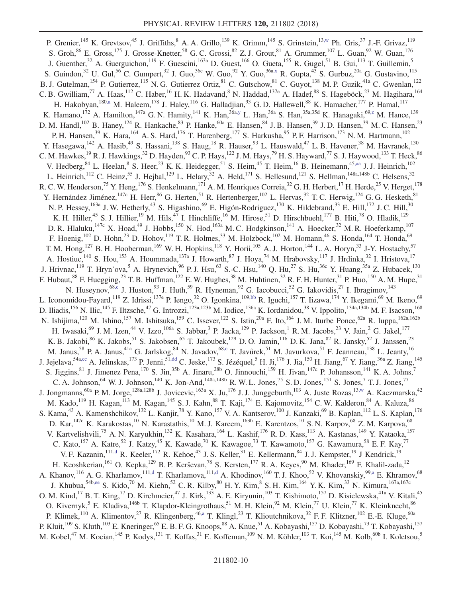<span id="page-10-6"></span><span id="page-10-5"></span><span id="page-10-4"></span><span id="page-10-3"></span><span id="page-10-2"></span><span id="page-10-1"></span><span id="page-10-0"></span>P. Grenier,<sup>145</sup> K. Grevtsov,<sup>45</sup> J. Griffiths,<sup>8</sup> A. A. Grillo,<sup>139</sup> K. Grimm,<sup>145</sup> S. Grinstein,<sup>1[3,w](#page-19-22)</sup> Ph. Gris,<sup>37</sup> J.-F. Grivaz,<sup>119</sup> S. Groh,  $86$  E. Gross,  $^{175}$  J. Grosse-Knetter,  $^{58}$  G. C. Grossi,  $^{82}$  Z. J. Grout,  $^{81}$  A. Grummer,  $^{107}$  L. Guan,  $^{92}$  W. Guan,  $^{176}$ J. Guenther,<sup>32</sup> A. Guerguichon,<sup>119</sup> F. Guescini,<sup>163a</sup> D. Guest,<sup>166</sup> O. Gueta,<sup>155</sup> R. Gugel,<sup>51</sup> B. Gui,<sup>113</sup> T. Guillemin,<sup>5</sup> S. Guindon,<sup>32</sup> U. Gul,<sup>56</sup> C. Gumpert,<sup>32</sup> J. Guo,<sup>36c</sup> W. Guo,<sup>92</sup> Y. Guo,<sup>36[a,x](#page-19-23)</sup> R. Gupta,<sup>43</sup> S. Gurbuz,<sup>20a</sup> G. Gustavino,<sup>115</sup> B. J. Gutelman,<sup>154</sup> P. Gutierrez,<sup>115</sup> N. G. Gutierrez Ortiz,<sup>81</sup> C. Gutschow,<sup>81</sup> C. Guyot,<sup>138</sup> M. P. Guzik,<sup>41a</sup> C. Gwenlan,<sup>122</sup> C. B. Gwilliam,<sup>77</sup> A. Haas,<sup>112</sup> C. Haber,<sup>16</sup> H. K. Hadavand,<sup>8</sup> N. Haddad,<sup>137e</sup> A. Hadef,<sup>88</sup> S. Hageböck,<sup>23</sup> M. Hagihara,<sup>164</sup> H. Hakobyan,<sup>18[0,a](#page-19-0)</sup> M. Haleem,<sup>178</sup> J. Haley,<sup>116</sup> G. Halladjian,<sup>93</sup> G.D. Hallewell,<sup>88</sup> K. Hamacher,<sup>177</sup> P. Hamal,<sup>117</sup> K. Hamano, <sup>172</sup> A. Hamilton, <sup>147a</sup> G. N. Hamity, <sup>141</sup> K. Han, <sup>36a[,y](#page-19-24)</sup> L. Han, <sup>36a</sup> S. Han, <sup>35a, 35d</sup> K. Hanagaki, <sup>69[,z](#page-19-25)</sup> M. Hance, <sup>139</sup> D. M. Handl,<sup>102</sup> B. Haney,<sup>124</sup> R. Hankache,<sup>83</sup> P. Hanke,<sup>60a</sup> E. Hansen,<sup>84</sup> J. B. Hansen,<sup>39</sup> J. D. Hansen,<sup>39</sup> M. C. Hansen,<sup>23</sup> P. H. Hansen,<sup>39</sup> K. Hara,<sup>164</sup> A. S. Hard,<sup>176</sup> T. Harenberg,<sup>177</sup> S. Harkusha,<sup>95</sup> P. F. Harrison,<sup>173</sup> N. M. Hartmann,<sup>102</sup> Y. Hasegawa,<sup>142</sup> A. Hasib,<sup>49</sup> S. Hassani,<sup>138</sup> S. Haug,<sup>18</sup> R. Hauser,<sup>93</sup> L. Hauswald,<sup>47</sup> L. B. Havener,<sup>38</sup> M. Havranek,<sup>130</sup> C. M. Hawkes,  $^{19}$  R. J. Hawkings,  $^{32}$  D. Hayden,  $^{93}$  C. P. Hays,  $^{122}$  J. M. Hays,  $^{79}$  H. S. Hayward,  $^{77}$  S. J. Haywood,  $^{133}$  T. Heck,  $^{86}$ V. Hedberg,  $84$  L. Heelan,  $8$  S. Heer,  $23$  K. K. Heidegger,  $51$  S. Heim,  $45$  T. Heineman,  $16$  B. Heinemann,  $45$ , aa J. J. Heinrich,  $102$ L. Heinrich,<sup>112</sup> C. Heinz,<sup>55</sup> J. Hejbal,<sup>129</sup> L. Helary,<sup>32</sup> A. Held,<sup>171</sup> S. Hellesund,<sup>121</sup> S. Hellman,<sup>148a,148b</sup> C. Helsens,<sup>32</sup> R. C. W. Henderson,<sup>75</sup> Y. Heng,<sup>176</sup> S. Henkelmann,<sup>171</sup> A. M. Henriques Correia,<sup>32</sup> G. H. Herbert,<sup>17</sup> H. Herde,<sup>25</sup> V. Herget,<sup>178</sup> Y. Hernández Jiménez, <sup>147c</sup> H. Herr,<sup>86</sup> G. Herten,<sup>51</sup> R. Hertenberger, <sup>102</sup> L. Hervas,<sup>32</sup> T. C. Herwig, <sup>124</sup> G. G. Hesketh, <sup>81</sup> N. P. Hessey, <sup>163a</sup> J. W. Hetherly, <sup>43</sup> S. Higashino, <sup>69</sup> E. Higón-Rodriguez, <sup>170</sup> K. Hildebrand, <sup>33</sup> E. Hill, <sup>172</sup> J. C. Hill, <sup>30</sup> K. H. Hiller,<sup>45</sup> S. J. Hillier,<sup>19</sup> M. Hils,<sup>47</sup> I. Hinchliffe,<sup>16</sup> M. Hirose,<sup>51</sup> D. Hirschbuehl,<sup>177</sup> B. Hiti,<sup>78</sup> O. Hladik,<sup>129</sup> D. R. Hlaluku,  $^{147c}$  X. Hoad, $^{49}$  J. Hobbs,  $^{150}$  N. Hod,  $^{163a}$  M. C. Hodgkinson,  $^{141}$  A. Hoecker,  $^{32}$  M. R. Hoeferkamp,  $^{107}$ F. Hoenig,<sup>102</sup> D. Hohn,<sup>23</sup> D. Hohov,<sup>119</sup> T. R. Holmes,<sup>33</sup> M. Holzbock,<sup>102</sup> M. Homann,<sup>46</sup> S. Honda,<sup>164</sup> T. Honda,<sup>69</sup> T. M. Hong,<sup>127</sup> B. H. Hooberman,<sup>169</sup> W. H. Hopkins,<sup>118</sup> Y. Horii,<sup>105</sup> A. J. Horton,<sup>144</sup> L. A. Horyn,<sup>33</sup> J-Y. Hostachy,<sup>57</sup> A. Hostiuc,<sup>140</sup> S. Hou,<sup>153</sup> A. Hoummada,<sup>137a</sup> J. Howarth,<sup>87</sup> J. Hoya,<sup>74</sup> M. Hrabovsky,<sup>117</sup> J. Hrdinka,<sup>32</sup> I. Hristova,<sup>17</sup> J. Hrivnac,<sup>119</sup> T. Hryn'ova,<sup>5</sup> A. Hrynevich,<sup>96</sup> P.J. Hsu,<sup>63</sup> S.-C. Hsu,<sup>140</sup> Q. Hu,<sup>27</sup> S. Hu,<sup>36c</sup> Y. Huang,<sup>35a</sup> Z. Hubacek,<sup>130</sup> F. Hubaut,  $^{88}$  F. Huegging,  $^{23}$  T. B. Huffman,  $^{122}$  E. W. Hughes,  $^{38}$  M. Huhtinen,  $^{32}$  R. F. H. Hunter,  $^{31}$  P. Huo,  $^{150}$  A. M. Hupe,  $^{31}$ N. Huseynov,<sup>6[8,c](#page-19-2)</sup> J. Huston,<sup>93</sup> J. Huth,<sup>59</sup> R. Hyneman,<sup>92</sup> G. Iacobucci,<sup>52</sup> G. Iakovidis,<sup>27</sup> I. Ibragimov,<sup>143</sup> L. Iconomidou-Fayard,<sup>119</sup> Z. Idrissi,<sup>137e</sup> P. Iengo,<sup>32</sup> O. Igonkina,<sup>109[,bb](#page-19-27)</sup> R. Iguchi,<sup>157</sup> T. Iizawa,<sup>174</sup> Y. Ikegami,<sup>69</sup> M. Ikeno,<sup>69</sup> D. Iliadis,<sup>156</sup> N. Ilic,<sup>145</sup> F. Iltzsche,<sup>47</sup> G. Introzzi,<sup>123a,123b</sup> M. Iodice,<sup>136a</sup> K. Iordanidou,<sup>38</sup> V. Ippolito,<sup>134a,134b</sup> M. F. Isacson,<sup>168</sup> N. Ishijima,<sup>120</sup> M. Ishino,<sup>157</sup> M. Ishitsuka,<sup>159</sup> C. Issever,<sup>122</sup> S. Istin,<sup>20a</sup> F. Ito,<sup>164</sup> J. M. Iturbe Ponce,<sup>62a</sup> R. Iuppa,<sup>162a,162b</sup> H. Iwasaki,<sup>69</sup> J. M. Izen,<sup>44</sup> V. Izzo,<sup>106a</sup> S. Jabbar,<sup>3</sup> P. Jacka,<sup>129</sup> P. Jackson,<sup>1</sup> R. M. Jacobs,<sup>23</sup> V. Jain,<sup>2</sup> G. Jakel,<sup>177</sup> K. B. Jakobi,  $86$  K. Jakobs,  $51$  S. Jakobsen,  $65$  T. Jakoubek,  $129$  D. O. Jamin,  $116$  D. K. Jana,  $82$  R. Jansky,  $52$  J. Janssen,  $23$ M. Janus,<sup>58</sup> P. A. Janus,<sup>41a</sup> G. Jarlskog,<sup>84</sup> N. Javadov,<sup>68[,c](#page-19-2)</sup> T. Javůrek,<sup>51</sup> M. Javurkova,<sup>51</sup> F. Jeanneau,<sup>138</sup> L. Jeanty,<sup>16</sup> J. Jejelava,<sup>54[a,cc](#page-19-28)</sup> A. Jelinskas,<sup>173</sup> P. Jenni,<sup>51[,dd](#page-19-29)</sup> C. Jeske,<sup>173</sup> S. Jézéquel,<sup>5</sup> H. Ji,<sup>176</sup> J. Jia,<sup>150</sup> H. Jiang,<sup>67</sup> Y. Jiang,<sup>36a</sup> Z. Jiang,<sup>145</sup> S. Jiggins,  $81$  J. Jimenez Pena,  $170$  S. Jin,  $35b$  A. Jinaru,  $28b$  O. Jinnouchi,  $159$  H. Jivan,  $147c$  P. Johansson,  $141$  K. A. Johns,  $7$ C. A. Johnson,<sup>64</sup> W. J. Johnson,<sup>140</sup> K. Jon-And,<sup>148a,148b</sup> R. W. L. Jones,<sup>75</sup> S. D. Jones,<sup>151</sup> S. Jones,<sup>7</sup> T. J. Jones,<sup>77</sup> J. Jongmanns,<sup>60a</sup> P. M. Jorge,<sup>128a,128b</sup> J. Jovicevic,<sup>163a</sup> X. Ju,<sup>176</sup> J. J. Junggeburth,<sup>103</sup> A. Juste Rozas,<sup>1[3,w](#page-19-22)</sup> A. Kaczmarska,<sup>42</sup> M. Kado,<sup>119</sup> H. Kagan,<sup>113</sup> M. Kagan,<sup>145</sup> S. J. Kahn,<sup>88</sup> T. Kaji,<sup>174</sup> E. Kajomovitz,<sup>154</sup> C. W. Kalderon,<sup>84</sup> A. Kaluza,<sup>86</sup> S. Kama,<sup>43</sup> A. Kamenshchikov,<sup>132</sup> L. Kanjir,<sup>78</sup> Y. Kano,<sup>157</sup> V. A. Kantserov,<sup>100</sup> J. Kanzaki,<sup>69</sup> B. Kaplan,<sup>112</sup> L. S. Kaplan,<sup>176</sup> D. Kar, <sup>147c</sup> K. Karakostas, <sup>10</sup> N. Karastathis, <sup>10</sup> M. J. Kareem, <sup>163b</sup> E. Karentzos, <sup>10</sup> S. N. Karpov, <sup>68</sup> Z. M. Karpova, <sup>68</sup> V. Kartvelishvili,<sup>75</sup> A. N. Karyukhin,<sup>132</sup> K. Kasahara,<sup>164</sup> L. Kashif,<sup>176</sup> R. D. Kass,<sup>113</sup> A. Kastanas,<sup>149</sup> Y. Kataoka,<sup>157</sup> C. Kato,<sup>157</sup> A. Katre,<sup>52</sup> J. Katzy,<sup>45</sup> K. Kawade,<sup>70</sup> K. Kawagoe,<sup>73</sup> T. Kawamoto,<sup>157</sup> G. Kawamura,<sup>58</sup> E. F. Kay,<sup>77</sup> V. F. Kazanin,<sup>11[1,d](#page-19-3)</sup> R. Keeler,<sup>172</sup> R. Kehoe,<sup>43</sup> J. S. Keller,<sup>31</sup> E. Kellermann,<sup>84</sup> J. J. Kempster,<sup>19</sup> J Kendrick,<sup>19</sup> H. Keoshkerian, <sup>161</sup> O. Kepka, <sup>129</sup> B. P. Kerševan, <sup>78</sup> S. Kersten, <sup>177</sup> R. A. Keyes, <sup>90</sup> M. Khader, <sup>169</sup> F. Khalil-zada, <sup>12</sup> A. Khanov, 116 A. G. Kharlamov, 11[1,d](#page-19-3) T. Kharlamova, 111[,d](#page-19-3) A. Khodinov, <sup>160</sup> T. J. Khoo, <sup>52</sup> V. Khovanskiy, <sup>9[9,a](#page-19-0)</sup> E. Khramov, <sup>68</sup> J. Khubua,<sup>54[b,ee](#page-19-30)</sup> S. Kido,<sup>70</sup> M. Kiehn,<sup>52</sup> C. R. Kilby,<sup>80</sup> H. Y. Kim,<sup>8</sup> S. H. Kim,<sup>164</sup> Y. K. Kim,<sup>33</sup> N. Kimura,<sup>167a,167c</sup> O. M. Kind,<sup>17</sup> B. T. King,<sup>77</sup> D. Kirchmeier,<sup>47</sup> J. Kirk,<sup>133</sup> A. E. Kiryunin,<sup>103</sup> T. Kishimoto,<sup>157</sup> D. Kisielewska,<sup>41a</sup> V. Kitali,<sup>45</sup> O. Kivernyk,<sup>5</sup> E. Kladiva,<sup>146b</sup> T. Klapdor-Kleingrothaus,<sup>51</sup> M. H. Klein,<sup>92</sup> M. Klein,<sup>77</sup> U. Klein,<sup>77</sup> K. Kleinknecht,<sup>86</sup> P. Klimek,<sup>110</sup> A. Klimentov,<sup>27</sup> R. Klingenberg,<sup>4[6,a](#page-19-0)</sup> T. Klingl,<sup>23</sup> T. Klioutchnikova,<sup>32</sup> F. F. Klitzner,<sup>102</sup> E.-E. Kluge,<sup>60a</sup> P. Kluit,<sup>109</sup> S. Kluth,<sup>103</sup> E. Kneringer,<sup>65</sup> E. B. F. G. Knoops,<sup>88</sup> A. Knue,<sup>51</sup> A. Kobayashi,<sup>157</sup> D. Kobayashi,<sup>73</sup> T. Kobayashi,<sup>157</sup> M. Kobel,<sup>47</sup> M. Kocian,<sup>145</sup> P. Kodys,<sup>131</sup> T. Koffas,<sup>31</sup> E. Koffeman,<sup>109</sup> N. M. Köhler,<sup>103</sup> T. Koi,<sup>145</sup> M. Kolb,<sup>60b</sup> I. Koletsou,<sup>5</sup>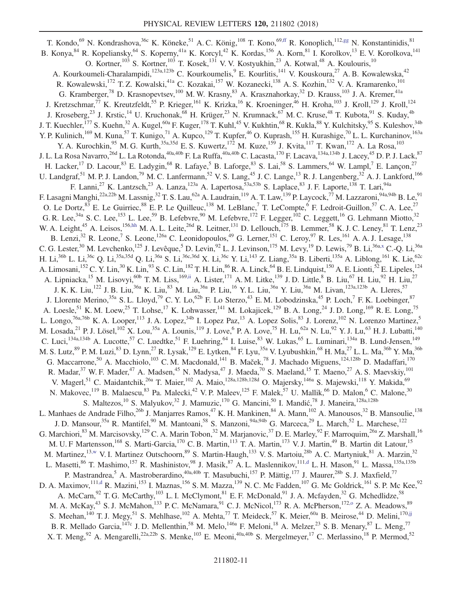<span id="page-11-3"></span><span id="page-11-2"></span><span id="page-11-1"></span><span id="page-11-0"></span>T. Kondo,<sup>69</sup> N. Kondrashova,<sup>36c</sup> K. Köneke,<sup>51</sup> A. C. König,<sup>108</sup> T. Kono,<sup>6[9,ff](#page-19-31)</sup> R. Konoplich,<sup>112[,gg](#page-20-0)</sup> N. Konstantinidis,<sup>81</sup> B. Konya,<sup>84</sup> R. Kopeliansky,<sup>64</sup> S. Koperny,<sup>41a</sup> K. Korcyl,<sup>42</sup> K. Kordas,<sup>156</sup> A. Korn,<sup>81</sup> I. Korolkov,<sup>13</sup> E. V. Korolkova,<sup>141</sup> O. Kortner,<sup>103</sup> S. Kortner,<sup>103</sup> T. Kosek,<sup>131</sup> V. V. Kostyukhin,<sup>23</sup> A. Kotwal,<sup>48</sup> A. Koulouris,<sup>10</sup> A. Kourkoumeli-Charalampidi,<sup>123a,123b</sup> C. Kourkoumelis, E. Kourlitis, <sup>141</sup> V. Kouskoura, <sup>27</sup> A. B. Kowalewska, <sup>42</sup> R. Kowalewski,<sup>172</sup> T. Z. Kowalski,<sup>41a</sup> C. Kozakai,<sup>157</sup> W. Kozanecki,<sup>138</sup> A. S. Kozhin,<sup>132</sup> V. A. Kramarenko,<sup>101</sup> G. Kramberger,<sup>78</sup> D. Krasnopevtsev,<sup>100</sup> M. W. Krasny,<sup>83</sup> A. Krasznahorkay,<sup>32</sup> D. Krauss,<sup>103</sup> J. A. Kremer,<sup>41a</sup> J. Kretzschmar,<sup>77</sup> K. Kreutzfeldt,<sup>55</sup> P. Krieger,<sup>161</sup> K. Krizka,<sup>16</sup> K. Kroeninger,<sup>46</sup> H. Kroha,<sup>103</sup> J. Kroll,<sup>129</sup> J. Kroll,<sup>124</sup> J. Kroseberg,<sup>23</sup> J. Krstic,<sup>14</sup> U. Kruchonak,<sup>68</sup> H. Krüger,<sup>23</sup> N. Krumnack,<sup>67</sup> M. C. Kruse,<sup>48</sup> T. Kubota,<sup>91</sup> S. Kuday,<sup>4b</sup> J. T. Kuechler,<sup>177</sup> S. Kuehn,<sup>32</sup> A. Kugel,<sup>60a</sup> F. Kuger,<sup>178</sup> T. Kuhl,<sup>45</sup> V. Kukhtin,<sup>68</sup> R. Kukla,<sup>88</sup> Y. Kulchitsky,<sup>95</sup> S. Kuleshov,<sup>34b</sup> Y. P. Kulinich,<sup>169</sup> M. Kuna,<sup>57</sup> T. Kunigo,<sup>71</sup> A. Kupco,<sup>129</sup> T. Kupfer,<sup>46</sup> O. Kuprash,<sup>155</sup> H. Kurashige,<sup>70</sup> L. L. Kurchaninov,<sup>163a</sup> Y. A. Kurochkin, <sup>95</sup> M. G. Kurth, <sup>35a, 35d</sup> E. S. Kuwertz, <sup>172</sup> M. Kuze, <sup>159</sup> J. Kvita, <sup>117</sup> T. Kwan, <sup>172</sup> A. La Rosa, <sup>103</sup> J. L. La Rosa Navarro,<sup>26d</sup> L. La Rotonda,<sup>40a,40b</sup> F. La Ruffa,<sup>40a,40b</sup> C. Lacasta,<sup>170</sup> F. Lacava,<sup>134a,134b</sup> J. Lacey,<sup>45</sup> D. P. J. Lack,<sup>87</sup> H. Lacker,<sup>17</sup> D. Lacour,<sup>83</sup> E. Ladygin,<sup>68</sup> R. Lafaye,<sup>5</sup> B. Laforge,<sup>83</sup> S. Lai,<sup>58</sup> S. Lammers,<sup>64</sup> W. Lampl,<sup>7</sup> E. Lançon,<sup>27</sup> U. Landgraf, <sup>51</sup> M. P. J. Landon, <sup>79</sup> M. C. Lanfermann, <sup>52</sup> V. S. Lang, <sup>45</sup> J. C. Lange, <sup>13</sup> R. J. Langenberg, <sup>32</sup> A. J. Lankford, <sup>166</sup> F. Lanni,<sup>27</sup> K. Lantzsch,<sup>23</sup> A. Lanza,<sup>123a</sup> A. Lapertosa,<sup>53a,53b</sup> S. Laplace,<sup>83</sup> J. F. Laporte,<sup>138</sup> T. Lari,<sup>94a</sup> F. Lasagni Manghi,<sup>22a,22b</sup> M. Lassnig,<sup>32</sup> T. S. Lau,<sup>62a</sup> A. Laudrain,<sup>119</sup> A. T. Law,<sup>139</sup> P. Laycock,<sup>77</sup> M. Lazzaroni,<sup>94a,94b</sup> B. Le,<sup>91</sup> O. Le Dortz,  $^{83}$  E. Le Guirriec,  $^{88}$  E. P. Le Quilleuc,  $^{138}$  M. LeBlanc, T. LeCompte,  $^{6}$  F. Ledroit-Guillon,  $^{57}$  C. A. Lee,  $^{27}$ G. R. Lee,<sup>34a</sup> S. C. Lee,<sup>153</sup> L. Lee,<sup>59</sup> B. Lefebvre,<sup>90</sup> M. Lefebvre,<sup>172</sup> F. Legger,<sup>102</sup> C. Leggett,<sup>16</sup> G. Lehmann Miotto,<sup>32</sup> W. A. Leight,<sup>45</sup> A. Leisos,<sup>156[,hh](#page-20-1)</sup> M. A. L. Leite,<sup>26d</sup> R. Leitner,<sup>131</sup> D. Lellouch,<sup>175</sup> B. Lemmer,<sup>58</sup> K. J. C. Leney,<sup>81</sup> T. Lenz,<sup>23</sup> B. Lenzi,<sup>32</sup> R. Leone,<sup>7</sup> S. Leone,<sup>126a</sup> C. Leonidopoulos,<sup>49</sup> G. Lerner,<sup>151</sup> C. Leroy,<sup>97</sup> R. Les,<sup>161</sup> A. A. J. Lesage,<sup>138</sup> C. G. Lester,<sup>30</sup> M. Levchenko,<sup>125</sup> J. Levêque,<sup>5</sup> D. Levin,<sup>92</sup> L. J. Levinson,<sup>175</sup> M. Levy,<sup>19</sup> D. Lewis,<sup>79</sup> B. Li,<sup>36a[,x](#page-19-23)</sup> C.-Q. Li,<sup>36a</sup> H. Li,<sup>36b</sup> L. Li,<sup>36c</sup> Q. Li,<sup>35a,35d</sup> Q. Li,<sup>36a</sup> S. Li,<sup>36c,36d</sup> X. Li,<sup>36c</sup> Y. Li,<sup>143</sup> Z. Liang,<sup>35a</sup> B. Liberti,<sup>135a</sup> A. Liblong,<sup>161</sup> K. Lie,<sup>62c</sup> A. Limosani,<sup>152</sup> C. Y. Lin,<sup>30</sup> K. Lin,<sup>93</sup> S. C. Lin,<sup>182</sup> T. H. Lin,<sup>86</sup> R. A. Linck,<sup>64</sup> B. E. Lindquist,<sup>150</sup> A. E. Lionti,<sup>52</sup> E. Lipeles,<sup>124</sup> A. Lipniacka,<sup>15</sup> M. Lisovyi,<sup>60b</sup> T. M. Liss,<sup>169[,ii](#page-20-2)</sup> A. Lister,<sup>171</sup> A. M. Litke,<sup>139</sup> J. D. Little,<sup>8</sup> B. Liu,<sup>67</sup> H. Liu,<sup>92</sup> H. Liu,<sup>27</sup> J. K. K. Liu,<sup>122</sup> J. B. Liu,<sup>36a</sup> K. Liu,<sup>83</sup> M. Liu,<sup>36a</sup> P. Liu,<sup>16</sup> Y. L. Liu,<sup>36a</sup> Y. Liu,<sup>36a</sup> M. Livan,<sup>123a,123b</sup> A. Lleres,<sup>57</sup> J. Llorente Merino,<sup>35a</sup> S. L. Lloyd,<sup>79</sup> C. Y. Lo,<sup>62b</sup> F. Lo Sterzo,<sup>43</sup> E. M. Lobodzinska,<sup>45</sup> P. Loch,<sup>7</sup> F. K. Loebinger,<sup>87</sup> A. Loesle,<sup>51</sup> K. M. Loew,<sup>25</sup> T. Lohse,<sup>17</sup> K. Lohwasser,<sup>141</sup> M. Lokajicek,<sup>129</sup> B. A. Long,<sup>24</sup> J. D. Long,<sup>169</sup> R. E. Long,<sup>75</sup> L. Longo,<sup>76a,76b</sup> K. A. Looper,<sup>113</sup> J. A. Lopez,<sup>34b</sup> I. Lopez Paz,<sup>13</sup> A. Lopez Solis,<sup>83</sup> J. Lorenz,<sup>102</sup> N. Lorenzo Martinez,<sup>5</sup> M. Losada, <sup>21</sup> P. J. Lösel, <sup>102</sup> X. Lou,<sup>35a</sup> A. Lounis, <sup>119</sup> J. Love, <sup>6</sup> P. A. Love, <sup>75</sup> H. Lu, <sup>62a</sup> N. Lu, <sup>92</sup> Y. J. Lu, <sup>63</sup> H. J. Lubatti, <sup>140</sup> C. Luci,<sup>134a,134b</sup> A. Lucotte,<sup>57</sup> C. Luedtke,<sup>51</sup> F. Luehring,<sup>64</sup> I. Luise,<sup>83</sup> W. Lukas,<sup>65</sup> L. Luminari,<sup>134a</sup> B. Lund-Jensen,<sup>149</sup> M. S. Lutz,<sup>89</sup> P. M. Luzi,<sup>83</sup> D. Lynn,<sup>27</sup> R. Lysak,<sup>129</sup> E. Lytken,<sup>84</sup> F. Lyu,<sup>35a</sup> V. Lyubushkin,<sup>68</sup> H. Ma,<sup>27</sup> L. L. Ma,<sup>36b</sup> Y. Ma,<sup>36b</sup> G. Maccarrone,<sup>50</sup> A. Macchiolo,<sup>103</sup> C. M. Macdonald,<sup>141</sup> B. Maček,<sup>78</sup> J. Machado Miguens,<sup>124,128b</sup> D. Madaffari,<sup>170</sup> R. Madar,<sup>37</sup> W. F. Mader,<sup>47</sup> A. Madsen,<sup>45</sup> N. Madysa,<sup>47</sup> J. Maeda,<sup>70</sup> S. Maeland,<sup>15</sup> T. Maeno,<sup>27</sup> A. S. Maevskiy,<sup>101</sup> V. Magerl,<sup>51</sup> C. Maidantchik,<sup>26a</sup> T. Maier,<sup>102</sup> A. Maio,<sup>128a,128b,128d</sup> O. Majersky,<sup>146a</sup> S. Majewski,<sup>118</sup> Y. Makida,<sup>69</sup> N. Makovec,<sup>119</sup> B. Malaescu,<sup>83</sup> Pa. Malecki,<sup>42</sup> V. P. Maleev,<sup>125</sup> F. Malek,<sup>57</sup> U. Mallik,<sup>66</sup> D. Malon,<sup>6</sup> C. Malone,<sup>30</sup> S. Maltezos, <sup>10</sup> S. Malyukov, <sup>32</sup> J. Mamuzic, <sup>170</sup> G. Mancini, <sup>50</sup> I. Mandić, <sup>78</sup> J. Maneira, <sup>128a, 128b</sup> L. Manhaes de Andrade Filho,<sup>26b</sup> J. Manjarres Ramos,<sup>47</sup> K. H. Mankinen,<sup>84</sup> A. Mann,<sup>102</sup> A. Manousos,<sup>32</sup> B. Mansoulie,<sup>138</sup> J. D. Mansour,<sup>35a</sup> R. Mantifel,<sup>90</sup> M. Mantoani,<sup>58</sup> S. Manzoni,<sup>94a,94b</sup> G. Marceca,<sup>29</sup> L. March,<sup>52</sup> L. Marchese,<sup>122</sup> G. Marchiori,<sup>83</sup> M. Marcisovsky,<sup>129</sup> C. A. Marin Tobon,<sup>32</sup> M. Marjanovic,<sup>37</sup> D. E. Marley,<sup>92</sup> F. Marroquim,<sup>26a</sup> Z. Marshall,<sup>16</sup> M. U. F Martensson,<sup>168</sup> S. Marti-Garcia,<sup>170</sup> C. B. Martin,<sup>113</sup> T. A. Martin,<sup>173</sup> V. J. Martin,<sup>49</sup> B. Martin dit Latour,<sup>15</sup> M. Martinez,<sup>1[3,w](#page-19-22)</sup> V. I. Martinez Outschoorn,<sup>89</sup> S. Martin-Haugh,<sup>133</sup> V. S. Martoiu,<sup>28b</sup> A. C. Martyniuk,<sup>81</sup> A. Marzin,<sup>32</sup> L. Masetti, $^{86}$  T. Mashimo,<sup>157</sup> R. Mashinistov, $^{98}$  J. Masik, $^{87}$  A. L. Maslennikov, $^{111,d}$  $^{111,d}$  $^{111,d}$  L. H. Mason, $^{91}$  L. Massa, $^{135a,135b}$ P. Mastrandrea,<sup>5</sup> A. Mastroberardino,<sup>40a,40b</sup> T. Masubuchi,<sup>157</sup> P. Mättig,<sup>177</sup> J. Maurer,<sup>28b</sup> S. J. Maxfield,<sup>77</sup> D. A. Maximov,  $^{111,d}$  $^{111,d}$  $^{111,d}$  R. Mazini,  $^{153}$  I. Maznas,  $^{156}$  S. M. Mazza,  $^{139}$  N. C. Mc Fadden,  $^{107}$  G. Mc Goldrick,  $^{161}$  S. P. Mc Kee,  $^{92}$ A. McCarn, <sup>92</sup> T. G. McCarthy, <sup>103</sup> L. I. McClymont, <sup>81</sup> E. F. McDonald, <sup>91</sup> J. A. Mcfayden, <sup>32</sup> G. Mchedlidze, <sup>58</sup> M. A. McKay,<sup>43</sup> S. J. McMahon,<sup>133</sup> P. C. McNamara,<sup>91</sup> C. J. McNicol,<sup>173</sup> R. A. McPherson,<sup>172,0</sup> Z. A. Meadows,<sup>89</sup> S. Meehan,  $^{140}$  T. J. Megy,  $^{51}$  S. Mehlhase,  $^{102}$  A. Mehta,  $^{77}$  T. Meideck,  $^{57}$  K. Meier,  $^{60a}$  B. Meirose,  $^{44}$  D. Melini,  $^{170,jj}$  $^{170,jj}$  $^{170,jj}$ B. R. Mellado Garcia, <sup>147c</sup> J. D. Mellenthin,<sup>58</sup> M. Melo, <sup>146a</sup> F. Meloni, <sup>18</sup> A. Melzer, <sup>23</sup> S. B. Menary, <sup>87</sup> L. Meng, <sup>77</sup> X. T. Meng, <sup>92</sup> A. Mengarelli, <sup>22a, 22b</sup> S. Menke, <sup>103</sup> E. Meoni, <sup>40a, 40b</sup> S. Mergelmeyer, <sup>17</sup> C. Merlassino, <sup>18</sup> P. Mermod, <sup>52</sup>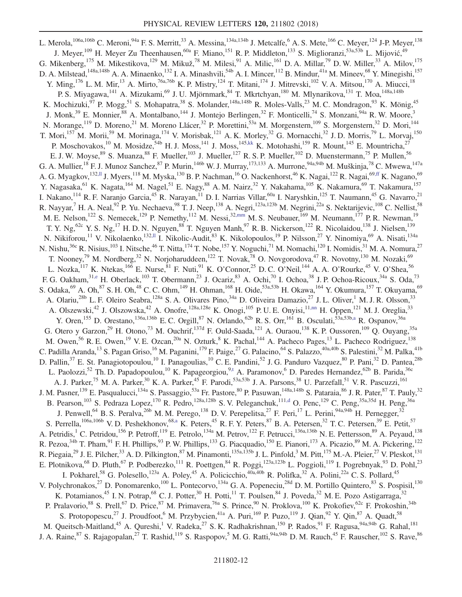<span id="page-12-3"></span><span id="page-12-2"></span><span id="page-12-1"></span><span id="page-12-0"></span>L. Merola, <sup>106a, 106b</sup> C. Meroni, <sup>94a</sup> F. S. Merritt, <sup>33</sup> A. Messina, <sup>134a, 134b</sup> J. Metcalfe, <sup>6</sup> A. S. Mete, <sup>166</sup> C. Meyer, <sup>124</sup> J-P. Meyer, <sup>138</sup> J. Meyer,<sup>109</sup> H. Meyer Zu Theenhausen,<sup>60a</sup> F. Miano,<sup>151</sup> R. P. Middleton,<sup>133</sup> S. Miglioranzi,<sup>53a,53b</sup> L. Mijović,<sup>49</sup> G. Mikenberg, <sup>175</sup> M. Mikestikova, <sup>129</sup> M. Mikuž, <sup>78</sup> M. Milesi, <sup>91</sup> A. Milic, <sup>161</sup> D. A. Millar, <sup>79</sup> D. W. Miller, <sup>33</sup> A. Milov, <sup>175</sup> D. A. Milstead,<sup>148a,148b</sup> A. A. Minaenko,<sup>132</sup> I. A. Minashvili,<sup>54b</sup> A. I. Mincer,<sup>112</sup> B. Mindur,<sup>41a</sup> M. Mineev,<sup>68</sup> Y. Minegishi,<sup>157</sup> Y. Ming,<sup>176</sup> L. M. Mir,<sup>13</sup> A. Mirto,<sup>76a,76b</sup> K. P. Mistry,<sup>124</sup> T. Mitani,<sup>174</sup> J. Mitrevski,<sup>102</sup> V. A. Mitsou,<sup>170</sup> A. Miucci,<sup>18</sup> P. S. Miyagawa,<sup>141</sup> A. Mizukami,<sup>69</sup> J. U. Mjörnmark,<sup>84</sup> T. Mkrtchyan,<sup>180</sup> M. Mlynarikova,<sup>131</sup> T. Moa,<sup>148a,148b</sup> K. Mochizuki,<sup>97</sup> P. Mogg,<sup>51</sup> S. Mohapatra,<sup>38</sup> S. Molander,<sup>148a,148b</sup> R. Moles-Valls,<sup>23</sup> M. C. Mondragon,<sup>93</sup> K. Mönig,<sup>45</sup> J. Monk,<sup>39</sup> E. Monnier,<sup>88</sup> A. Montalbano,<sup>144</sup> J. Montejo Berlingen,<sup>32</sup> F. Monticelli,<sup>74</sup> S. Monzani,<sup>94a</sup> R. W. Moore,<sup>3</sup> N. Morange,<sup>119</sup> D. Moreno,<sup>21</sup> M. Moreno Llácer,<sup>32</sup> P. Morettini,<sup>53a</sup> M. Morgenstern,<sup>109</sup> S. Morgenstern,<sup>32</sup> D. Mori,<sup>144</sup> T. Mori,<sup>157</sup> M. Morii,<sup>59</sup> M. Morinaga,<sup>174</sup> V. Morisbak,<sup>121</sup> A. K. Morley,<sup>32</sup> G. Mornacchi,<sup>32</sup> J. D. Morris,<sup>79</sup> L. Morvaj,<sup>150</sup> P. Moschovakos,<sup>10</sup> M. Mosidze,<sup>54b</sup> H. J. Moss,<sup>141</sup> J. Moss,<sup>145[,kk](#page-20-4)</sup> K. Motohashi,<sup>159</sup> R. Mount,<sup>145</sup> E. Mountricha,<sup>27</sup> E. J. W. Moyse,  $89$  S. Muanza,  $88$  F. Mueller,  $103$  J. Mueller,  $127$  R. S. P. Mueller,  $102$  D. Muenstermann,  $75$  P. Mullen,  $56$ G. A. Mullier, <sup>18</sup> F. J. Munoz Sanchez, <sup>87</sup> P. Murin, <sup>146b</sup> W. J. Murray, <sup>173,133</sup> A. Murrone, <sup>94a,94b</sup> M. Muškinja, <sup>78</sup> C. Mwewa, <sup>147a</sup> A. G. Myagkov, $^{132,1\!}$  J. Myers, $^{118}$  M. Myska, $^{130}$  B. P. Nachman, $^{16}$  O. Nackenhorst, $^{46}$  K. Nagai, $^{122}$  R. Nagai, $^{69,ff}$  $^{69,ff}$  $^{69,ff}$  K. Nagano, $^{69}$ Y. Nagasaka,<sup>61</sup> K. Nagata,<sup>164</sup> M. Nagel,<sup>51</sup> E. Nagy,<sup>88</sup> A. M. Nairz,<sup>32</sup> Y. Nakahama,<sup>105</sup> K. Nakamura,<sup>69</sup> T. Nakamura,<sup>157</sup> I. Nakano,<sup>114</sup> R. F. Naranjo Garcia,<sup>45</sup> R. Narayan,<sup>11</sup> D. I. Narrias Villar,<sup>60a</sup> I. Naryshkin,<sup>125</sup> T. Naumann,<sup>45</sup> G. Navarro,<sup>21</sup> R. Nayyar,<sup>7</sup> H. A. Neal,<sup>92</sup> P. Yu. Nechaeva,<sup>98</sup> T. J. Neep,<sup>138</sup> A. Negri,<sup>123a,123b</sup> M. Negrini,<sup>22a</sup> S. Nektarijevic,<sup>108</sup> C. Nellist,<sup>58</sup> M. E. Nelson,<sup>122</sup> S. Nemecek,<sup>129</sup> P. Nemethy,<sup>112</sup> M. Nessi,<sup>3[2,mm](#page-20-6)</sup> M. S. Neubauer,<sup>169</sup> M. Neumann,<sup>177</sup> P. R. Newman,<sup>19</sup> T. Y. Ng,  $^{62c}$  Y. S. Ng,  $^{17}$  H. D. N. Nguyen,  $^{88}$  T. Nguyen Manh,  $^{97}$  R. B. Nickerson,  $^{122}$  R. Nicolaidou,  $^{138}$  J. Nielsen,  $^{139}$ N. Nikiforou,<sup>11</sup> V. Nikolaenko,<sup>132[,ll](#page-20-5)</sup> I. Nikolic-Audit,<sup>83</sup> K. Nikolopoulos,<sup>19</sup> P. Nilsson,<sup>27</sup> Y. Ninomiya,<sup>69</sup> A. Nisati,<sup>134a</sup> N. Nishu,<sup>36c</sup> R. Nisius,<sup>103</sup> I. Nitsche,<sup>46</sup> T. Nitta,<sup>174</sup> T. Nobe,<sup>157</sup> Y. Noguchi,<sup>71</sup> M. Nomachi,<sup>120</sup> I. Nomidis,<sup>31</sup> M. A. Nomura,<sup>27</sup> T. Nooney,<sup>79</sup> M. Nordberg,<sup>32</sup> N. Norjoharuddeen,<sup>122</sup> T. Novak,<sup>78</sup> O. Novgorodova,<sup>47</sup> R. Novotny,<sup>130</sup> M. Nozaki,<sup>69</sup> L. Nozka,<sup>117</sup> K. Ntekas,<sup>166</sup> E. Nurse,<sup>81</sup> F. Nuti,<sup>91</sup> K. O'Connor,<sup>25</sup> D. C. O'Neil,<sup>144</sup> A. A. O'Rourke,<sup>45</sup> V. O'Shea,<sup>56</sup> F. G. Oakham,<sup>31[,e](#page-19-4)</sup> H. Oberlack,<sup>103</sup> T. Obermann,<sup>23</sup> J. Ocariz,<sup>83</sup> A. Ochi,<sup>70</sup> I. Ochoa,<sup>38</sup> J. P. Ochoa-Ricoux,<sup>34a</sup> S. Oda,<sup>73</sup> S. Odaka,  $^{69}$  A. Oh,  $^{87}$  S. H. Oh,  $^{48}$  C. C. Ohm,  $^{149}$  H. Ohman,  $^{168}$  H. Oide,  $^{53a,53b}$  H. Okawa,  $^{164}$  Y. Okumura,  $^{157}$  T. Okuyama,  $^{69}$ A. Olariu,<sup>28b</sup> L. F. Oleiro Seabra,<sup>128a</sup> S. A. Olivares Pino,<sup>34a</sup> D. Oliveira Damazio,<sup>27</sup> J. L. Oliver,<sup>1</sup> M. J. R. Olsson,<sup>33</sup> A. Olszewski,<sup>42</sup> J. Olszowska,<sup>42</sup> A. Onofre,<sup>128a,128e</sup> K. Onogi,<sup>105</sup> P. U. E. Onyisi,<sup>1[1,nn](#page-20-7)</sup> H. Oppen,<sup>121</sup> M. J. Oreglia,<sup>33</sup> Y. Oren,<sup>155</sup> D. Orestano,<sup>136a,136b</sup> E.C. Orgill,<sup>87</sup> N. Orlando,<sup>62b</sup> R. S. Orr,<sup>161</sup> B. Osculati,<sup>53a,53b[,a](#page-19-0)</sup> R. Ospanov,<sup>36a</sup> G. Otero y Garzon,<sup>29</sup> H. Otono,<sup>73</sup> M. Ouchrif,<sup>137d</sup> F. Ould-Saada,<sup>121</sup> A. Ouraou,<sup>138</sup> K. P. Oussoren,<sup>109</sup> Q. Ouyang,<sup>35a</sup> M. Owen,<sup>56</sup> R. E. Owen,<sup>19</sup> V. E. Ozcan,<sup>20a</sup> N. Ozturk,<sup>8</sup> K. Pachal,<sup>144</sup> A. Pacheco Pages,<sup>13</sup> L. Pacheco Rodriguez,<sup>138</sup> C. Padilla Aranda,<sup>13</sup> S. Pagan Griso,<sup>16</sup> M. Paganini,<sup>179</sup> F. Paige,<sup>27</sup> G. Palacino,<sup>64</sup> S. Palazzo,<sup>40a,40b</sup> S. Palestini,<sup>32</sup> M. Palka,<sup>41b</sup> D. Pallin,<sup>37</sup> E. St. Panagiotopoulou,<sup>10</sup> I. Panagoulias,<sup>10</sup> C. E. Pandini,<sup>52</sup> J. G. Panduro Vazquez,<sup>80</sup> P. Pani,<sup>32</sup> D. Pantea,<sup>28b</sup> L. Paolozzi,<sup>52</sup> Th. D. Papadopoulou,<sup>10</sup> K. Papageorgiou,<sup>[9,t](#page-19-19)</sup> A. Paramonov,<sup>6</sup> D. Paredes Hernandez,<sup>62b</sup> B. Parida,<sup>36c</sup> A. J. Parker,<sup>75</sup> M. A. Parker,<sup>30</sup> K. A. Parker,<sup>45</sup> F. Parodi,<sup>53a,53b</sup> J. A. Parsons,<sup>38</sup> U. Parzefall,<sup>51</sup> V. R. Pascuzzi,<sup>161</sup> J. M. Pasner,<sup>139</sup> E. Pasqualucci,<sup>134a</sup> S. Passaggio,<sup>53a</sup> Fr. Pastore,<sup>80</sup> P. Pasuwan,<sup>148a,148b</sup> S. Pataraia,<sup>86</sup> J. R. Pater,<sup>87</sup> T. Pauly,<sup>32</sup> B. Pearson,<sup>103</sup> S. Pedraza Lopez,<sup>170</sup> R. Pedro,<sup>128a,128b</sup> S. V. Peleganchuk,<sup>11[1,d](#page-19-3)</sup> O. Penc,<sup>129</sup> C. Peng,<sup>35a,35d</sup> H. Peng,<sup>36a</sup> J. Penwell,<sup>64</sup> B. S. Peralva,<sup>26b</sup> M. M. Perego,<sup>138</sup> D. V. Perepelitsa,<sup>27</sup> F. Peri,<sup>17</sup> L. Perini,<sup>94a,94b</sup> H. Pernegger,<sup>32</sup> S. Perrella,<sup>106a,106b</sup> V.D. Peshekhonov,<sup>6[8,a](#page-19-0)</sup> K. Peters,<sup>45</sup> R. F. Y. Peters,<sup>87</sup> B. A. Petersen,<sup>32</sup> T. C. Petersen,<sup>39</sup> E. Petit,<sup>57</sup> A. Petridis,<sup>1</sup> C. Petridou,<sup>156</sup> P. Petroff,<sup>119</sup> E. Petrolo,<sup>134a</sup> M. Petrov,<sup>122</sup> F. Petrucci,<sup>136a,136b</sup> N. E. Pettersson,<sup>89</sup> A. Peyaud,<sup>138</sup> R. Pezoa,  $34b$  T. Pham,  $91$  F. H. Phillips,  $93$  P. W. Phillips,  $133$  G. Piacquadio,  $150$  E. Pianori,  $173$  A. Picazio,  $89$  M. A. Pickering,  $122$ R. Piegaia,<sup>29</sup> J. E. Pilcher,<sup>33</sup> A. D. Pilkington,<sup>87</sup> M. Pinamonti,<sup>135a,135b</sup> J. L. Pinfold,<sup>3</sup> M. Pitt,<sup>175</sup> M.-A. Pleier,<sup>27</sup> V. Pleskot,<sup>131</sup> E. Plotnikova,<sup>68</sup> D. Pluth,<sup>67</sup> P. Podberezko,<sup>111</sup> R. Poettgen,<sup>84</sup> R. Poggi,<sup>123a,123b</sup> L. Poggioli,<sup>119</sup> I. Pogrebnyak,<sup>93</sup> D. Pohl,<sup>23</sup> I. Pokharel,<sup>58</sup> G. Polesello,<sup>123a</sup> A. Poley,<sup>45</sup> A. Policicchio,<sup>40a,40b</sup> R. Polifka,<sup>32</sup> A. Polini,<sup>22a</sup> C. S. Pollard,<sup>45</sup> V. Polychronakos,<sup>27</sup> D. Ponomarenko,<sup>100</sup> L. Pontecorvo,<sup>134a</sup> G. A. Popeneciu,<sup>28d</sup> D. M. Portillo Quintero,<sup>83</sup> S. Pospisil,<sup>130</sup> K. Potamianos,<sup>45</sup> I. N. Potrap,<sup>68</sup> C. J. Potter,<sup>30</sup> H. Potti,<sup>11</sup> T. Poulsen,<sup>84</sup> J. Poveda,<sup>32</sup> M. E. Pozo Astigarraga,<sup>32</sup> P. Pralavorio,<sup>88</sup> S. Prell,<sup>67</sup> D. Price,<sup>87</sup> M. Primavera,<sup>76a</sup> S. Prince,<sup>90</sup> N. Proklova,<sup>100</sup> K. Prokofiev,<sup>62c</sup> F. Prokoshin,<sup>34b</sup> S. Protopopescu,<sup>27</sup> J. Proudfoot,<sup>6</sup> M. Przybycien,<sup>41a</sup> A. Puri,<sup>169</sup> P. Puzo,<sup>119</sup> J. Qian,<sup>92</sup> Y. Qin,<sup>87</sup> A. Quadt,<sup>58</sup> M. Queitsch-Maitland,<sup>45</sup> A. Qureshi,<sup>1</sup> V. Radeka,<sup>27</sup> S. K. Radhakrishnan,<sup>150</sup> P. Rados,<sup>91</sup> F. Ragusa,<sup>94a,94b</sup> G. Rahal,<sup>181</sup> J. A. Raine, <sup>87</sup> S. Rajagopalan, <sup>27</sup> T. Rashid, <sup>119</sup> S. Raspopov, <sup>5</sup> M. G. Ratti, <sup>94a, 94b</sup> D. M. Rauch, <sup>45</sup> F. Rauscher, <sup>102</sup> S. Rave, <sup>86</sup>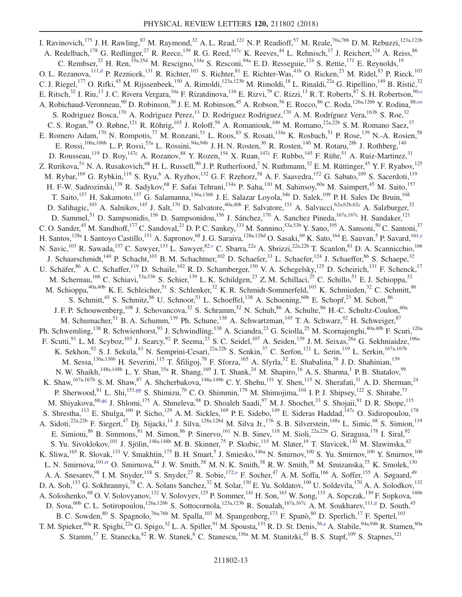<span id="page-13-3"></span><span id="page-13-2"></span><span id="page-13-1"></span><span id="page-13-0"></span>I. Ravinovich,<sup>175</sup> J. H. Rawling,<sup>87</sup> M. Raymond,<sup>32</sup> A. L. Read,<sup>121</sup> N. P. Readioff,<sup>57</sup> M. Reale,<sup>76a,76b</sup> D. M. Rebuzzi,<sup>123a,123b</sup> A. Redelbach,<sup>178</sup> G. Redlinger,<sup>27</sup> R. Reece,<sup>139</sup> R. G. Reed,<sup>147c</sup> K. Reeves,<sup>44</sup> L. Rehnisch,<sup>17</sup> J. Reichert,<sup>124</sup> A. Reiss,<sup>86</sup> C. Rembser,<sup>32</sup> H. Ren,<sup>35a,35d</sup> M. Rescigno,<sup>134a</sup> S. Resconi,<sup>94a</sup> E. D. Resseguie,<sup>124</sup> S. Rettie,<sup>171</sup> E. Reynolds,<sup>19</sup> O. L. Rezanova,  $^{111,d}$  $^{111,d}$  $^{111,d}$  P. Reznicek,  $^{131}$  R. Richter,  $^{103}$  S. Richter,  $^{81}$  E. Richter-Was,  $^{41b}$  O. Ricken,  $^{23}$  M. Ridel,  $^{83}$  P. Rieck,  $^{103}$ C. J. Riegel,<sup>177</sup> O. Rifki,<sup>45</sup> M. Rijssenbeek,<sup>150</sup> A. Rimoldi,<sup>123a,123b</sup> M. Rimoldi,<sup>18</sup> L. Rinaldi,<sup>22a</sup> G. Ripellino,<sup>149</sup> B. Ristić,<sup>32</sup> E. Ritsch,<sup>32</sup> I. Riu,<sup>13</sup> J. C. Rivera Vergara,<sup>34a</sup> F. Rizatdinova,<sup>116</sup> E. Rizvi,<sup>79</sup> C. Rizzi,<sup>13</sup> R. T. Roberts,<sup>87</sup> S. H. Robertson,<sup>90,0</sup> A. Robichaud-Veronneau,<sup>90</sup> D. Robinson,<sup>30</sup> J. E. M. Robinson,<sup>45</sup> A. Robson,<sup>56</sup> E. Rocco,<sup>86</sup> C. Roda, <sup>126a, 126b</sup> Y. Rodina, <sup>88,00</sup> S. Rodriguez Bosca,<sup>170</sup> A. Rodriguez Perez,<sup>13</sup> D. Rodriguez Rodriguez,<sup>170</sup> A. M. Rodríguez Vera,<sup>163b</sup> S. Roe,<sup>32</sup> C. S. Rogan,<sup>59</sup> O. Røhne,<sup>121</sup> R. Röhrig,<sup>103</sup> J. Roloff,<sup>59</sup> A. Romaniouk,<sup>100</sup> M. Romano,<sup>22a,22b</sup> S. M. Romano Saez,<sup>37</sup> E. Romero Adam, <sup>170</sup> N. Rompotis, <sup>77</sup> M. Ronzani, <sup>51</sup> L. Roos, <sup>83</sup> S. Rosati, <sup>134a</sup> K. Rosbach, <sup>51</sup> P. Rose, <sup>139</sup> N.-A. Rosien, <sup>58</sup> E. Rossi,<sup>106a,106b</sup> L. P. Rossi,<sup>53a</sup> L. Rossini,<sup>94a,94b</sup> J. H. N. Rosten,<sup>30</sup> R. Rosten,<sup>140</sup> M. Rotaru,<sup>28b</sup> J. Rothberg,<sup>140</sup> D. Rousseau,<sup>119</sup> D. Roy,<sup>147c</sup> A. Rozanov,<sup>88</sup> Y. Rozen,<sup>154</sup> X. Ruan,<sup>147c</sup> F. Rubbo,<sup>145</sup> F. Rühr,<sup>51</sup> A. Ruiz-Martinez,<sup>31</sup> Z. Rurikova,<sup>51</sup> N. A. Rusakovich,<sup>68</sup> H. L. Russell,<sup>90</sup> J. P. Rutherfoord,<sup>7</sup> N. Ruthmann,<sup>32</sup> E. M. Rüttinger,<sup>45</sup> Y. F. Ryabov,<sup>125</sup> M. Rybar,<sup>169</sup> G. Rybkin,<sup>119</sup> S. Ryu, <sup>6</sup> A. Ryzhov,<sup>132</sup> G. F. Rzehorz,<sup>58</sup> A. F. Saavedra,<sup>152</sup> G. Sabato,<sup>109</sup> S. Sacerdoti,<sup>119</sup> H. F-W. Sadrozinski,<sup>139</sup> R. Sadykov,<sup>68</sup> F. Safai Tehrani,<sup>134a</sup> P. Saha,<sup>110</sup> M. Sahinsoy,<sup>60a</sup> M. Saimpert,<sup>45</sup> M. Saito,<sup>157</sup> T. Saito,<sup>157</sup> H. Sakamoto,<sup>157</sup> G. Salamanna,<sup>136a,136b</sup> J. E. Salazar Loyola,<sup>34b</sup> D. Salek,<sup>109</sup> P. H. Sales De Bruin,<sup>168</sup> D. Salihagic,<sup>103</sup> A. Salnikov,<sup>145</sup> J. Salt,<sup>170</sup> D. Salvatore,<sup>40a,40b</sup> F. Salvatore,<sup>151</sup> A. Salvucci,<sup>62a,62b,62c</sup> A. Salzburger,<sup>32</sup> D. Sammel,<sup>51</sup> D. Sampsonidis,<sup>156</sup> D. Sampsonidou,<sup>156</sup> J. Sánchez,<sup>170</sup> A. Sanchez Pineda,<sup>167a,167c</sup> H. Sandaker,<sup>121</sup> C. O. Sander,<sup>45</sup> M. Sandhoff,<sup>177</sup> C. Sandoval,<sup>21</sup> D. P. C. Sankey,<sup>133</sup> M. Sannino,<sup>53a,53b</sup> Y. Sano,<sup>105</sup> A. Sansoni,<sup>50</sup> C. Santoni,<sup>37</sup> H. Santos,<sup>128a</sup> I. Santoyo Castillo,<sup>151</sup> A. Sapronov,<sup>68</sup> J. G. Saraiva,<sup>128a,128d</sup> O. Sasaki,<sup>69</sup> K. Sato,<sup>164</sup> E. Sauvan,<sup>5</sup> P. Savard,<sup>16[1,e](#page-19-4)</sup> N. Savic,<sup>103</sup> R. Sawada,<sup>157</sup> C. Sawyer,<sup>133</sup> L. Sawyer,<sup>8[2,v](#page-19-21)</sup> C. Sbarra,<sup>22a</sup> A. Sbrizzi,<sup>22a,22b</sup> T. Scanlon,<sup>81</sup> D. A. Scannicchio,<sup>166</sup> J. Schaarschmidt,<sup>140</sup> P. Schacht,<sup>103</sup> B. M. Schachtner,<sup>102</sup> D. Schaefer,<sup>33</sup> L. Schaefer,<sup>124</sup> J. Schaeffer,<sup>86</sup> S. Schaepe,<sup>32</sup> U. Schäfer,<sup>86</sup> A. C. Schaffer,<sup>119</sup> D. Schaile,<sup>102</sup> R. D. Schamberger,<sup>150</sup> V. A. Schegelsky,<sup>125</sup> D. Scheirich,<sup>131</sup> F. Schenck,<sup>17</sup> M. Schernau,<sup>166</sup> C. Schiavi,<sup>53a,53b</sup> S. Schier,<sup>139</sup> L. K. Schildgen,<sup>23</sup> Z. M. Schillaci,<sup>25</sup> C. Schillo,<sup>51</sup> E. J. Schioppa,<sup>32</sup> M. Schioppa,<sup>40a,40b</sup> K. E. Schleicher,<sup>51</sup> S. Schlenker,<sup>32</sup> K. R. Schmidt-Sommerfeld,<sup>103</sup> K. Schmieden,<sup>32</sup> C. Schmitt,<sup>86</sup> S. Schmitt,<sup>45</sup> S. Schmitz,<sup>86</sup> U. Schnoor,<sup>51</sup> L. Schoeffel,<sup>138</sup> A. Schoening,<sup>60b</sup> E. Schopf,<sup>23</sup> M. Schott,<sup>86</sup> J. F. P. Schouwenberg,<sup>108</sup> J. Schovancova,<sup>32</sup> S. Schramm,<sup>52</sup> N. Schuh,<sup>86</sup> A. Schulte,<sup>86</sup> H.-C. Schultz-Coulon,<sup>60a</sup> M. Schumacher,<sup>51</sup> B. A. Schumm,<sup>139</sup> Ph. Schune,<sup>138</sup> A. Schwartzman,<sup>145</sup> T. A. Schwarz,<sup>92</sup> H. Schweiger,<sup>87</sup> Ph. Schwemling,<sup>138</sup> R. Schwienhorst,<sup>93</sup> J. Schwindling,<sup>138</sup> A. Sciandra,<sup>23</sup> G. Sciolla,<sup>25</sup> M. Scornajenghi,<sup>40a,40b</sup> F. Scuri,<sup>126a</sup> F. Scutti, <sup>91</sup> L. M. Scyboz, <sup>103</sup> J. Searcy, <sup>92</sup> P. Seema, <sup>23</sup> S. C. Seidel, <sup>107</sup> A. Seiden, <sup>139</sup> J. M. Seixas, <sup>26a</sup> G. Sekhniaidze, <sup>106a</sup> K. Sekhon,  $92$  S. J. Sekula,  $43$  N. Semprini-Cesari,  $22a,22b$  S. Senkin,  $37$  C. Serfon,  $121$  L. Serin,  $119$  L. Serkin,  $167a,167b$ M. Sessa,<sup>136a,136b</sup> H. Severini,<sup>115</sup> T. Šfiligoj,<sup>78</sup> F. Sforza,<sup>165</sup> A. Sfyrla,<sup>52</sup> E. Shabalina,<sup>58</sup> J.D. Shahinian,<sup>139</sup> N. W. Shaikh,<sup>148a,148b</sup> L. Y. Shan,<sup>35a</sup> R. Shang,<sup>169</sup> J. T. Shank,<sup>24</sup> M. Shapiro,<sup>16</sup> A. S. Sharma,<sup>1</sup> P. B. Shatalov,<sup>99</sup> K. Shaw,<sup>167a,167b</sup> S. M. Shaw,<sup>87</sup> A. Shcherbakova,<sup>148a,148b</sup> C. Y. Shehu,<sup>151</sup> Y. Shen,<sup>115</sup> N. Sherafati,<sup>31</sup> A. D. Sherman,<sup>24</sup> P. Sherwood,<sup>81</sup> L. Shi,<sup>15[3,pp](#page-20-9)</sup> S. Shimizu,<sup>70</sup> C.O. Shimmin,<sup>179</sup> M. Shimojima,<sup>104</sup> I.P.J. Shipsey,<sup>122</sup> S. Shirabe,<sup>73</sup> M. Shiyakova,<sup>68[,qq](#page-20-10)</sup> J. Shlomi,<sup>175</sup> A. Shmeleva,<sup>98</sup> D. Shoaleh Saadi,<sup>97</sup> M. J. Shochet,<sup>33</sup> S. Shojaii,<sup>91</sup> D. R. Shope,<sup>115</sup> S. Shrestha,  $^{113}$  E. Shulga,  $^{100}$  P. Sicho,  $^{129}$  A. M. Sickles,  $^{169}$  P. E. Sidebo,  $^{149}$  E. Sideras Haddad,  $^{147c}$  O. Sidiropoulou,  $^{178}$ A. Sidoti,<sup>22a,22b</sup> F. Siegert,<sup>47</sup> Dj. Sijacki,<sup>14</sup> J. Silva,<sup>128a,128d</sup> M. Silva Jr.,<sup>176</sup> S. B. Silverstein,<sup>148a</sup> L. Simic,<sup>68</sup> S. Simion,<sup>119</sup> E. Simioni,  $86$  B. Simmons,  $81$  M. Simon,  $86$  P. Sinervo,  $161$  N. B. Sinev,  $118$  M. Sioli,  $22a,22b$  G. Siragusa,  $178$  I. Siral,  $92$ S. Yu. Sivoklokov,<sup>101</sup> J. Sjölin,<sup>148a,148b</sup> M. B. Skinner,<sup>75</sup> P. Skubic,<sup>115</sup> M. Slater,<sup>19</sup> T. Slavicek,<sup>130</sup> M. Slawinska,<sup>42</sup> K. Sliwa, <sup>165</sup> R. Slovak, <sup>131</sup> V. Smakhtin, <sup>175</sup> B. H. Smart, <sup>5</sup> J. Smiesko, <sup>146a</sup> N. Smirnov, <sup>100</sup> S. Yu. Smirnov, <sup>100</sup> Y. Smirnov, <sup>100</sup> L. N. Smirnova,  $^{101,rr}$  $^{101,rr}$  $^{101,rr}$  O. Smirnova,  $^{84}$  J. W. Smith,  $^{58}$  M. N. K. Smith,  $^{38}$  R. W. Smith,  $^{38}$  M. Smizanska,  $^{75}$  K. Smolek,  $^{130}$ A. A. Snesarev, <sup>98</sup> I. M. Snyder, <sup>118</sup> S. Snyder, <sup>27</sup> R. Sobie, <sup>172,0</sup> F. Socher, <sup>47</sup> A. M. Soffa, <sup>166</sup> A. Soffer, <sup>155</sup> A. Søgaard, <sup>49</sup> D. A. Soh,<sup>153</sup> G. Sokhrannyi,<sup>78</sup> C. A. Solans Sanchez,<sup>32</sup> M. Solar,<sup>130</sup> E. Yu. Soldatov,<sup>100</sup> U. Soldevila,<sup>170</sup> A. A. Solodkov,<sup>132</sup> A. Soloshenko,<sup>68</sup> O. V. Solovyanov,<sup>132</sup> V. Solovyev,<sup>125</sup> P. Sommer,<sup>141</sup> H. Son,<sup>165</sup> W. Song,<sup>133</sup> A. Sopczak,<sup>130</sup> F. Sopkova,<sup>146b</sup> D. Sosa,<sup>60b</sup> C. L. Sotiropoulou,<sup>126a,126b</sup> S. Sottocornola,<sup>123a,123b</sup> R. Soualah,<sup>167a,167c</sup> A. M. Soukharev,<sup>11[1,d](#page-19-3)</sup> D. South,<sup>45</sup> B. C. Sowden, <sup>80</sup> S. Spagnolo, <sup>76a, 76b</sup> M. Spalla, <sup>103</sup> M. Spangenberg, <sup>173</sup> F. Spanò, <sup>80</sup> D. Sperlich, <sup>17</sup> F. Spettel, <sup>103</sup> T. M. Spieker, <sup>60a</sup> R. Spighi, <sup>22a</sup> G. Spigo, <sup>32</sup> L. A. Spiller, <sup>91</sup> M. Spousta, <sup>131</sup> R. D. St. Denis, <sup>56[,a](#page-19-0)</sup> A. Stabile, <sup>94a, 94b</sup> R. Stamen, <sup>60a</sup> S. Stamm,  $^{17}$  E. Stanecka,  $^{42}$  R. W. Stanek,  $^{6}$  C. Stanescu,  $^{136a}$  M. M. Stanitzki,  $^{45}$  B. S. Stapf,  $^{109}$  S. Stapnes,  $^{121}$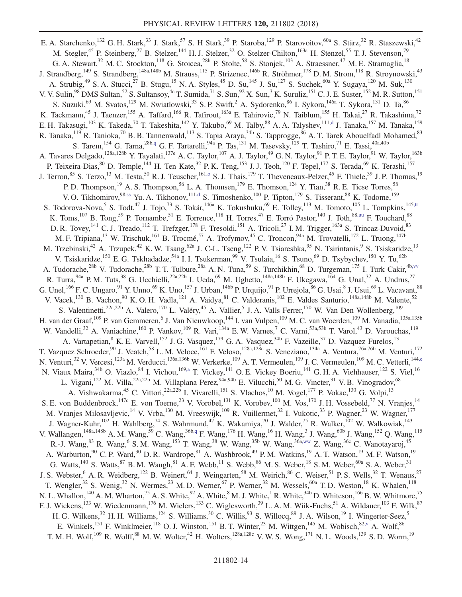<span id="page-14-4"></span><span id="page-14-3"></span><span id="page-14-2"></span><span id="page-14-1"></span><span id="page-14-0"></span>E. A. Starchenko,<sup>132</sup> G. H. Stark,<sup>33</sup> J. Stark,<sup>57</sup> S. H Stark,<sup>39</sup> P. Staroba,<sup>129</sup> P. Starovoitov,<sup>60a</sup> S. Stärz,<sup>32</sup> R. Staszewski,<sup>42</sup> M. Stegler,<sup>45</sup> P. Steinberg,<sup>27</sup> B. Stelzer,<sup>144</sup> H. J. Stelzer,<sup>32</sup> O. Stelzer-Chilton,<sup>163a</sup> H. Stenzel,<sup>55</sup> T. J. Stevenson,<sup>79</sup> G. A. Stewart,<sup>32</sup> M. C. Stockton,<sup>118</sup> G. Stoicea,<sup>28b</sup> P. Stolte,<sup>58</sup> S. Stonjek,<sup>103</sup> A. Straessner,<sup>47</sup> M. E. Stramaglia,<sup>18</sup> J. Strandberg,<sup>149</sup> S. Strandberg,<sup>148a,148b</sup> M. Strauss,<sup>115</sup> P. Strizenec,<sup>146b</sup> R. Ströhmer,<sup>178</sup> D. M. Strom,<sup>118</sup> R. Stroynowski,<sup>43</sup> A. Strubig,<sup>49</sup> S. A. Stucci,<sup>27</sup> B. Stugu,<sup>15</sup> N. A. Styles,<sup>45</sup> D. Su,<sup>145</sup> J. Su,<sup>127</sup> S. Suchek,<sup>60a</sup> Y. Sugaya,<sup>120</sup> M. Suk,<sup>130</sup> V. V. Sulin,  $^{98}$  DMS Sultan,  $^{52}$  S. Sultansoy,  $^{4c}$  T. Sumida,  $^{71}$  S. Sun,  $^{92}$  X. Sun,  $^{3}$  K. Suruliz,  $^{151}$  C. J. E. Suster,  $^{152}$  M. R. Sutton,  $^{151}$ S. Suzuki,<sup>69</sup> M. Svatos,<sup>129</sup> M. Swiatlowski,<sup>33</sup> S. P. Swift,<sup>2</sup> A. Sydorenko,<sup>86</sup> I. Sykora,<sup>146a</sup> T. Sykora,<sup>131</sup> D. Ta,<sup>86</sup> K. Tackmann,<sup>45</sup> J. Taenzer,<sup>155</sup> A. Taffard,<sup>166</sup> R. Tafirout,<sup>163a</sup> E. Tahirovic,<sup>79</sup> N. Taiblum,<sup>155</sup> H. Takai,<sup>27</sup> R. Takashima,<sup>72</sup> E. H. Takasugi, $^{103}$  K. Takeda, $^{70}$  T. Takeshita, $^{142}$  Y. Takubo, $^{69}$  M. Talby, $^{88}$  A. A. Talyshev, $^{111,d}$  $^{111,d}$  $^{111,d}$  J. Tanaka, $^{157}$  M. Tanaka, $^{159}$ R. Tanaka,<sup>119</sup> R. Tanioka,<sup>70</sup> B. B. Tannenwald,<sup>113</sup> S. Tapia Araya,<sup>34b</sup> S. Tapprogge,<sup>86</sup> A. T. Tarek Abouelfadl Mohamed,<sup>83</sup> S. Tarem, <sup>154</sup> G. Tarna, <sup>28[b,q](#page-19-16)</sup> G. F. Tartarelli, <sup>94a</sup> P. Tas, <sup>131</sup> M. Tasevsky, <sup>129</sup> T. Tashiro, <sup>71</sup> E. Tassi, <sup>40a, 40b</sup> A. Tavares Delgado,<sup>128a,128b</sup> Y. Tayalati,<sup>137e</sup> A. C. Taylor,<sup>107</sup> A. J. Taylor,<sup>49</sup> G. N. Taylor,<sup>91</sup> P. T. E. Taylor,<sup>91</sup> W. Taylor,<sup>163b</sup> P. Teixeira-Dias, <sup>80</sup> D. Temple, <sup>144</sup> H. Ten Kate, <sup>32</sup> P. K. Teng, <sup>153</sup> J. J. Teoh, <sup>120</sup> F. Tepel, <sup>177</sup> S. Terada, <sup>69</sup> K. Terashi, <sup>157</sup> J. Terron,  $85$  S. Terzo,  $13$  M. Testa,  $50$  R. J. Teuscher,  $161,0$  S. J. Thais,  $179$  T. Theveneaux-Pelzer,  $45$  F. Thiele,  $39$  J. P. Thomas,  $19$ P. D. Thompson,<sup>19</sup> A. S. Thompson,<sup>56</sup> L. A. Thomsen,<sup>179</sup> E. Thomson,<sup>124</sup> Y. Tian,<sup>38</sup> R. E. Ticse Torres,<sup>58</sup> V. O. Tikhomirov, <sup>9[8,ss](#page-20-12)</sup> Yu. A. Tikhonov, <sup>111[,d](#page-19-3)</sup> S. Timoshenko, <sup>100</sup> P. Tipton, <sup>179</sup> S. Tisserant, <sup>88</sup> K. Todome, <sup>159</sup> S. Todorova-Nova, <sup>5</sup> S. Todt, <sup>47</sup> J. Tojo, <sup>73</sup> S. Tokár, <sup>146a</sup> K. Tokushuku, <sup>69</sup> E. Tolley, <sup>113</sup> M. Tomoto, <sup>105</sup> L. Tompkins, <sup>14[5,tt](#page-20-13)</sup> K. Toms,  $^{107}$  B. Tong,  $^{59}$  P. Tornambe,  $^{51}$  E. Torrence,  $^{118}$  H. Torres,  $^{47}$  E. Torró Pastor,  $^{140}$  J. Toth,  $^{88,uu}$  $^{88,uu}$  $^{88,uu}$  F. Touchard,  $^{88}$ D. R. Tovey,<sup>141</sup> C. J. Treado,<sup>112</sup> T. Trefzger,<sup>178</sup> F. Tresoldi,<sup>151</sup> A. Tricoli,<sup>27</sup> I. M. Trigger,<sup>163a</sup> S. Trincaz-Duvoid,<sup>83</sup> M. F. Tripiana,<sup>13</sup> W. Trischuk,<sup>161</sup> B. Trocmé,<sup>57</sup> A. Trofymov,<sup>45</sup> C. Troncon,<sup>94a</sup> M. Trovatelli,<sup>172</sup> L. Truong,<sup>147b</sup> M. Trzebinski,<sup>42</sup> A. Trzupek,<sup>42</sup> K. W. Tsang,<sup>62a</sup> J. C-L. Tseng,<sup>122</sup> P. V. Tsiareshka,<sup>95</sup> N. Tsirintanis,<sup>9</sup> S. Tsiskaridze,<sup>13</sup> V. Tsiskaridze,<sup>150</sup> E. G. Tskhadadze,<sup>54a</sup> I. I. Tsukerman,<sup>99</sup> V. Tsulaia,<sup>16</sup> S. Tsuno,<sup>69</sup> D. Tsybychev,<sup>150</sup> Y. Tu,<sup>62b</sup> A. Tudorache,<sup>28b</sup> V. Tudorache,<sup>28b</sup> T. T. Tulbure,<sup>28a</sup> A. N. Tuna,<sup>59</sup> S. Turchikhin,<sup>68</sup> D. Turgeman,<sup>175</sup> I. Turk Cakir,<sup>4b, vv</sup> R. Turra,  $^{94a}$  P. M. Tuts,  $^{38}$  G. Ucchielli,  $^{22a,22b}$  I. Ueda,  $^{69}$  M. Ughetto,  $^{148a,148b}$  F. Ukegawa,  $^{164}$  G. Unal,  $^{32}$  A. Undrus,  $^{27}$ G. Unel,  $^{166}$  F. C. Ungaro,  $^{91}$  Y. Unno,  $^{69}$  K. Uno,  $^{157}$  J. Urban,  $^{146b}$  P. Urquijo,  $^{91}$  P. Urrejola,  $^{86}$  G. Usai,  $^8$  J. Usui,  $^{69}$  L. Vacavant,  $^{88}$ V. Vacek,  $^{130}$  B. Vachon,  $^{90}$  K. O. H. Vadla,  $^{121}$  A. Vaidya,  $^{81}$  C. Valderanis,  $^{102}$  E. Valdes Santurio,  $^{148a,148b}$  M. Valente,  $^{52}$ S. Valentinetti,<sup>22a,22b</sup> A. Valero,<sup>170</sup> L. Valéry,<sup>45</sup> A. Vallier,<sup>5</sup> J. A. Valls Ferrer,<sup>170</sup> W. Van Den Wollenberg,<sup>109</sup> H. van der Graaf,<sup>109</sup> P. van Gemmeren, <sup>6</sup> J. Van Nieuwkoop,<sup>144</sup> I. van Vulpen,<sup>109</sup> M. C. van Woerden,<sup>109</sup> M. Vanadia,<sup>135a,135b</sup> W. Vandelli,<sup>32</sup> A. Vaniachine,<sup>160</sup> P. Vankov,<sup>109</sup> R. Vari,<sup>134a</sup> E. W. Varnes,<sup>7</sup> C. Varni,<sup>53a,53b</sup> T. Varol,<sup>43</sup> D. Varouchas,<sup>119</sup> A. Vartapetian, <sup>8</sup> K. E. Varvell, <sup>152</sup> J. G. Vasquez, <sup>179</sup> G. A. Vasquez, <sup>34b</sup> F. Vazeille, <sup>37</sup> D. Vazquez Furelos, <sup>13</sup> T. Vazquez Schroeder,<sup>90</sup> J. Veatch,<sup>58</sup> L. M. Veloce,<sup>161</sup> F. Veloso,<sup>128a,128c</sup> S. Veneziano,<sup>134a</sup> A. Ventura,<sup>76a,76b</sup> M. Venturi,<sup>172</sup> N. Venturi,<sup>32</sup> V. Vercesi,<sup>123a</sup> M. Verducci,<sup>136a,136b</sup> W. Verkerke,<sup>109</sup> A. T. Vermeulen,<sup>109</sup> J. C. Vermeulen,<sup>109</sup> M. C. Vetterli,<sup>14[4,e](#page-19-4)</sup> N. Viaux Maira,<sup>34b</sup> O. Viazlo,<sup>84</sup> I. Vichou,<sup>169[,a](#page-19-0)</sup> T. Vickey,<sup>141</sup> O. E. Vickey Boeriu,<sup>141</sup> G. H. A. Viehhauser,<sup>122</sup> S. Viel,<sup>16</sup> L. Vigani,<sup>122</sup> M. Villa,<sup>22a,22b</sup> M. Villaplana Perez,<sup>94a,94b</sup> E. Vilucchi,<sup>50</sup> M. G. Vincter,<sup>31</sup> V. B. Vinogradov,<sup>68</sup> A. Vishwakarma,<sup>45</sup> C. Vittori,<sup>22a,22b</sup> I. Vivarelli,<sup>151</sup> S. Vlachos,<sup>10</sup> M. Vogel,<sup>177</sup> P. Vokac,<sup>130</sup> G. Volpi,<sup>13</sup> S. E. von Buddenbrock,<sup>147c</sup> E. von Toerne,<sup>23</sup> V. Vorobel,<sup>131</sup> K. Vorobev,<sup>100</sup> M. Vos,<sup>170</sup> J. H. Vossebeld,<sup>77</sup> N. Vranjes,<sup>14</sup> M. Vranjes Milosavljevic,<sup>14</sup> V. Vrba,<sup>130</sup> M. Vreeswijk,<sup>109</sup> R. Vuillermet,<sup>32</sup> I. Vukotic,<sup>33</sup> P. Wagner,<sup>23</sup> W. Wagner,<sup>177</sup> J. Wagner-Kuhr, 102 H. Wahlberg, <sup>74</sup> S. Wahrmund, <sup>47</sup> K. Wakamiya, <sup>70</sup> J. Walder, <sup>75</sup> R. Walker, <sup>102</sup> W. Walkowiak, <sup>143</sup> V. Wallangen,<sup>148a,148b</sup> A. M. Wang,<sup>59</sup> C. Wang,<sup>36[b,q](#page-19-16)</sup> F. Wang,<sup>176</sup> H. Wang,<sup>16</sup> H. Wang,<sup>3</sup> J. Wang,<sup>60b</sup> J. Wang,<sup>152</sup> Q. Wang,<sup>115</sup> R.-J. Wang,  $83$  R. Wang,  $6$  S. M. Wang,  $153$  T. Wang,  $38$  W. Wang,  $35b$  W. Wang,  $36a, ww$  Z. Wang,  $36c$  C. Wanotayaroj,  $45$ A. Warburton,<sup>90</sup> C. P. Ward,<sup>30</sup> D. R. Wardrope,<sup>81</sup> A. Washbrook,<sup>49</sup> P. M. Watkins,<sup>19</sup> A. T. Watson,<sup>19</sup> M. F. Watson,<sup>19</sup> G. Watts,<sup>140</sup> S. Watts,<sup>87</sup> B. M. Waugh,<sup>81</sup> A. F. Webb,<sup>11</sup> S. Webb,<sup>86</sup> M. S. Weber,<sup>18</sup> S. M. Weber,<sup>60a</sup> S. A. Weber,<sup>31</sup> J. S. Webster,<sup>6</sup> A. R. Weidberg,<sup>122</sup> B. Weinert,<sup>64</sup> J. Weingarten,<sup>58</sup> M. Weirich,<sup>86</sup> C. Weiser,<sup>51</sup> P. S. Wells,<sup>32</sup> T. Wenaus,<sup>27</sup> T. Wengler,<sup>32</sup> S. Wenig,<sup>32</sup> N. Wermes,<sup>23</sup> M. D. Werner,<sup>67</sup> P. Werner,<sup>32</sup> M. Wessels,<sup>60a</sup> T. D. Weston,<sup>18</sup> K. Whalen,<sup>118</sup> N. L. Whallon,<sup>140</sup> A. M. Wharton,<sup>75</sup> A. S. White,<sup>92</sup> A. White,<sup>8</sup> M. J. White,<sup>1</sup> R. White,<sup>34b</sup> D. Whiteson,<sup>166</sup> B. W. Whitmore,<sup>75</sup> F. J. Wickens,<sup>133</sup> W. Wiedenmann,<sup>176</sup> M. Wielers,<sup>133</sup> C. Wiglesworth,<sup>39</sup> L. A. M. Wiik-Fuchs,<sup>51</sup> A. Wildauer,<sup>103</sup> F. Wilk,<sup>87</sup> H. G. Wilkens,<sup>32</sup> H. H. Williams,<sup>124</sup> S. Williams,<sup>30</sup> C. Willis,<sup>93</sup> S. Willocq,<sup>89</sup> J. A. Wilson,<sup>19</sup> I. Wingerter-Seez,<sup>5</sup> E. Winkels,<sup>151</sup> F. Winklmeier,<sup>118</sup> O. J. Winston,<sup>151</sup> B. T. Winter,<sup>23</sup> M. Wittgen,<sup>145</sup> M. Wobisch,<sup>8[2,v](#page-19-21)</sup> A. Wolf,<sup>86</sup> T. M. H. Wolf,<sup>109</sup> R. Wolff,<sup>88</sup> M. W. Wolter,<sup>42</sup> H. Wolters,<sup>128a,128c</sup> V. W. S. Wong,<sup>171</sup> N. L. Woods,<sup>139</sup> S. D. Worm,<sup>19</sup>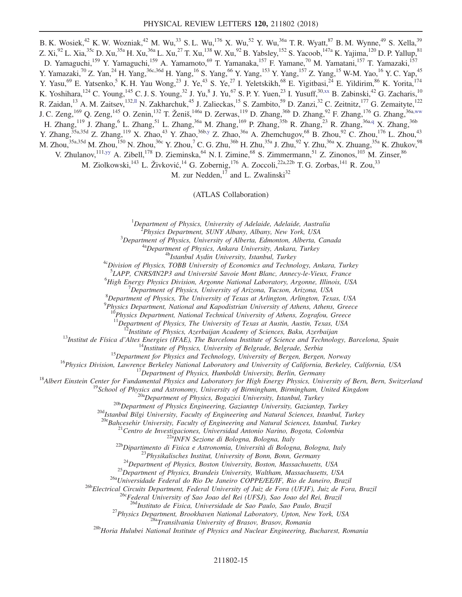<span id="page-15-0"></span>B. K. Wosiek,<sup>42</sup> K. W. Wozniak,<sup>42</sup> M. Wu,<sup>33</sup> S. L. Wu,<sup>176</sup> X. Wu,<sup>52</sup> Y. Wu,<sup>36a</sup> T. R. Wyatt,<sup>87</sup> B. M. Wynne,<sup>49</sup> S. Xella,<sup>39</sup> Z. Xi,<sup>92</sup> L. Xia,<sup>35c</sup> D. Xu,<sup>35a</sup> H. Xu,<sup>36a</sup> L. Xu,<sup>27</sup> T. Xu,<sup>138</sup> W. Xu,<sup>92</sup> B. Yabsley,<sup>152</sup> S. Yacoob,<sup>147a</sup> K. Yajima,<sup>120</sup> D. P. Yallup,<sup>81</sup> D. Yamaguchi,<sup>159</sup> Y. Yamaguchi,<sup>159</sup> A. Yamamoto,<sup>69</sup> T. Yamanaka,<sup>157</sup> F. Yamane,<sup>70</sup> M. Yamatani,<sup>157</sup> T. Yamazaki,<sup>157</sup> Y. Yamazaki,<sup>70</sup> Z. Yan,<sup>24</sup> H. Yang,<sup>36c,36d</sup> H. Yang,<sup>16</sup> S. Yang,<sup>66</sup> Y. Yang,<sup>153</sup> Y. Yang,<sup>157</sup> Z. Yang,<sup>15</sup> W-M. Yao,<sup>16</sup> Y. C. Yap,<sup>45</sup> Y. Yasu,<sup>69</sup> E. Yatsenko,<sup>5</sup> K. H. Yau Wong,<sup>23</sup> J. Ye,<sup>43</sup> S. Ye,<sup>27</sup> I. Yeletskikh,<sup>68</sup> E. Yigitbasi,<sup>24</sup> E. Yildirim,<sup>86</sup> K. Yorita,<sup>174</sup> K. Yoshihara,<sup>124</sup> C. Young,<sup>145</sup> C. J. S. Young,<sup>32</sup> J. Yu,<sup>8</sup> J. Yu,<sup>67</sup> S. P. Y. Yuen,<sup>23</sup> I. Yusuff,<sup>3[0,xx](#page-20-17)</sup> B. Zabinski,<sup>42</sup> G. Zacharis,<sup>10</sup> R. Zaidan,<sup>13</sup> A. M. Zaitsev,<sup>13[2,ll](#page-20-5)</sup> N. Zakharchuk,<sup>45</sup> J. Zalieckas,<sup>15</sup> S. Zambito,<sup>59</sup> D. Zanzi,<sup>32</sup> C. Zeitnitz,<sup>177</sup> G. Zemaityte,<sup>122</sup> J. C. Zeng,<sup>169</sup> Q. Zeng,<sup>145</sup> O. Zenin,<sup>132</sup> T. Ženiš,<sup>146a</sup> D. Zerwas,<sup>119</sup> D. Zhang,<sup>36b</sup> D. Zhang,<sup>92</sup> F. Zhang,<sup>176</sup> G. Zhang,<sup>36[a,ww](#page-20-16)</sup> H. Zhang,<sup>119</sup> J. Zhang,<sup>6</sup> L. Zhang,<sup>51</sup> L. Zhang,<sup>36a</sup> M. Zhang,<sup>169</sup> P. Zhang,<sup>35b</sup> R. Zhang,<sup>23</sup> R. Zhang,<sup>36a[,q](#page-19-16)</sup> X. Zhang,<sup>36b</sup> Y. Zhang,  $35a,35d$  Z. Zhang,  $^{119}$  X. Zhao,  $^{43}$  Y. Zhao,  $36b,y$  $36b,y$  Z. Zhao,  $36a$  A. Zhemchugov,  $68$  B. Zhou,  $92$  C. Zhou,  $^{176}$  L. Zhou,  $^{43}$ M. Zhou, $^{35$ a,35d M. Zhou, $^{150}$  N. Zhou, $^{36}$  Y. Zhou, $^7$  C. G. Zhu, $^{36\rm b}$  H. Zhu, $^{35\rm a}$  J. Zhu, $^{92}$  Y. Zhu, $^{36\rm a}$  X. Zhuang, $^{35\rm a}$  K. Zhukov, $^{98}$ V. Zhulanov,<sup>111[,yy](#page-20-18)</sup> A. Zibell,<sup>178</sup> D. Zieminska,<sup>64</sup> N. I. Zimine,<sup>68</sup> S. Zimmermann,<sup>51</sup> Z. Zinonos,<sup>103</sup> M. Zinser,<sup>86</sup>

<span id="page-15-1"></span>M. Ziolkowski,  $^{143}$  L. Živković,  $^{14}$  G. Zobernig,  $^{176}$  A. Zoccoli,  $^{22a,22b}$  T. G. Zorbas,  $^{141}$  R. Zou,  $^{33}$ 

M. zur Nedden, $^{17}$  and L. Zwalinski $^{32}$ 

(ATLAS Collaboration)

<sup>1</sup>Department of Physics, University of Adelaide, Adelaide, Australia<br><sup>2</sup> Physics Department, SUNY Albany, Albany, New York, USA

 $\alpha$ <sup>2</sup>Physics Department, SUNY Albany, Albany, New York, USA<br><sup>3</sup>Department of Physics, University of Alberta, Edmonton, Alberta, Canada

<sup>4a</sup>Department of Physics, Ankara University, Ankara, Turkey<br><sup>4b</sup>Istanbul Aydin University, Istanbul, Turkey<br><sup>4c</sup>Division of Physics, TOBB University of Economics and Technology, Ankara, Turkey

<sup>5</sup>LAPP, CNRS/IN2P3 and Université Savoie Mont Blanc, Annecy-le-Vieux, France 6High Engrey Physics Division, Argame National Laboratory Argame Illinois, US

 ${}^{6}$ High Energy Physics Division, Argonne National Laboratory, Argonne, Illinois, USA

 $^7$ Department of Physics, University of Arizona, Tucson, Arizona, USA

 ${}^{8}$ Department of Physics, The University of Texas at Arlington, Arlington, Texas, USA

 $^{9}$ Physics Department, National and Kapodistrian University of Athens, Athens, Greece

 $10^10$ Physics Department, National Technical University of Athens, Zografou, Greece<br> $11$ Department of Physics, The University of Texas at Austin, Austin, Texas, USA

<sup>11</sup>Department of Physics, The University of Texas at Austin, Austin, Texas, USA<br><sup>12</sup>Institute of Physics, Azerbaijan Academy of Sciences, Baku, Azerbaijan<br><sup>13</sup>Institut de Física d'Altes Energies (IFAE), The Barcelona Ins

<sup>200</sup>Istanbul Bilgi University, Faculty of Engineering and Natural Sciences, Istanbul, Turkey<br><sup>200</sup>Eahcesehir University, Faculty of Engineering and Natural Sciences, Istanbul, Turkey<br><sup>21</sup>Centro de Investigaciones, Univer

<sup>27</sup> Physics Department, Brookhaven National Laboratory, Upton, New York, USA<br><sup>28a</sup>Transilvania University of Brasov, Brasov, Romania<br><sup>28b</sup>Horia Hulubei National Institute of Physics and Nuclear Engineering, Bucharest, Ro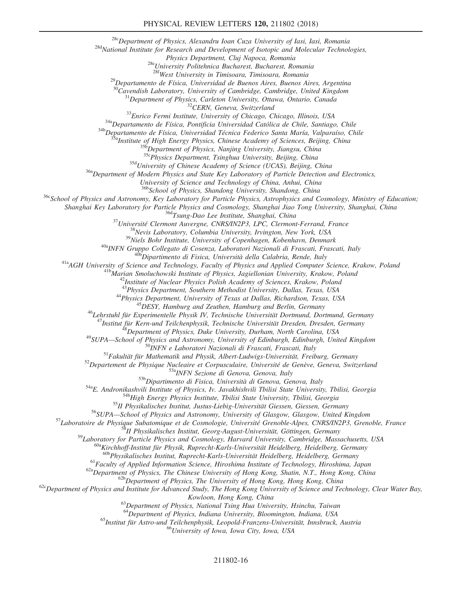#### PHYSICAL REVIEW LETTERS 120, 211802 (2018)

<sup>28c</sup>Department of Physics, Alexandru Ioan Cuza University of Iasi, Iasi, Romania<br><sup>28d</sup>National Institute for Research and Development of Isotopic and Molecular Technologies,<br>*Physics Department, Cluj Napoca, Romania* 

<sup>28e</sup>University Politehnica Bucharest, Bucharest, Romania <sup>286</sup>West University in Timisoara, Timisoara, Romania

<sup>29</sup>Departamento de Física, Universidad de Buenos Aires, Buenos Aires, Argentina  $\frac{30}{2}$ Cavendish Laboratory, University of Cambridge, Cambridge, United Kingdom

<sup>31</sup>Department of Physics, Carleton University, Ottawa, Ontario, Canada<br><sup>32</sup>CERN, Geneva, Switzerland<br><sup>33</sup>Enrico Fermi Institute, University of Chicago, Chicago, Illinois, USA<br><sup>34</sup>a Departamento de Física, Pontificia Univ

 $35d$ University of Chinese Academy of Science (UCAS), Beijing, China  $36a$ Department of Modern Physics and State Key Laboratory of Particle Detection and Electronics,

University of Science and Technology of China, Anhui, China<br><sup>36b</sup>School of Physics, Shandong University, Shandong, China

 $36c$ School of Physics and Astronomy, Key Laboratory for Particle Physics, Astrophysics and Cosmology, Ministry of Education;

Shanghai Key Laboratory for Particle Physics and Cosmology, Shanghai Jiao Tong University, Shanghai, China<br>
<sup>36d</sup>Tsung-Dao Lee Institute, Shanghai, China<br>
<sup>37</sup>Université Clermont Auvergne, CNRS/IN2P3, LPC, Clermont-Ferran

<sup>44</sup>Physics Department, University of Texas at Dallas, Richardson, Texas, USA<br><sup>45</sup>DESY, Hamburg and Zeuthen, Hamburg and Berlin, Germany<br><sup>46</sup>Lehrstuhl für Experimentelle Physik IV, Technische Universität Dortmund, Dortmun

<sup>47</sup>Institut für Kern-und Teilchenphysik, Technische Universität Dresden, Dresden, Germany<br><sup>48</sup>Bepartment of Physics, Duke University, Durham, North Carolina, USA<br><sup>49</sup>SUPA—School of Physics and Astronomy, University of Ed

<sup>58</sup>II Physikalisches Institut, Georg-August-Universität, Göttingen, Germany<br><sup>59</sup>Laboratory for Particle Physics and Cosmology, Harvard University, Cambridge, Massachusetts, USA<br><sup>60a</sup>Kirchhoff-Institut für Physik, Ruprech

<sup>61</sup>Faculty of Applied Information Science, Hiroshima Institute of Technology, Hiroshima, Japan<br><sup>62a</sup>Department of Physics, The Chinese University of Hong Kong, Shatin, N.T., Hong Kong, China<br><sup>62b</sup>Department of Physics an

Kowloon, Hong Kong, China<br><sup>63</sup>Department of Physics, National Tsing Hua University, Hsinchu, Taiwan<br><sup>64</sup>Department of Physics, Indiana University, Bloomington, Indiana, USA

<sup>65</sup>Institut für Astro-und Teilchenphysik, Leopold-Franzens-Universität, Innsbruck, Austria <sup>66</sup>University of Iowa, Iowa City, Iowa, USA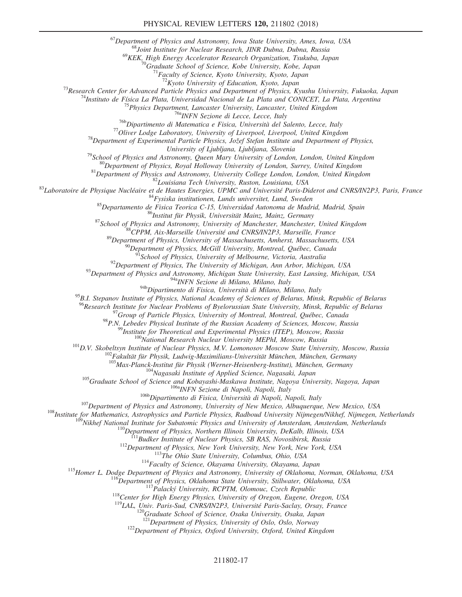$^{67}$ Department of Physics and Astronomy, Iowa State University, Ames, Iowa, USA  $^{68}$ Joint Institute for Nuclear Research, JINR Dubna, Dubna, Russia

<sup>69</sup>KEK, High Energy Accelerator Research Organization, Tsukuba, Japan <sup>70</sup>Graduate School of Science, Kobe University, Kobe, Japan <sup>71</sup>Faculty of Science, Kyoto University, Kyoto, Japan <sup>72</sup>Kyoto University of Education,

<sup>73</sup>Research Center for Advanced Particle Physics and Department of Physics, Kyushu University, Fukuoka, Japan<br><sup>74</sup>Instituto de Física La Plata, Universidad Nacional de La Plata and CONICET, La Plata, Argentina<br><sup>75</sup>Physic

University of Ljubljana, Ljubljana, Slovenia<br>
<sup>79</sup>School of Physics and Astronomy, Queen Mary University of London, London, United Kingdom<br>
<sup>80</sup>Department of Physics and Astronomy, University of London, Surrey, United King

<sup>94b</sup>Dipartimento di Fisica, Università di Milano, Italy<br><sup>94b</sup>Dipartimento di Fisica, Università di Milano, Milano, Italy

 $^{95}$ B.I. Stepanov Institute of Physics, National Academy of Sciences of Belarus, Minsk, Republic of Belarus

<sup>96</sup>Research Institute for Nuclear Problems of Byelorussian State University, Minsk, Republic of Belarus<br><sup>97</sup>Group of Particle Physics, University of Montreal, Montreal, Québec, Canada<br><sup>98</sup>P.N. Lebedev Physical Institute

<sup>108</sup>Max-Planck-Institut für Physik (Werner-Heisenberg-Institut), München, Germany<br>
<sup>108</sup>Graduate School of Science and Kobayashi-Maskawa Institute, Nagoya University, Nagoya, Japan<br>
<sup>108</sup>Graduate School of Science and Ko

121<br>Department of Physics, University of Oslo, Oslo, Norway<br><sup>122</sup>Department of Physics, Oxford University, Oxford, United Kingdom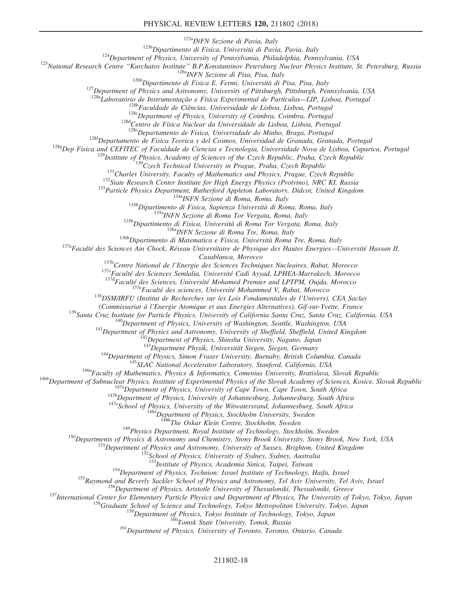#### PHYSICAL REVIEW LETTERS 120, 211802 (2018)

<sup>123b</sup>Dipartimento di Fisica, Università di Pavia, Italy<br><sup>124</sup>Department of Physics, University of Pennsylvania, Philadelphia, Pennsylvania, USA<br><sup>125</sup>National Research Centre "Kurchatov Institute" B.P.Konstantinov Petersb

<sup>128b</sup>Faculdade de Ciências, Universidade de Lisboa, Lisboa, Portugal<br><sup>128c</sup>Department of Physics, University of Coimbra, Coimbra, Portugal<br><sup>128d</sup>Centro de Física Nuclear da Universidade de Lisboa, Lisboa, Portugal<br><sup>1286</sup>

<sup>128f</sup>Departamento de Fisica Teorica y del Cosmos, Universidad de Granada, Granada, Portugal

<sup>128g</sup>Dep Fisica and CEFITEC of Faculatable de Ciencias e Tecnologia, Universidade Nova de Lisboa, Caparica, Portugal<br><sup>129</sup>Institute of Physics, Academy of Sciences of the Czech Republic, Praha, Czech Republic<br><sup>130</sup>Czech

Casablanca, Morocco<br><sup>137b</sup>Centre National de l'Energie des Sciences Techniques Nucleaires, Rabat, Morocco<br><sup>137c</sup>Faculté des Sciences Semlalia, Université Cadi Ayyad, LPHEA-Marrakech, Morocco<br><sup>137d</sup>Faculté des Sciences, Uni

<sup>139</sup>Santa Cruz Institute for Particle Physics, University of California Santa Cruz, Santa Cruz, California, USA<br><sup>140</sup>Department of Physics, University of Washington, Seattle, Washington, USA<br><sup>141</sup>Department of Physics an

<sup>144</sup>Department of Physics, Simon Fraser University, Burnaby, British Columbia, Canada<br><sup>145</sup>SLAC National Accelerator Laboratory, Stanford, California, USA<br><sup>146a</sup>Faculty of Mathematics, Physics & Informatics, Comenius Univ

<sup>149</sup>Physics Department, Royal Institute of Technology, Stockholm, Sweden<br><sup>150</sup>Departments of Physics & Astronomy and Chemistry, Stony Brook University, Stony Brook, New York, USA<br><sup>151</sup>Department of Physics and Astronomy,

<sup>154</sup>Department of Physics, Technion: Israel Institute of Technology, Haifa, Israel<br><sup>155</sup>Raymond and Beverly Sackler School of Physics and Astronomy, Tel Aviv University, Tel Aviv, Israel<br><sup>156</sup>Department of Physics, Aristo

158<br>
158Department of Science and Technology, Tokyo Metropolitan University, Tokyo, Japan<br>
159Department of Physics, Tokyo Institute of Technology, Tokyo, Japan<br>
161Department of Physics, University of Toronto, Toronto, On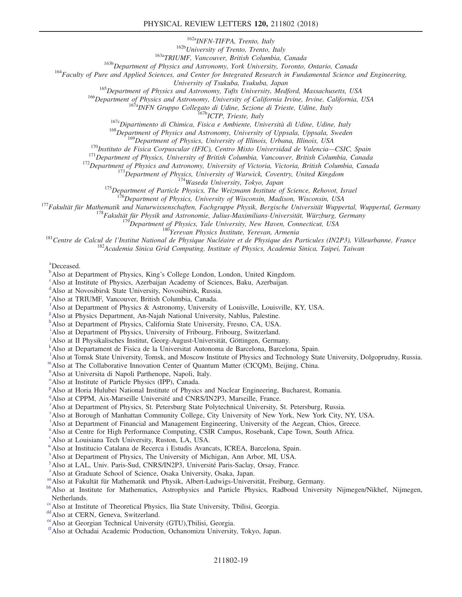#### PHYSICAL REVIEW LETTERS 120, 211802 (2018)

<sup>162a</sup>INFN-TIFPA, Trento, Italy<br><sup>163b</sup>University of Trento, Trento, Italy<br><sup>163b</sup>Department of Physics and Astronomy, York University, Toronto, Ontario, Canada<br><sup>164</sup>Faculty of Pure and Applied Sciences, and Center for Inte

<sup>165</sup>Department of Physics and Astronomy, Tufts University, Medford, Massachusetts, USA<br><sup>166</sup>Department of Physics and Astronomy, University of California Irvine, Irvine, California, USA<br><sup>167a</sup>INFN Gruppo Collegato di Udi

<sup>170</sup>Instituto de Fisica Corpuscular (IFIC), Centro Mixto Universidad de Valencia—CSIC, Spain<br><sup>171</sup>Instituto de Fisica Corpuscular (IFIC), Centro Mixto Universidad de Valencia—CSIC, Spain<br><sup>171</sup>IDepartment of Physics, Univ

<span id="page-19-0"></span>[a](#page-7-7) Deceased.

<span id="page-19-1"></span> $\mu^b$  $\mu^b$ Also at Department of Physi[c](#page-7-9)s, King's College London, London, United Kingdom.

<span id="page-19-2"></span><sup>c</sup>Also at Institute of Physics, Azerbaijan Academy of Sciences, Baku, Azerbaijan.

- <span id="page-19-3"></span>[d](#page-7-10) Also at Novosibirsk State University, Novosibirsk, Russia.
- <span id="page-19-4"></span>[e](#page-7-11) Also at TRIUMF, Vancouver, British Columbia, Canada.
- <span id="page-19-5"></span>[f](#page-7-12) Also at Department of Physics & Astronomy, University of Louisville, Louisville, KY, USA.

<span id="page-19-6"></span>[g](#page-7-13) Also at Physics Department, An-Najah National University, Nablus, Palestine.

- <span id="page-19-7"></span>[h](#page-7-14) Also at Department of Physics, California State University, Fresno, CA, USA.
- <span id="page-19-8"></span><sup>[i](#page-7-15)</sup>Also at Department of Physics, University of Fribourg, Fribourg, Switzerland.
- <span id="page-19-9"></span>[j](#page-8-0) Also at II Physikalisches Institut, Georg-August-Universität, Göttingen, Germany.
- <span id="page-19-10"></span>[k](#page-8-1)<br>Also at Departament de Fisica de la Universitat Autonoma de Barcelona, Barcelona, Spain.
- <span id="page-19-12"></span><span id="page-19-11"></span><sup>1</sup>A[l](#page-8-2)so at Tomsk State University, Tomsk, and Moscow Institute of Physics and Technology State University, Dolgoprudny, Russia.
- [m](#page-8-3)Also at The Collaborative Innovation Center of Quantum Matter (CICQM), Beijing, China.

<span id="page-19-13"></span>[n](#page-8-4) Also at Universita di Napoli Parthenope, Napoli, Italy.

<span id="page-19-14"></span><sup>[o](#page-8-5)</sup> Also at Institute of Particle Physics (IPP), Canada.

<span id="page-19-15"></span><su[p](#page-9-0)>p</sup>Also at Horia Hulubei National Institute of Physics and Nuclear Engineering, Bucharest, Romania.

<span id="page-19-16"></span><sup>[q](#page-9-1)</sup> Also at CPPM, Aix-Ma[r](#page-9-2)seille Université and CNRS/IN2P3, Marseille, France.

- <span id="page-19-17"></span><sup>r</sup>Also at Department of Physics, St. Petersburg State Polytechnical University, St. Petersburg, Russia.
- <span id="page-19-18"></span>[s](#page-9-3) Also at Borough of Manhattan Community College, City University of New York, New York City, NY, USA.

<span id="page-19-19"></span><sup>[t](#page-9-4)</sup>Also at Department of Financial and Management Engineering, University of the Aegean, Chios, Greece.

<span id="page-19-20"></span><s[u](#page-9-5)p>u</sup>Also at Centre for High Performance Computing, CSIR Campus, Rosebank, Cape Town, South Africa.

<span id="page-19-21"></span>[v](#page-9-6) Also at Louisiana Tech University, Ruston, LA, USA.

<span id="page-19-22"></span>[w](#page-10-0)Also at Institucio Catalana de Recerca i Estudis Avancats, ICREA, Barcelona, Spain.

<span id="page-19-23"></span>[x](#page-10-1) Also at Department of Physics, The University of Michigan, Ann Arbor, MI, USA.

<span id="page-19-24"></span> $\frac{y}{z}$  $\frac{y}{z}$  $\frac{y}{z}$  $\frac{y}{z}$  $\frac{y}{z}$ Also at LAL, Univ. Paris-Sud, CNRS/IN2P3, Université Paris-Saclay, Orsay, France.

<span id="page-19-26"></span>

<span id="page-19-25"></span><sup>z</sup>Also at Graduate School of Science, Osaka University, Osaka, Japan.<br><sup>aa</sup>Also at Fakultät für Mathematik und Physik, Albert-Ludwigs-Universität, Freiburg, Germany.

<span id="page-19-27"></span>[bb](#page-10-4) Also at Institute for Mathematics, Astrophysics and Particle Physics, Radboud University Nijmegen/Nikhef, Nijmegen, Netherlands.

<span id="page-19-29"></span><span id="page-19-28"></span> $\text{ }^{\text{cc}}$  $\text{ }^{\text{cc}}$  $\text{ }^{\text{cc}}$ Also at Institute of Theoretical Physics, Ilia State University, Tbilisi, Georgia.  $\text{ }^{\text{dd}}$  $\text{ }^{\text{dd}}$  $\text{ }^{\text{dd}}$ Also at CERN, Geneva, Switzerland.

<span id="page-19-31"></span>[ff](#page-11-0)Also at Ochadai Academic Production, Ochanomizu University, Tokyo, Japan.

<span id="page-19-30"></span>[ee](#page-10-6) Also at Georgian Technical University (GTU), Tbilisi, Georgia.